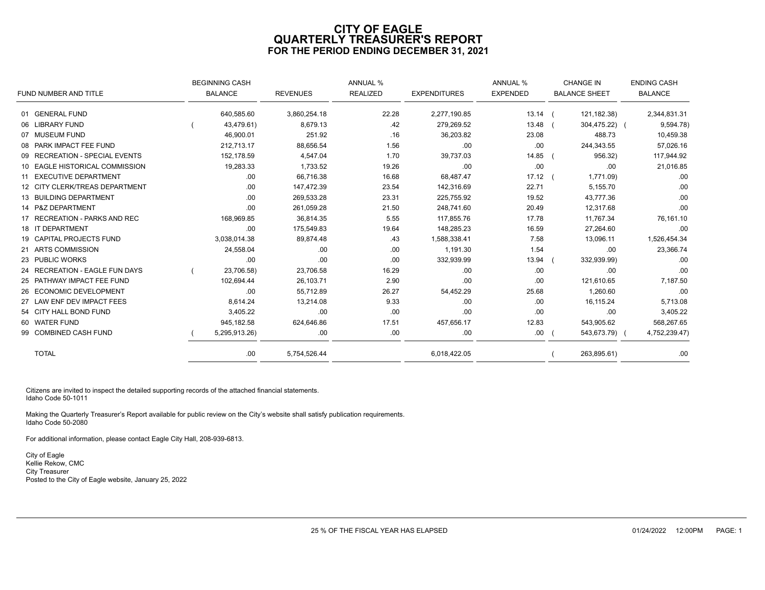# **CITY OF EAGLE QUARTERLY TREASURER'S REPORT FOR THE PERIOD ENDING DECEMBER 31, 2021**

|                                | <b>BEGINNING CASH</b> |                 | <b>ANNUAL %</b> |                     | ANNUAL %        | <b>CHANGE IN</b>     | <b>ENDING CASH</b> |
|--------------------------------|-----------------------|-----------------|-----------------|---------------------|-----------------|----------------------|--------------------|
| FUND NUMBER AND TITLE          | <b>BALANCE</b>        | <b>REVENUES</b> | <b>REALIZED</b> | <b>EXPENDITURES</b> | <b>EXPENDED</b> | <b>BALANCE SHEET</b> | <b>BALANCE</b>     |
| 01 GENERAL FUND                | 640,585.60            | 3,860,254.18    | 22.28           | 2,277,190.85        | $13.14$ (       | 121,182.38)          | 2,344,831.31       |
| 06 LIBRARY FUND                | 43,479.61)            | 8,679.13        | .42             | 279,269.52          | 13.48           | 304,475.22) (        | 9,594.78)          |
| 07 MUSEUM FUND                 | 46,900.01             | 251.92          | .16             | 36,203.82           | 23.08           | 488.73               | 10,459.38          |
| 08 PARK IMPACT FEE FUND        | 212,713.17            | 88,656.54       | 1.56            | .00                 | .00             | 244,343.55           | 57,026.16          |
| 09 RECREATION - SPECIAL EVENTS | 152,178.59            | 4,547.04        | 1.70            | 39,737.03           | 14.85           | 956.32)              | 117,944.92         |
| 10 EAGLE HISTORICAL COMMISSION | 19,283.33             | 1,733.52        | 19.26           | .00.                | .00             | .00                  | 21,016.85          |
| 11 EXECUTIVE DEPARTMENT        | .00.                  | 66,716.38       | 16.68           | 68,487.47           | $17.12$ (       | 1,771.09)            | .00                |
| 12 CITY CLERK/TREAS DEPARTMENT | .00.                  | 147,472.39      | 23.54           | 142,316.69          | 22.71           | 5,155.70             | .00                |
| 13 BUILDING DEPARTMENT         | .00.                  | 269,533.28      | 23.31           | 225,755.92          | 19.52           | 43,777.36            | .00                |
| 14 P&Z DEPARTMENT              | .00.                  | 261,059.28      | 21.50           | 248,741.60          | 20.49           | 12,317.68            | .00                |
| 17 RECREATION - PARKS AND REC  | 168,969.85            | 36,814.35       | 5.55            | 117,855.76          | 17.78           | 11,767.34            | 76,161.10          |
| 18 IT DEPARTMENT               | .00.                  | 175,549.83      | 19.64           | 148,285.23          | 16.59           | 27,264.60            | .00                |
| 19 CAPITAL PROJECTS FUND       | 3,038,014.38          | 89,874.48       | .43             | 1,588,338.41        | 7.58            | 13,096.11            | 1,526,454.34       |
| 21 ARTS COMMISSION             | 24,558.04             | .00.            | .00.            | 1.191.30            | 1.54            | .00.                 | 23,366.74          |
| 23 PUBLIC WORKS                | .00                   | .00             | .00.            | 332,939.99          | 13.94           | 332,939.99)          | .00                |
| 24 RECREATION - EAGLE FUN DAYS | 23,706.58)            | 23,706.58       | 16.29           | .00.                | .00             | .00                  | .00                |
| 25 PATHWAY IMPACT FEE FUND     | 102,694.44            | 26,103.71       | 2.90            | .00                 | .00             | 121,610.65           | 7,187.50           |
| 26 ECONOMIC DEVELOPMENT        | .00.                  | 55,712.89       | 26.27           | 54,452.29           | 25.68           | 1,260.60             | .00                |
| 27 LAW ENF DEV IMPACT FEES     | 8,614.24              | 13,214.08       | 9.33            | .00.                | .00             | 16,115.24            | 5,713.08           |
| 54 CITY HALL BOND FUND         | 3,405.22              | .00             | .00             | .00                 | .00             | .00                  | 3,405.22           |
| 60 WATER FUND                  | 945,182.58            | 624,646.86      | 17.51           | 457,656.17          | 12.83           | 543,905.62           | 568,267.65         |
| 99 COMBINED CASH FUND          | 5,295,913.26)         | .00             | .00             | .00.                | .00             | 543,673.79) (        | 4,752,239.47)      |
| <b>TOTAL</b>                   | .00.                  | 5,754,526.44    |                 | 6,018,422.05        |                 | 263,895.61)          | .00                |

Citizens are invited to inspect the detailed supporting records of the attached financial statements. Idaho Code 50-1011

Making the Quarterly Treasurer's Report available for public review on the City's website shall satisfy publication requirements. Idaho Code 50-2080

For additional information, please contact Eagle City Hall, 208-939-6813.

City of Eagle Kellie Rekow, CMC City Treasurer Posted to the City of Eagle website, January 25, 2022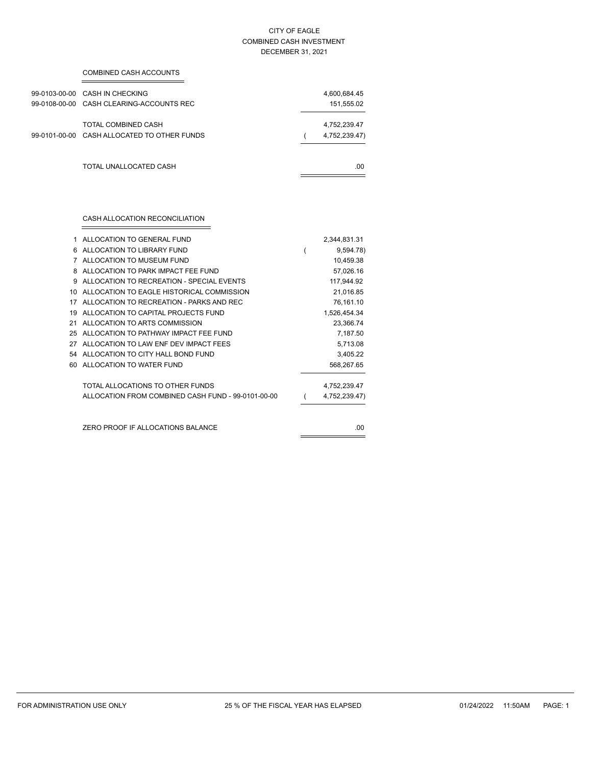### CITY OF EAGLE COMBINED CASH INVESTMENT DECEMBER 31, 2021

| COMBINED CASH ACCOUNTS                                                     |                               |
|----------------------------------------------------------------------------|-------------------------------|
| 99-0103-00-00 CASH IN CHECKING<br>99-0108-00-00 CASH CLEARING-ACCOUNTS REC | 4,600,684.45<br>151,555.02    |
| TOTAL COMBINED CASH<br>99-0101-00-00 CASH ALLOCATED TO OTHER FUNDS         | 4,752,239.47<br>4,752,239.47) |
| TOTAL UNALLOCATED CASH                                                     | .00.                          |
|                                                                            |                               |

÷.

| 1  | ALLOCATION TO GENERAL FUND                         | 2,344,831.31  |
|----|----------------------------------------------------|---------------|
| 6  | ALLOCATION TO LIBRARY FUND                         | 9,594.78)     |
| 7  | ALLOCATION TO MUSEUM FUND                          | 10,459.38     |
| 8  | ALLOCATION TO PARK IMPACT FFF FUND                 | 57,026.16     |
| 9  | ALLOCATION TO RECREATION - SPECIAL EVENTS          | 117,944.92    |
| 10 | ALLOCATION TO EAGLE HISTORICAL COMMISSION          | 21,016.85     |
| 17 | ALLOCATION TO RECREATION - PARKS AND REC           | 76,161.10     |
| 19 | ALLOCATION TO CAPITAL PROJECTS FUND                | 1,526,454.34  |
| 21 | ALLOCATION TO ARTS COMMISSION                      | 23,366.74     |
| 25 | ALLOCATION TO PATHWAY IMPACT FFF FUND              | 7,187.50      |
| 27 | ALLOCATION TO LAW ENF DEV IMPACT FEES              | 5,713.08      |
| 54 | ALLOCATION TO CITY HALL BOND FUND                  | 3,405.22      |
| 60 | ALLOCATION TO WATER FUND                           | 568,267.65    |
|    | TOTAL ALLOCATIONS TO OTHER FUNDS                   | 4,752,239.47  |
|    | ALLOCATION FROM COMBINED CASH FUND - 99-0101-00-00 | 4,752,239.47) |
|    |                                                    |               |
|    | ZERO PROOF IF ALLOCATIONS BALANCE                  | .00           |
|    |                                                    |               |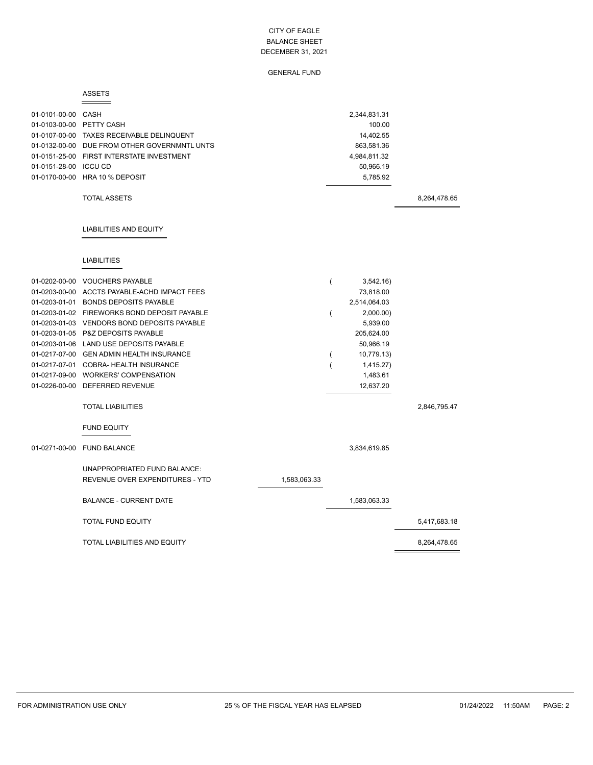# GENERAL FUND

### ASSETS

| 01-0101-00-00 CASH<br>01-0103-00-00 PETTY CASH<br>01-0151-28-00 ICCU CD | 01-0107-00-00 TAXES RECEIVABLE DELINQUENT<br>01-0132-00-00 DUE FROM OTHER GOVERNMNTL UNTS<br>01-0151-25-00 FIRST INTERSTATE INVESTMENT<br>01-0170-00-00 HRA 10 % DEPOSIT<br><b>TOTAL ASSETS</b>                                                                                                                                                                                                                                                                                                                        |              |                               | 2,344,831.31<br>100.00<br>14,402.55<br>863,581.36<br>4,984,811.32<br>50,966.19<br>5,785.92                                                    | 8,264,478.65 |
|-------------------------------------------------------------------------|------------------------------------------------------------------------------------------------------------------------------------------------------------------------------------------------------------------------------------------------------------------------------------------------------------------------------------------------------------------------------------------------------------------------------------------------------------------------------------------------------------------------|--------------|-------------------------------|-----------------------------------------------------------------------------------------------------------------------------------------------|--------------|
|                                                                         | <b>LIABILITIES AND EQUITY</b>                                                                                                                                                                                                                                                                                                                                                                                                                                                                                          |              |                               |                                                                                                                                               |              |
|                                                                         | <b>LIABILITIES</b>                                                                                                                                                                                                                                                                                                                                                                                                                                                                                                     |              |                               |                                                                                                                                               |              |
|                                                                         | 01-0202-00-00 VOUCHERS PAYABLE<br>01-0203-00-00 ACCTS PAYABLE-ACHD IMPACT FEES<br>01-0203-01-01 BONDS DEPOSITS PAYABLE<br>01-0203-01-02 FIREWORKS BOND DEPOSIT PAYABLE<br>01-0203-01-03 VENDORS BOND DEPOSITS PAYABLE<br>01-0203-01-05 P&Z DEPOSITS PAYABLE<br>01-0203-01-06 LAND USE DEPOSITS PAYABLE<br>01-0217-07-00 GEN ADMIN HEALTH INSURANCE<br>01-0217-07-01 COBRA- HEALTH INSURANCE<br>01-0217-09-00 WORKERS' COMPENSATION<br>01-0226-00-00 DEFERRED REVENUE<br><b>TOTAL LIABILITIES</b><br><b>FUND EQUITY</b> |              | $\overline{(}$<br>(<br>(<br>( | 3,542.16<br>73,818.00<br>2,514,064.03<br>2,000.00)<br>5,939.00<br>205,624.00<br>50,966.19<br>10,779.13)<br>1,415.27)<br>1,483.61<br>12,637.20 | 2,846,795.47 |
|                                                                         | 01-0271-00-00 FUND BALANCE                                                                                                                                                                                                                                                                                                                                                                                                                                                                                             |              |                               | 3,834,619.85                                                                                                                                  |              |
|                                                                         | UNAPPROPRIATED FUND BALANCE:<br>REVENUE OVER EXPENDITURES - YTD                                                                                                                                                                                                                                                                                                                                                                                                                                                        | 1,583,063.33 |                               |                                                                                                                                               |              |
|                                                                         | <b>BALANCE - CURRENT DATE</b>                                                                                                                                                                                                                                                                                                                                                                                                                                                                                          |              |                               | 1,583,063.33                                                                                                                                  |              |
|                                                                         | <b>TOTAL FUND EQUITY</b>                                                                                                                                                                                                                                                                                                                                                                                                                                                                                               |              |                               |                                                                                                                                               | 5,417,683.18 |
|                                                                         | TOTAL LIABILITIES AND EQUITY                                                                                                                                                                                                                                                                                                                                                                                                                                                                                           |              |                               |                                                                                                                                               | 8,264,478.65 |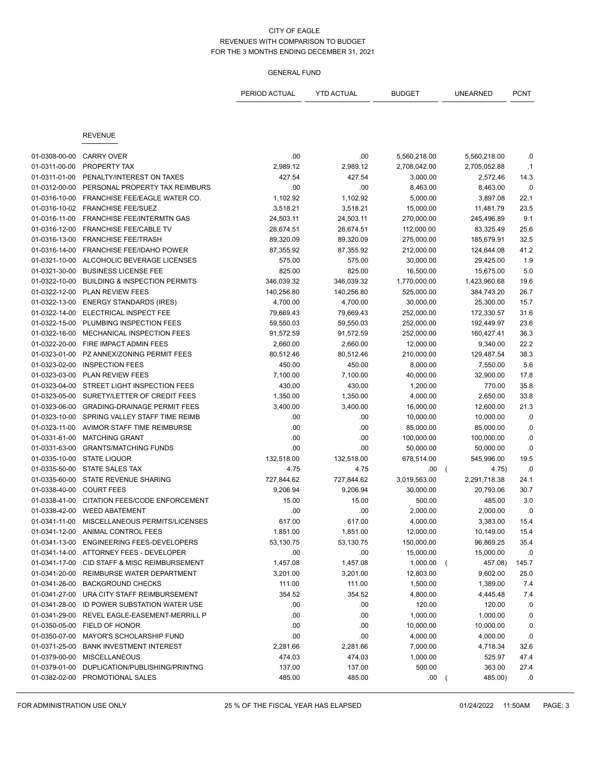|               |                                          | PERIOD ACTUAL | <b>YTD ACTUAL</b> | <b>BUDGET</b> | <b>UNEARNED</b>         | PCNT      |
|---------------|------------------------------------------|---------------|-------------------|---------------|-------------------------|-----------|
|               |                                          |               |                   |               |                         |           |
|               | <b>REVENUE</b>                           |               |                   |               |                         |           |
| 01-0308-00-00 | <b>CARRY OVER</b>                        | .00           | .00               | 5,560,218.00  | 5,560,218.00            | .0        |
| 01-0311-00-00 | PROPERTY TAX                             | 2,989.12      | 2,989.12          | 2,708,042.00  | 2,705,052.88            | $\cdot$ 1 |
| 01-0311-01-00 | PENALTY/INTEREST ON TAXES                | 427.54        | 427.54            | 3,000.00      | 2,572.46                | 14.3      |
| 01-0312-00-00 | PERSONAL PROPERTY TAX REIMBURS           | .00           | .00               | 8,463.00      | 8,463.00                | .0        |
| 01-0316-10-00 | FRANCHISE FEE/EAGLE WATER CO.            | 1,102.92      | 1,102.92          | 5,000.00      | 3,897.08                | 22.1      |
| 01-0316-10-02 | <b>FRANCHISE FEE/SUEZ</b>                | 3,518.21      | 3,518.21          | 15,000.00     | 11,481.79               | 23.5      |
| 01-0316-11-00 | FRANCHISE FEE/INTERMTN GAS               | 24,503.11     | 24,503.11         | 270,000.00    | 245,496.89              | 9.1       |
| 01-0316-12-00 | FRANCHISE FEE/CABLE TV                   | 28,674.51     | 28,674.51         | 112,000.00    | 83,325.49               | 25.6      |
| 01-0316-13-00 | <b>FRANCHISE FEE/TRASH</b>               | 89,320.09     | 89,320.09         | 275,000.00    | 185,679.91              | 32.5      |
| 01-0316-14-00 | FRANCHISE FEE/IDAHO POWER                | 87,355.92     | 87,355.92         | 212,000.00    | 124,644.08              | 41.2      |
| 01-0321-10-00 | ALCOHOLIC BEVERAGE LICENSES              | 575.00        | 575.00            | 30,000.00     | 29,425.00               | 1.9       |
| 01-0321-30-00 | <b>BUSINESS LICENSE FEE</b>              | 825.00        | 825.00            | 16,500.00     | 15,675.00               | 5.0       |
| 01-0322-10-00 | <b>BUILDING &amp; INSPECTION PERMITS</b> | 346,039.32    | 346,039.32        | 1,770,000.00  | 1,423,960.68            | 19.6      |
| 01-0322-12-00 | PLAN REVIEW FEES                         | 140,256.80    | 140,256.80        | 525,000.00    | 384,743.20              | 26.7      |
| 01-0322-13-00 | <b>ENERGY STANDARDS (IRES)</b>           | 4,700.00      | 4,700.00          | 30,000.00     | 25,300.00               | 15.7      |
| 01-0322-14-00 | ELECTRICAL INSPECT FEE                   | 79,669.43     | 79,669.43         | 252,000.00    | 172,330.57              | 31.6      |
| 01-0322-15-00 | PLUMBING INSPECTION FEES                 | 59,550.03     | 59,550.03         | 252,000.00    | 192,449.97              | 23.6      |
| 01-0322-16-00 | MECHANICAL INSPECTION FEES               | 91,572.59     | 91,572.59         | 252,000.00    | 160,427.41              | 36.3      |
| 01-0322-20-00 | FIRE IMPACT ADMIN FEES                   | 2,660.00      | 2,660.00          | 12,000.00     | 9,340.00                | 22.2      |
| 01-0323-01-00 | PZ ANNEX/ZONING PERMIT FEES              | 80,512.46     | 80,512.46         | 210,000.00    | 129,487.54              | 38.3      |
| 01-0323-02-00 | <b>INSPECTION FEES</b>                   | 450.00        | 450.00            | 8,000.00      | 7,550.00                | 5.6       |
| 01-0323-03-00 | PLAN REVIEW FEES                         | 7,100.00      | 7,100.00          | 40,000.00     | 32,900.00               | 17.8      |
| 01-0323-04-00 | STREET LIGHT INSPECTION FEES             | 430.00        | 430.00            | 1,200.00      | 770.00                  | 35.8      |
| 01-0323-05-00 | SURETY/LETTER OF CREDIT FEES             | 1,350.00      | 1,350.00          | 4,000.00      | 2,650.00                | 33.8      |
| 01-0323-06-00 | <b>GRADING-DRAINAGE PERMIT FEES</b>      | 3,400.00      | 3,400.00          | 16,000.00     | 12,600.00               | 21.3      |
| 01-0323-10-00 | SPRING VALLEY STAFF TIME REIMB           | .00           | .00               | 10,000.00     | 10,000.00               | .0        |
| 01-0323-11-00 | AVIMOR STAFF TIME REIMBURSE              | .00           | .00               | 85,000.00     | 85,000.00               | .0        |
| 01-0331-61-00 | <b>MATCHING GRANT</b>                    | .00           | .00               | 100,000.00    | 100,000.00              | .0        |
| 01-0331-63-00 | <b>GRANTS/MATCHING FUNDS</b>             | .00           | .00               | 50,000.00     | 50,000.00               | .0        |
| 01-0335-10-00 | <b>STATE LIQUOR</b>                      | 132,518.00    | 132,518.00        | 678,514.00    | 545,996.00              | 19.5      |
| 01-0335-50-00 | STATE SALES TAX                          | 4.75          | 4.75              | .00           | 4.75)<br>$\overline{ }$ | .0        |
| 01-0335-60-00 | STATE REVENUE SHARING                    | 727,844.62    | 727,844.62        | 3,019,563.00  | 2,291,718.38            | 24.1      |
| 01-0338-40-00 | <b>COURT FEES</b>                        | 9,206.94      | 9,206.94          | 30,000.00     | 20,793.06               | 30.7      |
| 01-0338-41-00 | CITATION FEES/CODE ENFORCEMENT           | 15.00         | 15.00             | 500.00        | 485.00                  | 3.0       |
| 01-0338-42-00 | <b>WEED ABATEMENT</b>                    | .00           | .00               | 2,000.00      | 2,000.00                | .0        |
| 01-0341-11-00 | MISCELLANEOUS PERMITS/LICENSES           | 617.00        | 617.00            | 4,000.00      | 3,383.00                | 15.4      |
| 01-0341-12-00 | ANIMAL CONTROL FEES                      | 1,851.00      | 1,851.00          | 12,000.00     | 10,149.00               | 15.4      |
| 01-0341-13-00 | ENGINEERING FEES-DEVELOPERS              | 53,130.75     | 53,130.75         | 150,000.00    | 96,869.25               | 35.4      |
| 01-0341-14-00 | ATTORNEY FEES - DEVELOPER                | .00           | .00               | 15,000.00     | 15,000.00               | .0        |
| 01-0341-17-00 | CID STAFF & MISC REIMBURSEMENT           | 1,457.08      | 1,457.08          | 1,000.00      | 457.08)<br>$\left($     | 145.7     |
| 01-0341-20-00 | REIMBURSE WATER DEPARTMENT               | 3,201.00      | 3,201.00          | 12,803.00     | 9,602.00                | 25.0      |
| 01-0341-26-00 | <b>BACKGROUND CHECKS</b>                 | 111.00        | 111.00            | 1,500.00      | 1,389.00                | 7.4       |
| 01-0341-27-00 | URA CITY STAFF REIMBURSEMENT             | 354.52        | 354.52            | 4,800.00      | 4,445.48                | 7.4       |
| 01-0341-28-00 | ID POWER SUBSTATION WATER USE            | .00           | .00               | 120.00        | 120.00                  | .0        |
| 01-0341-29-00 | REVEL EAGLE-EASEMENT-MERRILL P           | .00           | .00               | 1,000.00      | 1,000.00                | .0        |
| 01-0350-05-00 | FIELD OF HONOR                           | .00           | .00               | 10,000.00     | 10,000.00               | .0        |
| 01-0350-07-00 | MAYOR'S SCHOLARSHIP FUND                 | .00           | .00               | 4,000.00      | 4,000.00                | .0        |
| 01-0371-25-00 | <b>BANK INVESTMENT INTEREST</b>          | 2,281.66      | 2,281.66          | 7,000.00      | 4,718.34                | 32.6      |
| 01-0379-00-00 | <b>MISCELLANEOUS</b>                     | 474.03        | 474.03            | 1,000.00      | 525.97                  | 47.4      |
| 01-0379-01-00 | DUPLICATION/PUBLISHING/PRINTNG           | 137.00        | 137.00            | 500.00        | 363.00                  | 27.4      |
| 01-0382-02-00 | PROMOTIONAL SALES                        | 485.00        | 485.00            | .00           | 485.00)                 | .0        |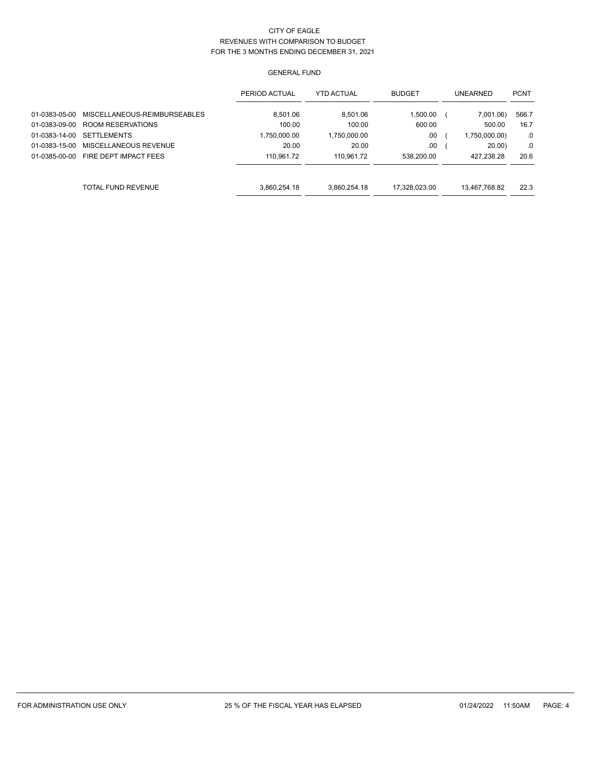|               |                              | PERIOD ACTUAL | <b>YTD ACTUAL</b> | <b>BUDGET</b> | <b>UNEARNED</b> | <b>PCNT</b> |
|---------------|------------------------------|---------------|-------------------|---------------|-----------------|-------------|
| 01-0383-05-00 | MISCELLANEOUS-REIMBURSEABLES | 8.501.06      | 8,501.06          | 1,500.00      | 7,001.06)       | 566.7       |
| 01-0383-09-00 | ROOM RESERVATIONS            | 100.00        | 100.00            | 600.00        | 500.00          | 16.7        |
| 01-0383-14-00 | <b>SETTLEMENTS</b>           | 1.750.000.00  | 1,750,000.00      | .00           | 1,750,000.00)   | .0          |
| 01-0383-15-00 | MISCELLANEOUS REVENUE        | 20.00         | 20.00             | .00           | 20.00           | .0          |
| 01-0385-00-00 | FIRE DEPT IMPACT FEES        | 110.961.72    | 110.961.72        | 538.200.00    | 427.238.28      | 20.6        |
|               |                              |               |                   |               |                 |             |
|               | TOTAL FUND REVENUE           | 3.860.254.18  | 3.860.254.18      | 17.328.023.00 | 13,467,768.82   | 22.3        |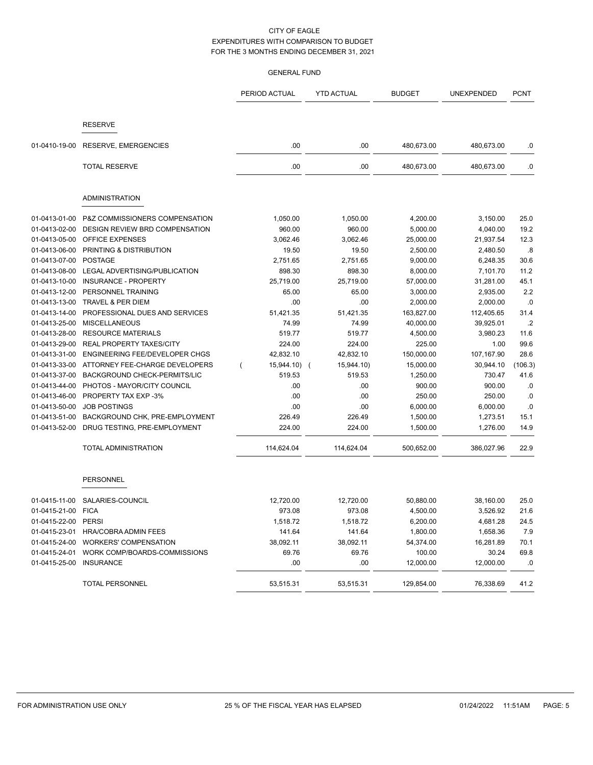|               |                                 | PERIOD ACTUAL | <b>YTD ACTUAL</b>            | <b>BUDGET</b> | UNEXPENDED | <b>PCNT</b>     |
|---------------|---------------------------------|---------------|------------------------------|---------------|------------|-----------------|
|               |                                 |               |                              |               |            |                 |
|               | <b>RESERVE</b>                  |               |                              |               |            |                 |
| 01-0410-19-00 | RESERVE, EMERGENCIES            | .00           | .00.                         | 480,673.00    | 480,673.00 | .0              |
|               | <b>TOTAL RESERVE</b>            | .00           | .00                          | 480,673.00    | 480,673.00 | $0.5\,$         |
|               |                                 |               |                              |               |            |                 |
|               | <b>ADMINISTRATION</b>           |               |                              |               |            |                 |
| 01-0413-01-00 | P&Z COMMISSIONERS COMPENSATION  | 1,050.00      | 1,050.00                     | 4,200.00      | 3,150.00   | 25.0            |
| 01-0413-02-00 | DESIGN REVIEW BRD COMPENSATION  | 960.00        | 960.00                       | 5,000.00      | 4,040.00   | 19.2            |
| 01-0413-05-00 | OFFICE EXPENSES                 | 3,062.46      | 3,062.46                     | 25,000.00     | 21,937.54  | 12.3            |
| 01-0413-06-00 | PRINTING & DISTRIBUTION         | 19.50         | 19.50                        | 2,500.00      | 2,480.50   | .8              |
| 01-0413-07-00 | <b>POSTAGE</b>                  | 2,751.65      | 2,751.65                     | 9,000.00      | 6,248.35   | 30.6            |
| 01-0413-08-00 | LEGAL ADVERTISING/PUBLICATION   | 898.30        | 898.30                       | 8,000.00      | 7,101.70   | 11.2            |
| 01-0413-10-00 | <b>INSURANCE - PROPERTY</b>     | 25,719.00     | 25,719.00                    | 57,000.00     | 31,281.00  | 45.1            |
| 01-0413-12-00 | PERSONNEL TRAINING              | 65.00         | 65.00                        | 3,000.00      | 2,935.00   | 2.2             |
| 01-0413-13-00 | TRAVEL & PER DIEM               | .00           | .00                          | 2,000.00      | 2,000.00   | .0              |
| 01-0413-14-00 | PROFESSIONAL DUES AND SERVICES  | 51,421.35     | 51,421.35                    | 163,827.00    | 112,405.65 | 31.4            |
| 01-0413-25-00 | <b>MISCELLANEOUS</b>            | 74.99         | 74.99                        | 40,000.00     | 39,925.01  | $.2\phantom{0}$ |
| 01-0413-28-00 | <b>RESOURCE MATERIALS</b>       | 519.77        | 519.77                       | 4,500.00      | 3,980.23   | 11.6            |
| 01-0413-29-00 | <b>REAL PROPERTY TAXES/CITY</b> | 224.00        | 224.00                       | 225.00        | 1.00       | 99.6            |
| 01-0413-31-00 | ENGINEERING FEE/DEVELOPER CHGS  | 42,832.10     | 42,832.10                    | 150,000.00    | 107,167.90 | 28.6            |
| 01-0413-33-00 | ATTORNEY FEE-CHARGE DEVELOPERS  | 15,944.10)    | 15,944.10)<br>$\overline{ }$ | 15,000.00     | 30,944.10  | (106.3)         |
| 01-0413-37-00 | BACKGROUND CHECK-PERMITS/LIC    | 519.53        | 519.53                       | 1,250.00      | 730.47     | 41.6            |
| 01-0413-44-00 | PHOTOS - MAYOR/CITY COUNCIL     | .00.          | .00.                         | 900.00        | 900.00     | .0              |
| 01-0413-46-00 | PROPERTY TAX EXP -3%            | .00           | .00                          | 250.00        | 250.00     | .0              |
| 01-0413-50-00 | <b>JOB POSTINGS</b>             | .00           | .00                          | 6,000.00      | 6,000.00   | .0              |
| 01-0413-51-00 | BACKGROUND CHK, PRE-EMPLOYMENT  | 226.49        | 226.49                       | 1,500.00      | 1,273.51   | 15.1            |
| 01-0413-52-00 | DRUG TESTING, PRE-EMPLOYMENT    | 224.00        | 224.00                       | 1,500.00      | 1,276.00   | 14.9            |
|               | <b>TOTAL ADMINISTRATION</b>     | 114,624.04    | 114,624.04                   | 500,652.00    | 386,027.96 | 22.9            |
|               | <b>PERSONNEL</b>                |               |                              |               |            |                 |
| 01-0415-11-00 | SALARIES-COUNCIL                | 12,720.00     | 12,720.00                    | 50,880.00     | 38,160.00  | 25.0            |
| 01-0415-21-00 | <b>FICA</b>                     | 973.08        | 973.08                       | 4,500.00      | 3,526.92   | 21.6            |
| 01-0415-22-00 | <b>PERSI</b>                    | 1,518.72      | 1,518.72                     | 6,200.00      | 4,681.28   | 24.5            |
| 01-0415-23-01 | HRA/COBRA ADMIN FEES            | 141.64        | 141.64                       | 1,800.00      | 1,658.36   | 7.9             |
| 01-0415-24-00 | <b>WORKERS' COMPENSATION</b>    | 38,092.11     | 38,092.11                    | 54,374.00     | 16,281.89  | 70.1            |
| 01-0415-24-01 | WORK COMP/BOARDS-COMMISSIONS    | 69.76         | 69.76                        | 100.00        | 30.24      | 69.8            |
| 01-0415-25-00 | <b>INSURANCE</b>                | .00           | .00                          | 12,000.00     | 12,000.00  | .0              |
|               | <b>TOTAL PERSONNEL</b>          | 53,515.31     | 53,515.31                    | 129,854.00    | 76,338.69  | 41.2            |
|               |                                 |               |                              |               |            |                 |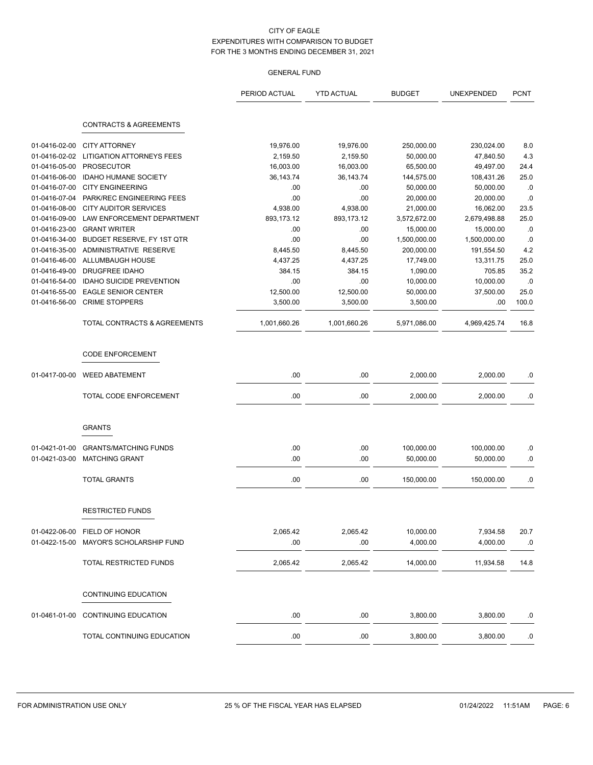|               |                                         | PERIOD ACTUAL | <b>YTD ACTUAL</b> | <b>BUDGET</b> | UNEXPENDED   | <b>PCNT</b> |
|---------------|-----------------------------------------|---------------|-------------------|---------------|--------------|-------------|
|               | <b>CONTRACTS &amp; AGREEMENTS</b>       |               |                   |               |              |             |
|               |                                         |               |                   |               |              |             |
| 01-0416-02-00 | <b>CITY ATTORNEY</b>                    | 19,976.00     | 19,976.00         | 250,000.00    | 230,024.00   | 8.0         |
| 01-0416-02-02 | <b>LITIGATION ATTORNEYS FEES</b>        | 2,159.50      | 2,159.50          | 50,000.00     | 47,840.50    | 4.3         |
| 01-0416-05-00 | <b>PROSECUTOR</b>                       | 16,003.00     | 16,003.00         | 65,500.00     | 49,497.00    | 24.4        |
| 01-0416-06-00 | <b>IDAHO HUMANE SOCIETY</b>             | 36, 143. 74   | 36,143.74         | 144,575.00    | 108,431.26   | 25.0        |
| 01-0416-07-00 | <b>CITY ENGINEERING</b>                 | .00           | .00               | 50,000.00     | 50,000.00    | .0          |
| 01-0416-07-04 | PARK/REC ENGINEERING FEES               | .00           | .00               | 20,000.00     | 20,000.00    | .0          |
| 01-0416-08-00 | <b>CITY AUDITOR SERVICES</b>            | 4,938.00      | 4,938.00          | 21,000.00     | 16,062.00    | 23.5        |
| 01-0416-09-00 | LAW ENFORCEMENT DEPARTMENT              | 893,173.12    | 893,173.12        | 3,572,672.00  | 2,679,498.88 | 25.0        |
| 01-0416-23-00 | <b>GRANT WRITER</b>                     | .00           | .00               | 15,000.00     | 15,000.00    | .0          |
| 01-0416-34-00 | BUDGET RESERVE, FY 1ST QTR              | .00           | .00               | 1,500,000.00  | 1,500,000.00 | .0          |
| 01-0416-35-00 | ADMINISTRATIVE RESERVE                  | 8,445.50      | 8,445.50          | 200,000.00    | 191,554.50   | 4.2         |
| 01-0416-46-00 | ALLUMBAUGH HOUSE                        | 4,437.25      | 4,437.25          | 17,749.00     | 13,311.75    | 25.0        |
| 01-0416-49-00 | <b>DRUGFREE IDAHO</b>                   | 384.15        | 384.15            | 1,090.00      | 705.85       | 35.2        |
| 01-0416-54-00 | <b>IDAHO SUICIDE PREVENTION</b>         | .00           | .00               | 10,000.00     | 10,000.00    | .0          |
| 01-0416-55-00 | <b>EAGLE SENIOR CENTER</b>              | 12,500.00     | 12,500.00         | 50,000.00     | 37,500.00    | 25.0        |
| 01-0416-56-00 | <b>CRIME STOPPERS</b>                   | 3,500.00      | 3,500.00          | 3,500.00      | .00          | 100.0       |
|               | <b>TOTAL CONTRACTS &amp; AGREEMENTS</b> | 1,001,660.26  | 1,001,660.26      | 5,971,086.00  | 4,969,425.74 | 16.8        |
|               | <b>CODE ENFORCEMENT</b>                 |               |                   |               |              |             |
| 01-0417-00-00 | <b>WEED ABATEMENT</b>                   | .00           | .00               | 2,000.00      | 2,000.00     | .0          |
|               | TOTAL CODE ENFORCEMENT                  | .00           | .00               | 2,000.00      | 2,000.00     | .0          |
|               | <b>GRANTS</b>                           |               |                   |               |              |             |
|               |                                         |               |                   |               |              |             |
| 01-0421-01-00 | <b>GRANTS/MATCHING FUNDS</b>            | .00           | .00               | 100,000.00    | 100,000.00   | .0          |
| 01-0421-03-00 | <b>MATCHING GRANT</b>                   | .00           | .00               | 50,000.00     | 50,000.00    | .0          |
|               | <b>TOTAL GRANTS</b>                     | .00           | .00               | 150,000.00    | 150,000.00   | .0          |
|               | <b>RESTRICTED FUNDS</b>                 |               |                   |               |              |             |
|               |                                         |               |                   |               |              |             |
|               | 01-0422-06-00 FIELD OF HONOR            | 2,065.42      | 2,065.42          | 10,000.00     | 7,934.58     | 20.7        |
| 01-0422-15-00 | MAYOR'S SCHOLARSHIP FUND                | .00           | .00               | 4,000.00      | 4,000.00     | .0          |
|               | TOTAL RESTRICTED FUNDS                  | 2,065.42      | 2,065.42          | 14,000.00     | 11,934.58    | 14.8        |
|               | <b>CONTINUING EDUCATION</b>             |               |                   |               |              |             |
| 01-0461-01-00 | <b>CONTINUING EDUCATION</b>             | .00.          | .00               | 3,800.00      | 3,800.00     | .0          |
|               | TOTAL CONTINUING EDUCATION              | $.00$         | .00               | 3,800.00      | 3,800.00     | $.0\,$      |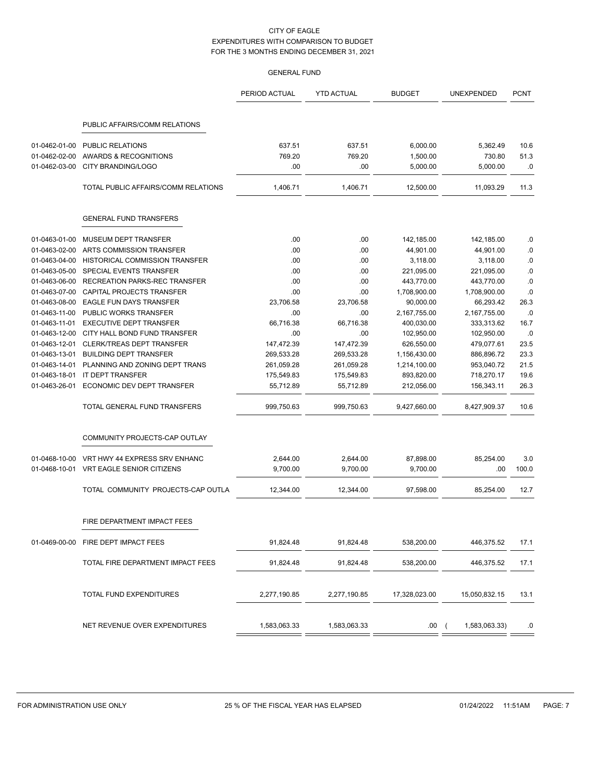|               |                                     | PERIOD ACTUAL | <b>YTD ACTUAL</b> | <b>BUDGET</b> | <b>UNEXPENDED</b> | <b>PCNT</b> |
|---------------|-------------------------------------|---------------|-------------------|---------------|-------------------|-------------|
|               | PUBLIC AFFAIRS/COMM RELATIONS       |               |                   |               |                   |             |
| 01-0462-01-00 | <b>PUBLIC RELATIONS</b>             | 637.51        | 637.51            | 6,000.00      | 5,362.49          | 10.6        |
| 01-0462-02-00 | AWARDS & RECOGNITIONS               | 769.20        | 769.20            | 1,500.00      | 730.80            | 51.3        |
| 01-0462-03-00 | CITY BRANDING/LOGO                  | .00           | .00               | 5,000.00      | 5,000.00          | .0          |
|               | TOTAL PUBLIC AFFAIRS/COMM RELATIONS | 1,406.71      | 1,406.71          | 12,500.00     | 11,093.29         | 11.3        |
|               | <b>GENERAL FUND TRANSFERS</b>       |               |                   |               |                   |             |
| 01-0463-01-00 | MUSEUM DEPT TRANSFER                | .00           | .00               | 142,185.00    | 142,185.00        | .0          |
| 01-0463-02-00 | ARTS COMMISSION TRANSFER            | .00           | .00               | 44,901.00     | 44,901.00         | 0.0         |
| 01-0463-04-00 | HISTORICAL COMMISSION TRANSFER      | .00           | .00               | 3,118.00      | 3,118.00          | 0.0         |
| 01-0463-05-00 | SPECIAL EVENTS TRANSFER             | .00           | .00               | 221,095.00    | 221,095.00        | 0.          |
| 01-0463-06-00 | RECREATION PARKS-REC TRANSFER       | .00           | .00               | 443,770.00    | 443,770.00        | 0.          |
| 01-0463-07-00 | CAPITAL PROJECTS TRANSFER           | .00           | .00               | 1,708,900.00  | 1,708,900.00      | 0.          |
| 01-0463-08-00 | EAGLE FUN DAYS TRANSFER             | 23,706.58     | 23,706.58         | 90,000.00     | 66,293.42         | 26.3        |
| 01-0463-11-00 | PUBLIC WORKS TRANSFER               | .00           | .00               | 2,167,755.00  | 2,167,755.00      | .0          |
| 01-0463-11-01 | <b>EXECUTIVE DEPT TRANSFER</b>      | 66,716.38     | 66,716.38         | 400,030.00    | 333,313.62        | 16.7        |
| 01-0463-12-00 | CITY HALL BOND FUND TRANSFER        | .00           | .00               | 102,950.00    | 102,950.00        | .0          |
| 01-0463-12-01 | CLERK/TREAS DEPT TRANSFER           | 147,472.39    | 147,472.39        | 626,550.00    | 479,077.61        | 23.5        |
| 01-0463-13-01 | <b>BUILDING DEPT TRANSFER</b>       | 269,533.28    | 269,533.28        | 1,156,430.00  | 886,896.72        | 23.3        |
| 01-0463-14-01 | PLANNING AND ZONING DEPT TRANS      | 261,059.28    | 261,059.28        | 1,214,100.00  | 953,040.72        | 21.5        |
| 01-0463-18-01 | IT DEPT TRANSFER                    | 175,549.83    | 175,549.83        | 893,820.00    | 718,270.17        | 19.6        |
| 01-0463-26-01 | ECONOMIC DEV DEPT TRANSFER          | 55,712.89     | 55,712.89         | 212,056.00    | 156,343.11        | 26.3        |
|               | TOTAL GENERAL FUND TRANSFERS        | 999,750.63    | 999,750.63        | 9,427,660.00  | 8,427,909.37      | 10.6        |
|               | COMMUNITY PROJECTS-CAP OUTLAY       |               |                   |               |                   |             |
| 01-0468-10-00 | VRT HWY 44 EXPRESS SRV ENHANC       | 2,644.00      | 2,644.00          | 87,898.00     | 85,254.00         | 3.0         |
| 01-0468-10-01 | VRT EAGLE SENIOR CITIZENS           | 9,700.00      | 9,700.00          | 9,700.00      | .00               | 100.0       |
|               | TOTAL COMMUNITY PROJECTS-CAP OUTLA  | 12.344.00     | 12,344.00         | 97,598.00     | 85.254.00         | 12.7        |
|               | FIRE DEPARTMENT IMPACT FEES         |               |                   |               |                   |             |
| 01-0469-00-00 | FIRE DEPT IMPACT FEES               | 91,824.48     | 91,824.48         | 538,200.00    | 446,375.52        | 17.1        |
|               | TOTAL FIRE DEPARTMENT IMPACT FEES   | 91,824.48     | 91,824.48         | 538,200.00    | 446,375.52        | 17.1        |
|               |                                     |               |                   |               |                   |             |
|               | TOTAL FUND EXPENDITURES             | 2,277,190.85  | 2,277,190.85      | 17,328,023.00 | 15,050,832.15     | 13.1        |
|               | NET REVENUE OVER EXPENDITURES       | 1,583,063.33  | 1,583,063.33      | .00(          | 1,583,063.33)     | .0          |
|               |                                     |               |                   |               |                   |             |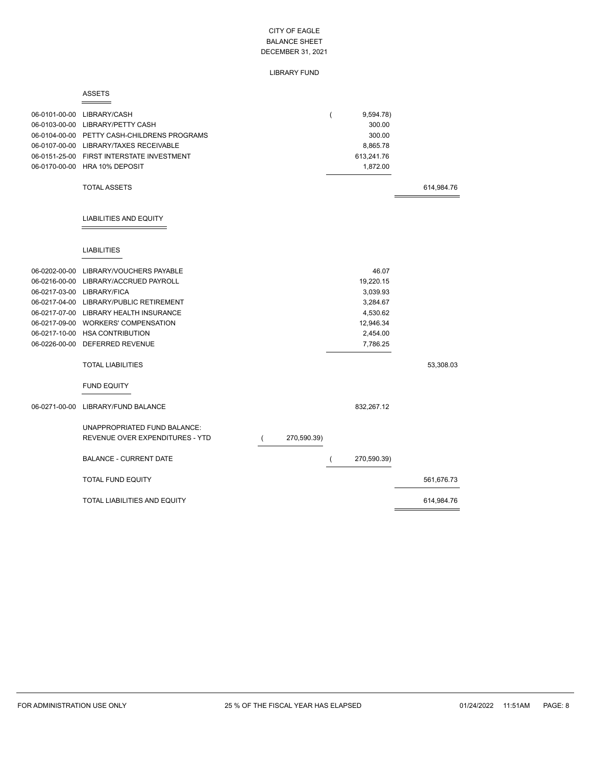### LIBRARY FUND

#### ASSETS  $=$

þ,

|               | 06-0101-00-00 LIBRARY/CASH<br>06-0103-00-00 LIBRARY/PETTY CASH<br>06-0104-00-00 PETTY CASH-CHILDRENS PROGRAMS<br>06-0107-00-00 LIBRARY/TAXES RECEIVABLE<br>06-0151-25-00 FIRST INTERSTATE INVESTMENT<br>06-0170-00-00 HRA 10% DEPOSIT                                                                                                             |          |             | 9,594.78)<br>300.00<br>300.00<br>8,865.78<br>613,241.76<br>1,872.00                         |            |
|---------------|---------------------------------------------------------------------------------------------------------------------------------------------------------------------------------------------------------------------------------------------------------------------------------------------------------------------------------------------------|----------|-------------|---------------------------------------------------------------------------------------------|------------|
|               | <b>TOTAL ASSETS</b>                                                                                                                                                                                                                                                                                                                               |          |             |                                                                                             | 614,984.76 |
|               | <b>LIABILITIES AND EQUITY</b>                                                                                                                                                                                                                                                                                                                     |          |             |                                                                                             |            |
|               | <b>LIABILITIES</b>                                                                                                                                                                                                                                                                                                                                |          |             |                                                                                             |            |
| 06-0202-00-00 | LIBRARY/VOUCHERS PAYABLE<br>06-0216-00-00 LIBRARY/ACCRUED PAYROLL<br>06-0217-03-00 LIBRARY/FICA<br>06-0217-04-00 LIBRARY/PUBLIC RETIREMENT<br>06-0217-07-00 LIBRARY HEALTH INSURANCE<br>06-0217-09-00 WORKERS' COMPENSATION<br>06-0217-10-00 HSA CONTRIBUTION<br>06-0226-00-00 DEFERRED REVENUE<br><b>TOTAL LIABILITIES</b><br><b>FUND EQUITY</b> |          |             | 46.07<br>19,220.15<br>3,039.93<br>3,284.67<br>4,530.62<br>12,946.34<br>2,454.00<br>7,786.25 | 53,308.03  |
| 06-0271-00-00 | LIBRARY/FUND BALANCE                                                                                                                                                                                                                                                                                                                              |          |             | 832,267.12                                                                                  |            |
|               | UNAPPROPRIATED FUND BALANCE:<br>REVENUE OVER EXPENDITURES - YTD                                                                                                                                                                                                                                                                                   | $\left($ | 270,590.39) |                                                                                             |            |
|               | <b>BALANCE - CURRENT DATE</b>                                                                                                                                                                                                                                                                                                                     |          |             | 270,590.39)                                                                                 |            |
|               | <b>TOTAL FUND EQUITY</b>                                                                                                                                                                                                                                                                                                                          |          |             |                                                                                             | 561,676.73 |
|               | <b>TOTAL LIABILITIES AND EQUITY</b>                                                                                                                                                                                                                                                                                                               |          |             |                                                                                             | 614,984.76 |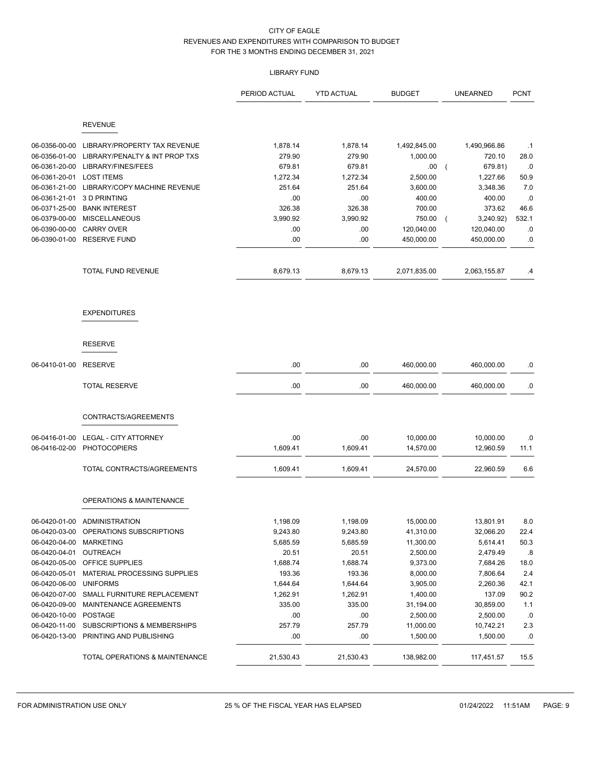# LIBRARY FUND

|                       |                                        | PERIOD ACTUAL | <b>YTD ACTUAL</b> | <b>BUDGET</b> | <b>UNEARNED</b>           | <b>PCNT</b> |
|-----------------------|----------------------------------------|---------------|-------------------|---------------|---------------------------|-------------|
|                       | <b>REVENUE</b>                         |               |                   |               |                           |             |
|                       |                                        |               |                   |               |                           |             |
| 06-0356-00-00         | LIBRARY/PROPERTY TAX REVENUE           | 1,878.14      | 1,878.14          | 1,492,845.00  | 1,490,966.86              | $\cdot$ 1   |
| 06-0356-01-00         | LIBRARY/PENALTY & INT PROP TXS         | 279.90        | 279.90            | 1,000.00      | 720.10                    | 28.0        |
| 06-0361-20-00         | LIBRARY/FINES/FEES                     | 679.81        | 679.81            | .00           | 679.81)<br>$\overline{ }$ | $\cdot$ 0   |
| 06-0361-20-01         | <b>LOST ITEMS</b>                      | 1,272.34      | 1,272.34          | 2,500.00      | 1,227.66                  | 50.9        |
| 06-0361-21-00         | LIBRARY/COPY MACHINE REVENUE           | 251.64        | 251.64            | 3,600.00      | 3,348.36                  | 7.0         |
| 06-0361-21-01         | 3 D PRINTING                           | .00           | .00               | 400.00        | 400.00                    | .0          |
| 06-0371-25-00         | <b>BANK INTEREST</b>                   | 326.38        | 326.38            | 700.00        | 373.62                    | 46.6        |
| 06-0379-00-00         | <b>MISCELLANEOUS</b>                   | 3,990.92      | 3,990.92          | 750.00        | 3,240.92)<br>$\sqrt{2}$   | 532.1       |
| 06-0390-00-00         | <b>CARRY OVER</b>                      | .00           | .00               | 120,040.00    | 120,040.00                | .0          |
| 06-0390-01-00         | <b>RESERVE FUND</b>                    | .00           | .00               | 450,000.00    | 450,000.00                | .0          |
|                       | <b>TOTAL FUND REVENUE</b>              | 8,679.13      | 8,679.13          | 2,071,835.00  | 2,063,155.87              | .4          |
|                       | <b>EXPENDITURES</b>                    |               |                   |               |                           |             |
|                       | <b>RESERVE</b>                         |               |                   |               |                           |             |
| 06-0410-01-00         | <b>RESERVE</b>                         | .00           | .00               | 460,000.00    | 460,000.00                | .0          |
|                       | <b>TOTAL RESERVE</b>                   | .00           | .00               | 460,000.00    | 460,000.00                | .0          |
|                       | CONTRACTS/AGREEMENTS                   |               |                   |               |                           |             |
|                       |                                        |               |                   |               |                           |             |
| 06-0416-01-00         | <b>LEGAL - CITY ATTORNEY</b>           | .00           | .00               | 10,000.00     | 10,000.00                 | .0          |
| 06-0416-02-00         | <b>PHOTOCOPIERS</b>                    | 1,609.41      | 1,609.41          | 14,570.00     | 12,960.59                 | 11.1        |
|                       | TOTAL CONTRACTS/AGREEMENTS             | 1,609.41      | 1,609.41          | 24,570.00     | 22,960.59                 | 6.6         |
|                       | <b>OPERATIONS &amp; MAINTENANCE</b>    |               |                   |               |                           |             |
|                       | 06-0420-01-00 ADMINISTRATION           | 1,198.09      | 1,198.09          | 15,000.00     | 13,801.91                 | 8.0         |
|                       | 06-0420-03-00 OPERATIONS SUBSCRIPTIONS | 9,243.80      | 9,243.80          | 41,310.00     | 32,066.20                 | 22.4        |
| 06-0420-04-00         | <b>MARKETING</b>                       | 5,685.59      | 5,685.59          | 11,300.00     | 5,614.41                  | 50.3        |
| 06-0420-04-01         | OUTREACH                               | 20.51         | 20.51             | 2,500.00      | 2,479.49                  | .8          |
| 06-0420-05-00         | OFFICE SUPPLIES                        | 1,688.74      | 1,688.74          | 9,373.00      | 7,684.26                  | 18.0        |
| 06-0420-05-01         | MATERIAL PROCESSING SUPPLIES           | 193.36        | 193.36            | 8,000.00      | 7,806.64                  | 2.4         |
| 06-0420-06-00         | <b>UNIFORMS</b>                        | 1,644.64      | 1,644.64          | 3,905.00      | 2,260.36                  | 42.1        |
| 06-0420-07-00         | SMALL FURNITURE REPLACEMENT            | 1,262.91      | 1,262.91          | 1,400.00      | 137.09                    | 90.2        |
| 06-0420-09-00         | MAINTENANCE AGREEMENTS                 | 335.00        | 335.00            | 31,194.00     | 30,859.00                 | 1.1         |
| 06-0420-10-00 POSTAGE |                                        | .00           | .00               | 2,500.00      | 2,500.00                  | .0          |
| 06-0420-11-00         | <b>SUBSCRIPTIONS &amp; MEMBERSHIPS</b> | 257.79        | 257.79            | 11,000.00     | 10,742.21                 | 2.3         |
|                       | 06-0420-13-00 PRINTING AND PUBLISHING  | .00           | .00               | 1,500.00      | 1,500.00                  | .0          |
|                       | TOTAL OPERATIONS & MAINTENANCE         | 21,530.43     | 21,530.43         | 138,982.00    | 117,451.57                | 15.5        |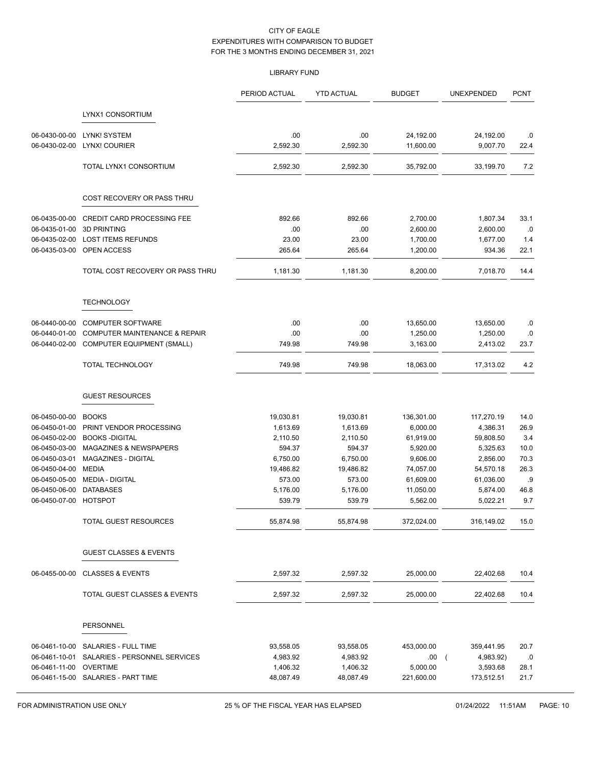# LIBRARY FUND

|                                |                                                  | PERIOD ACTUAL         | <b>YTD ACTUAL</b>     | <b>BUDGET</b>    | UNEXPENDED                              | <b>PCNT</b> |
|--------------------------------|--------------------------------------------------|-----------------------|-----------------------|------------------|-----------------------------------------|-------------|
|                                | LYNX1 CONSORTIUM                                 |                       |                       |                  |                                         |             |
| 06-0430-00-00                  | LYNK! SYSTEM                                     | .00                   | .00                   | 24,192.00        | 24,192.00                               | .0          |
| 06-0430-02-00                  | LYNX! COURIER                                    | 2,592.30              | 2,592.30              | 11,600.00        | 9,007.70                                | 22.4        |
|                                | TOTAL LYNX1 CONSORTIUM                           | 2,592.30              | 2,592.30              | 35,792.00        | 33,199.70                               | 7.2         |
|                                | COST RECOVERY OR PASS THRU                       |                       |                       |                  |                                         |             |
| 06-0435-00-00                  | CREDIT CARD PROCESSING FEE                       | 892.66                | 892.66                | 2,700.00         | 1,807.34                                | 33.1        |
| 06-0435-01-00                  | <b>3D PRINTING</b>                               | .00                   | .00                   | 2,600.00         | 2,600.00                                | .0          |
| 06-0435-02-00                  | <b>LOST ITEMS REFUNDS</b>                        | 23.00                 | 23.00                 | 1,700.00         | 1,677.00                                | 1.4         |
| 06-0435-03-00                  | OPEN ACCESS                                      | 265.64                | 265.64                | 1,200.00         | 934.36                                  | 22.1        |
|                                | TOTAL COST RECOVERY OR PASS THRU                 | 1,181.30              | 1,181.30              | 8,200.00         | 7,018.70                                | 14.4        |
|                                | <b>TECHNOLOGY</b>                                |                       |                       |                  |                                         |             |
| 06-0440-00-00                  | <b>COMPUTER SOFTWARE</b>                         | .00                   | .00                   | 13,650.00        | 13,650.00                               | .0          |
| 06-0440-01-00                  | <b>COMPUTER MAINTENANCE &amp; REPAIR</b>         | .00                   | .00                   | 1,250.00         | 1,250.00                                | .0          |
| 06-0440-02-00                  | COMPUTER EQUIPMENT (SMALL)                       | 749.98                | 749.98                | 3,163.00         | 2,413.02                                | 23.7        |
|                                | TOTAL TECHNOLOGY                                 | 749.98                | 749.98                | 18,063.00        | 17,313.02                               | 4.2         |
|                                | <b>GUEST RESOURCES</b>                           |                       |                       |                  |                                         |             |
| 06-0450-00-00                  | <b>BOOKS</b>                                     | 19,030.81             | 19,030.81             | 136,301.00       | 117,270.19                              | 14.0        |
| 06-0450-01-00                  | PRINT VENDOR PROCESSING                          | 1,613.69              | 1,613.69              | 6,000.00         | 4,386.31                                | 26.9        |
| 06-0450-02-00                  | <b>BOOKS-DIGITAL</b>                             | 2,110.50              | 2,110.50              | 61,919.00        | 59,808.50                               | 3.4         |
| 06-0450-03-00                  | <b>MAGAZINES &amp; NEWSPAPERS</b>                | 594.37                | 594.37                | 5,920.00         | 5,325.63                                | 10.0        |
| 06-0450-03-01                  | MAGAZINES - DIGITAL                              | 6,750.00              | 6,750.00              | 9,606.00         | 2,856.00                                | 70.3        |
| 06-0450-04-00                  | MEDIA                                            | 19,486.82             | 19,486.82             | 74,057.00        | 54,570.18                               | 26.3        |
| 06-0450-05-00                  | <b>MEDIA - DIGITAL</b>                           | 573.00                | 573.00                | 61,609.00        | 61,036.00                               | .9          |
| 06-0450-06-00                  | <b>DATABASES</b>                                 | 5,176.00              | 5,176.00              | 11,050.00        | 5,874.00                                | 46.8        |
| 06-0450-07-00                  | <b>HOTSPOT</b>                                   | 539.79                | 539.79                | 5,562.00         | 5,022.21                                | 9.7         |
|                                | TOTAL GUEST RESOURCES                            | 55,874.98             | 55,874.98             | 372,024.00       | 316,149.02                              | 15.0        |
|                                | <b>GUEST CLASSES &amp; EVENTS</b>                |                       |                       |                  |                                         |             |
| 06-0455-00-00                  | <b>CLASSES &amp; EVENTS</b>                      | 2,597.32              | 2,597.32              | 25,000.00        | 22,402.68                               | 10.4        |
|                                | TOTAL GUEST CLASSES & EVENTS                     | 2,597.32              | 2,597.32              | 25,000.00        | 22,402.68                               | 10.4        |
|                                | PERSONNEL                                        |                       |                       |                  |                                         |             |
|                                |                                                  |                       |                       |                  |                                         |             |
| 06-0461-10-00                  | SALARIES - FULL TIME                             | 93,558.05             | 93,558.05             | 453,000.00       | 359,441.95                              | 20.7        |
| 06-0461-10-01<br>06-0461-11-00 | SALARIES - PERSONNEL SERVICES<br><b>OVERTIME</b> | 4,983.92              | 4,983.92              | .00.<br>5,000.00 | 4,983.92)<br>$\overline{ }$<br>3,593.68 | .0<br>28.1  |
|                                | 06-0461-15-00 SALARIES - PART TIME               | 1,406.32<br>48,087.49 | 1,406.32<br>48,087.49 | 221,600.00       | 173,512.51                              | 21.7        |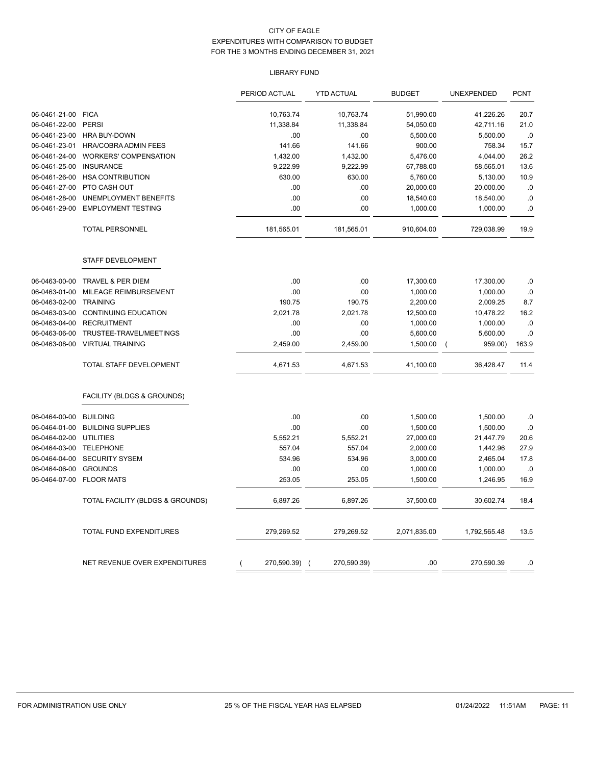# LIBRARY FUND

|               |                                  |                | PERIOD ACTUAL | <b>YTD ACTUAL</b> |          | <b>BUDGET</b> | UNEXPENDED          | <b>PCNT</b> |
|---------------|----------------------------------|----------------|---------------|-------------------|----------|---------------|---------------------|-------------|
| 06-0461-21-00 | <b>FICA</b>                      |                | 10,763.74     | 10,763.74         |          | 51,990.00     | 41,226.26           | 20.7        |
| 06-0461-22-00 | <b>PERSI</b>                     |                | 11,338.84     | 11,338.84         |          | 54,050.00     | 42,711.16           | 21.0        |
| 06-0461-23-00 | <b>HRA BUY-DOWN</b>              |                | .00           |                   | .00      | 5,500.00      | 5,500.00            | .0          |
| 06-0461-23-01 | HRA/COBRA ADMIN FEES             |                | 141.66        |                   | 141.66   | 900.00        | 758.34              | 15.7        |
| 06-0461-24-00 | WORKERS' COMPENSATION            |                | 1,432.00      |                   | 1,432.00 | 5,476.00      | 4,044.00            | 26.2        |
| 06-0461-25-00 | <b>INSURANCE</b>                 |                | 9,222.99      |                   | 9,222.99 | 67,788.00     | 58,565.01           | 13.6        |
| 06-0461-26-00 | <b>HSA CONTRIBUTION</b>          |                | 630.00        |                   | 630.00   | 5,760.00      | 5,130.00            | 10.9        |
| 06-0461-27-00 | PTO CASH OUT                     |                | .00           |                   | .00      | 20,000.00     | 20,000.00           | .0          |
| 06-0461-28-00 | UNEMPLOYMENT BENEFITS            |                | .00           |                   | .00      | 18,540.00     | 18,540.00           | .0          |
| 06-0461-29-00 | <b>EMPLOYMENT TESTING</b>        |                | .00           |                   | .00      | 1,000.00      | 1,000.00            | .0          |
|               | <b>TOTAL PERSONNEL</b>           |                | 181,565.01    | 181,565.01        |          | 910,604.00    | 729,038.99          | 19.9        |
|               | STAFF DEVELOPMENT                |                |               |                   |          |               |                     |             |
| 06-0463-00-00 | TRAVEL & PER DIEM                |                | .00           |                   | .00      | 17,300.00     | 17,300.00           | .0          |
| 06-0463-01-00 | MILEAGE REIMBURSEMENT            |                | .00           |                   | .00      | 1,000.00      | 1,000.00            | $\cdot$ 0   |
| 06-0463-02-00 | <b>TRAINING</b>                  |                | 190.75        |                   | 190.75   | 2,200.00      | 2,009.25            | 8.7         |
| 06-0463-03-00 | <b>CONTINUING EDUCATION</b>      |                | 2,021.78      |                   | 2,021.78 | 12,500.00     | 10,478.22           | 16.2        |
| 06-0463-04-00 | <b>RECRUITMENT</b>               |                | .00           |                   | .00      | 1,000.00      | 1,000.00            | .0          |
| 06-0463-06-00 | TRUSTEE-TRAVEL/MEETINGS          |                | .00           |                   | .00      | 5,600.00      | 5,600.00            | .0          |
| 06-0463-08-00 | <b>VIRTUAL TRAINING</b>          |                | 2,459.00      |                   | 2,459.00 | 1,500.00      | 959.00)<br>$\left($ | 163.9       |
|               | TOTAL STAFF DEVELOPMENT          |                | 4,671.53      |                   | 4,671.53 | 41,100.00     | 36,428.47           | 11.4        |
|               | FACILITY (BLDGS & GROUNDS)       |                |               |                   |          |               |                     |             |
| 06-0464-00-00 | <b>BUILDING</b>                  |                | .00           |                   | .00      | 1,500.00      | 1,500.00            | .0          |
| 06-0464-01-00 | <b>BUILDING SUPPLIES</b>         |                | .00           |                   | .00      | 1,500.00      | 1,500.00            | .0          |
| 06-0464-02-00 | <b>UTILITIES</b>                 |                | 5,552.21      |                   | 5,552.21 | 27,000.00     | 21,447.79           | 20.6        |
| 06-0464-03-00 | <b>TELEPHONE</b>                 |                | 557.04        |                   | 557.04   | 2,000.00      | 1,442.96            | 27.9        |
| 06-0464-04-00 | <b>SECURITY SYSEM</b>            |                | 534.96        |                   | 534.96   | 3,000.00      | 2,465.04            | 17.8        |
| 06-0464-06-00 | <b>GROUNDS</b>                   |                | .00           |                   | .00      | 1,000.00      | 1,000.00            | .0          |
| 06-0464-07-00 | <b>FLOOR MATS</b>                |                | 253.05        |                   | 253.05   | 1,500.00      | 1,246.95            | 16.9        |
|               | TOTAL FACILITY (BLDGS & GROUNDS) |                | 6,897.26      |                   | 6,897.26 | 37,500.00     | 30,602.74           | 18.4        |
|               | TOTAL FUND EXPENDITURES          |                | 279,269.52    | 279,269.52        |          | 2,071,835.00  | 1,792,565.48        | 13.5        |
|               | NET REVENUE OVER EXPENDITURES    | $\overline{ }$ | 270,590.39) ( | 270,590.39)       |          | .00           | 270,590.39          | .0          |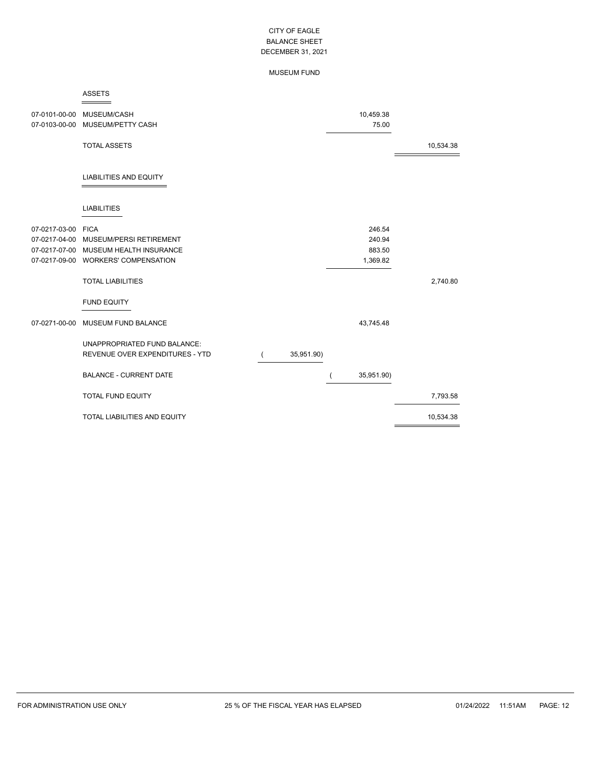### MUSEUM FUND

#### ASSETS  $=$

|                    | 07-0101-00-00 MUSEUM/CASH<br>07-0103-00-00 MUSEUM/PETTY CASH |            | 10,459.38<br>75.00 |           |
|--------------------|--------------------------------------------------------------|------------|--------------------|-----------|
|                    | <b>TOTAL ASSETS</b>                                          |            |                    | 10,534.38 |
|                    | <b>LIABILITIES AND EQUITY</b>                                |            |                    |           |
|                    | <b>LIABILITIES</b>                                           |            |                    |           |
| 07-0217-03-00 FICA |                                                              |            | 246.54             |           |
| 07-0217-04-00      | MUSEUM/PERSI RETIREMENT                                      |            | 240.94             |           |
|                    | 07-0217-07-00 MUSEUM HEALTH INSURANCE                        |            | 883.50             |           |
|                    | 07-0217-09-00 WORKERS' COMPENSATION                          |            | 1,369.82           |           |
|                    | <b>TOTAL LIABILITIES</b>                                     |            |                    | 2,740.80  |
|                    | <b>FUND EQUITY</b>                                           |            |                    |           |
| 07-0271-00-00      | MUSEUM FUND BALANCE                                          |            | 43,745.48          |           |
|                    | UNAPPROPRIATED FUND BALANCE:                                 |            |                    |           |
|                    | REVENUE OVER EXPENDITURES - YTD                              | 35,951.90) |                    |           |
|                    | <b>BALANCE - CURRENT DATE</b>                                |            | 35,951.90)         |           |
|                    | <b>TOTAL FUND EQUITY</b>                                     |            |                    | 7,793.58  |
|                    | TOTAL LIABILITIES AND EQUITY                                 |            |                    | 10,534.38 |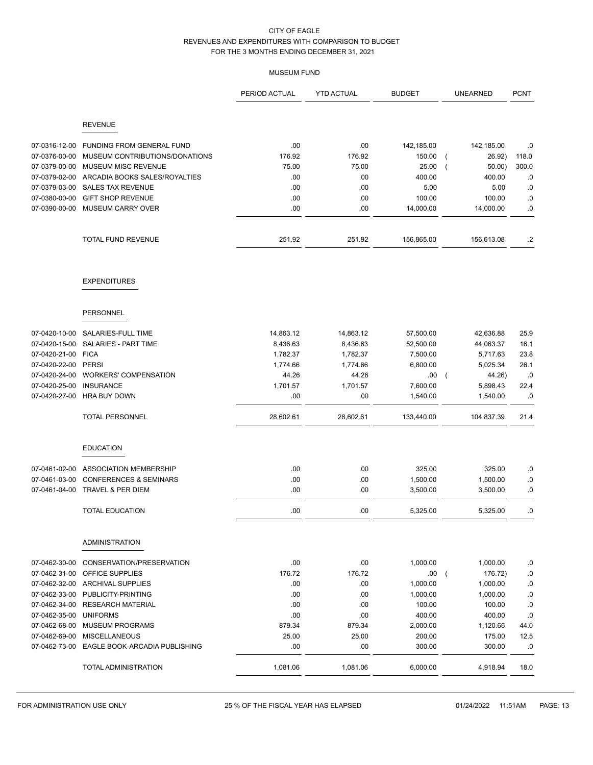# MUSEUM FUND

|                                |                                                      | PERIOD ACTUAL     | <b>YTD ACTUAL</b> | <b>BUDGET</b>       | <b>UNEARNED</b>                      | <b>PCNT</b> |
|--------------------------------|------------------------------------------------------|-------------------|-------------------|---------------------|--------------------------------------|-------------|
|                                | <b>REVENUE</b>                                       |                   |                   |                     |                                      |             |
|                                |                                                      |                   |                   |                     |                                      |             |
| 07-0316-12-00                  | <b>FUNDING FROM GENERAL FUND</b>                     | .00               | .00               | 142,185.00          | 142,185.00                           | .0          |
| 07-0376-00-00                  | MUSEUM CONTRIBUTIONS/DONATIONS                       | 176.92            | 176.92            | 150.00              | 26.92)                               | 118.0       |
| 07-0379-00-00                  | MUSEUM MISC REVENUE                                  | 75.00             | 75.00             | 25.00               | $50.00$ )                            | 300.0       |
| 07-0379-02-00                  | ARCADIA BOOKS SALES/ROYALTIES                        | .00               | .00               | 400.00              | 400.00                               | .0          |
| 07-0379-03-00                  | <b>SALES TAX REVENUE</b>                             | .00               | .00               | 5.00                | 5.00                                 | .0          |
| 07-0380-00-00                  | <b>GIFT SHOP REVENUE</b><br><b>MUSEUM CARRY OVER</b> | .00<br>.00        | .00               | 100.00<br>14,000.00 | 100.00                               | .0          |
| 07-0390-00-00                  |                                                      |                   | .00.              |                     | 14,000.00                            | .0          |
|                                | TOTAL FUND REVENUE                                   | 251.92            | 251.92            | 156,865.00          | 156,613.08                           | $\cdot$     |
|                                | <b>EXPENDITURES</b>                                  |                   |                   |                     |                                      |             |
|                                | <b>PERSONNEL</b>                                     |                   |                   |                     |                                      |             |
|                                |                                                      |                   |                   |                     |                                      |             |
| 07-0420-10-00                  | SALARIES-FULL TIME                                   | 14,863.12         | 14,863.12         | 57,500.00           | 42,636.88                            | 25.9        |
| 07-0420-15-00                  | SALARIES - PART TIME                                 | 8,436.63          | 8,436.63          | 52,500.00           | 44,063.37                            | 16.1        |
| 07-0420-21-00<br>07-0420-22-00 | <b>FICA</b>                                          | 1,782.37          | 1,782.37          | 7,500.00            | 5,717.63                             | 23.8        |
| 07-0420-24-00                  | <b>PERSI</b><br><b>WORKERS' COMPENSATION</b>         | 1,774.66          | 1,774.66          | 6,800.00            | 5,025.34                             | 26.1        |
| 07-0420-25-00                  | <b>INSURANCE</b>                                     | 44.26<br>1,701.57 | 44.26<br>1,701.57 | .00.<br>7,600.00    | 44.26)<br>$\overline{ }$<br>5,898.43 | .0<br>22.4  |
| 07-0420-27-00                  | <b>HRA BUY DOWN</b>                                  | .00               | .00               | 1,540.00            | 1,540.00                             | .0          |
|                                | <b>TOTAL PERSONNEL</b>                               | 28,602.61         | 28,602.61         | 133,440.00          | 104,837.39                           | 21.4        |
|                                | <b>EDUCATION</b>                                     |                   |                   |                     |                                      |             |
| 07-0461-02-00                  | ASSOCIATION MEMBERSHIP                               | .00               | .00               | 325.00              | 325.00                               | .0          |
| 07-0461-03-00                  | <b>CONFERENCES &amp; SEMINARS</b>                    | .00               | .00               | 1,500.00            | 1,500.00                             | .0          |
| 07-0461-04-00                  | TRAVEL & PER DIEM                                    | .00               | .00               | 3,500.00            | 3,500.00                             | .0          |
|                                | <b>TOTAL EDUCATION</b>                               | .00               | .00               | 5,325.00            | 5,325.00                             | .0          |
|                                | <b>ADMINISTRATION</b>                                |                   |                   |                     |                                      |             |
| 07-0462-30-00                  | CONSERVATION/PRESERVATION                            | .00               | .00               | 1,000.00            | 1,000.00                             | .0          |
| 07-0462-31-00                  | OFFICE SUPPLIES                                      | 176.72            | 176.72            | .00.                | 176.72)<br>$\overline{ }$            | .0          |
|                                | 07-0462-32-00 ARCHIVAL SUPPLIES                      | .00.              | .00.              | 1,000.00            | 1,000.00                             | .0          |
| 07-0462-33-00                  | PUBLICITY-PRINTING                                   | .00               | .00               | 1,000.00            | 1,000.00                             | .0          |
| 07-0462-34-00                  | <b>RESEARCH MATERIAL</b>                             | .00               | .00               | 100.00              | 100.00                               | .0          |
| 07-0462-35-00                  | <b>UNIFORMS</b>                                      | .00               | .00               | 400.00              | 400.00                               | .0          |
| 07-0462-68-00                  | <b>MUSEUM PROGRAMS</b>                               | 879.34            | 879.34            | 2,000.00            | 1,120.66                             | 44.0        |
| 07-0462-69-00                  | <b>MISCELLANEOUS</b>                                 | 25.00             | 25.00             | 200.00              | 175.00                               | 12.5        |
| 07-0462-73-00                  | EAGLE BOOK-ARCADIA PUBLISHING                        | .00               | .00.              | 300.00              | 300.00                               | .0          |
|                                | <b>TOTAL ADMINISTRATION</b>                          | 1,081.06          | 1,081.06          | 6,000.00            | 4,918.94                             | 18.0        |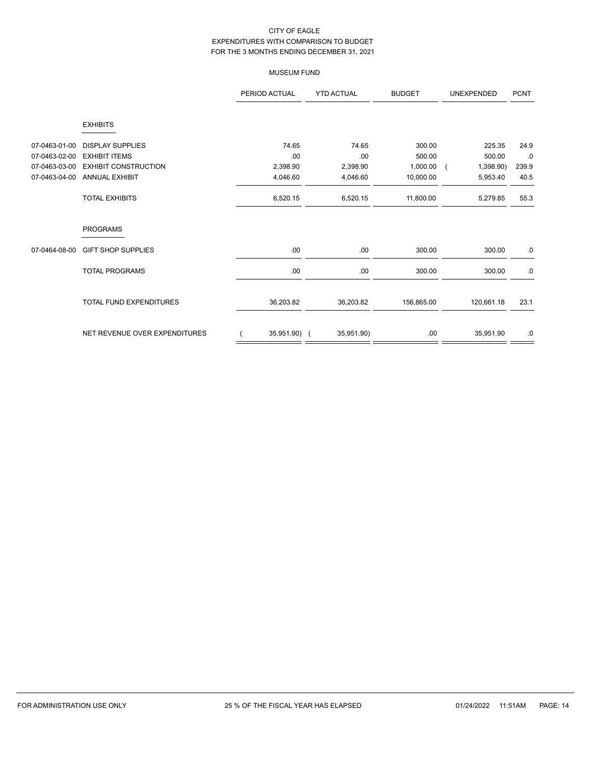# MUSEUM FUND

|               |                               | PERIOD ACTUAL | <b>YTD ACTUAL</b> | <b>BUDGET</b> | UNEXPENDED              | <b>PCNT</b> |
|---------------|-------------------------------|---------------|-------------------|---------------|-------------------------|-------------|
|               | <b>EXHIBITS</b>               |               |                   |               |                         |             |
| 07-0463-01-00 | <b>DISPLAY SUPPLIES</b>       | 74.65         | 74.65             | 300.00        | 225.35                  | 24.9        |
| 07-0463-02-00 | <b>EXHIBIT ITEMS</b>          | .00           | .00               | 500.00        | 500.00                  | .0          |
| 07-0463-03-00 | <b>EXHIBIT CONSTRUCTION</b>   | 2,398.90      | 2,398.90          | 1,000.00      | 1,398.90)<br>$\sqrt{ }$ | 239.9       |
| 07-0463-04-00 | <b>ANNUAL EXHIBIT</b>         | 4,046.60      | 4,046.60          | 10,000.00     | 5,953.40                | 40.5        |
|               | <b>TOTAL EXHIBITS</b>         | 6,520.15      | 6,520.15          | 11,800.00     | 5,279.85                | 55.3        |
|               | <b>PROGRAMS</b>               |               |                   |               |                         |             |
| 07-0464-08-00 | <b>GIFT SHOP SUPPLIES</b>     | .00           | .00               | 300.00        | 300.00                  | .0          |
|               | <b>TOTAL PROGRAMS</b>         | .00.          | .00               | 300.00        | 300.00                  | .0          |
|               | TOTAL FUND EXPENDITURES       | 36,203.82     | 36,203.82         | 156,865.00    | 120,661.18              | 23.1        |
|               | NET REVENUE OVER EXPENDITURES | 35,951.90) (  | 35,951.90)        | .00.          | 35,951.90               | .0          |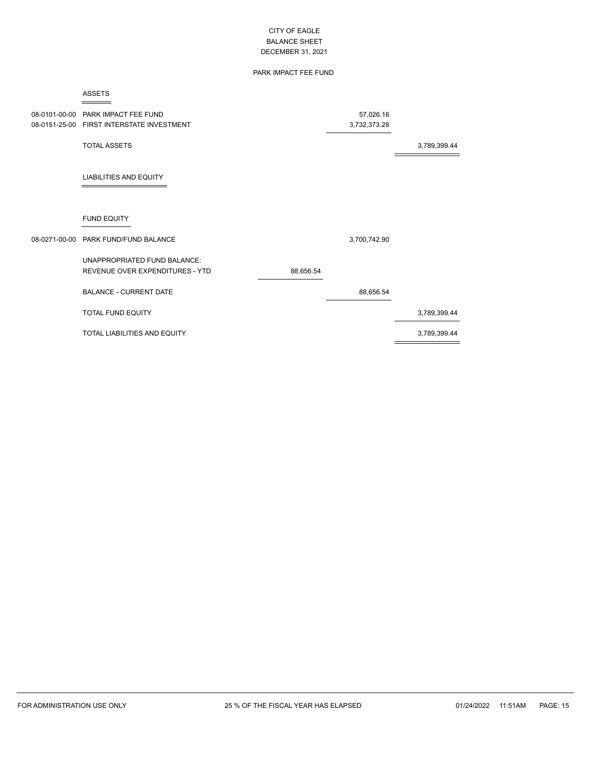# PARK IMPACT FEE FUND

#### ASSETS  $=$

| 08-0101-00-00<br>08-0151-25-00 | PARK IMPACT FEE FUND<br>FIRST INTERSTATE INVESTMENT             |           | 57,026.16<br>3,732,373.28 |              |
|--------------------------------|-----------------------------------------------------------------|-----------|---------------------------|--------------|
|                                | <b>TOTAL ASSETS</b>                                             |           |                           | 3,789,399.44 |
|                                | <b>LIABILITIES AND EQUITY</b>                                   |           |                           |              |
|                                | <b>FUND EQUITY</b>                                              |           |                           |              |
|                                | 08-0271-00-00 PARK FUND/FUND BALANCE                            |           | 3,700,742.90              |              |
|                                | UNAPPROPRIATED FUND BALANCE:<br>REVENUE OVER EXPENDITURES - YTD | 88,656.54 |                           |              |
|                                | <b>BALANCE - CURRENT DATE</b>                                   |           | 88,656.54                 |              |
|                                | <b>TOTAL FUND EQUITY</b>                                        |           |                           | 3,789,399.44 |
|                                | TOTAL LIABILITIES AND EQUITY                                    |           |                           | 3,789,399.44 |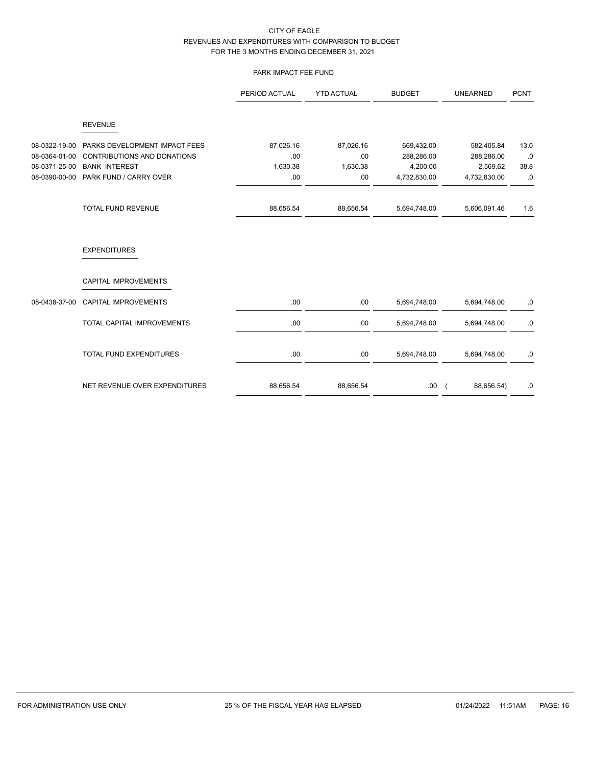# PARK IMPACT FEE FUND

|                                                                  |                                                                                                                       | PERIOD ACTUAL                        | <b>YTD ACTUAL</b>                   | <b>BUDGET</b>                                        | <b>UNEARNED</b>                                      | <b>PCNT</b>              |
|------------------------------------------------------------------|-----------------------------------------------------------------------------------------------------------------------|--------------------------------------|-------------------------------------|------------------------------------------------------|------------------------------------------------------|--------------------------|
|                                                                  | <b>REVENUE</b>                                                                                                        |                                      |                                     |                                                      |                                                      |                          |
| 08-0322-19-00<br>08-0364-01-00<br>08-0371-25-00<br>08-0390-00-00 | PARKS DEVELOPMENT IMPACT FEES<br><b>CONTRIBUTIONS AND DONATIONS</b><br><b>BANK INTEREST</b><br>PARK FUND / CARRY OVER | 87,026.16<br>.00<br>1,630.38<br>.00. | 87,026.16<br>.00<br>1,630.38<br>.00 | 669,432.00<br>288,286.00<br>4,200.00<br>4,732,830.00 | 582,405.84<br>288,286.00<br>2,569.62<br>4,732,830.00 | 13.0<br>.0<br>38.8<br>.0 |
|                                                                  | TOTAL FUND REVENUE                                                                                                    | 88,656.54                            | 88,656.54                           | 5,694,748.00                                         | 5,606,091.46                                         | 1.6                      |
|                                                                  | <b>EXPENDITURES</b>                                                                                                   |                                      |                                     |                                                      |                                                      |                          |
|                                                                  | <b>CAPITAL IMPROVEMENTS</b>                                                                                           |                                      |                                     |                                                      |                                                      |                          |
| 08-0438-37-00                                                    | CAPITAL IMPROVEMENTS                                                                                                  | .00.                                 | .00.                                | 5,694,748.00                                         | 5,694,748.00                                         | .0                       |
|                                                                  | TOTAL CAPITAL IMPROVEMENTS                                                                                            | .00.                                 | .00.                                | 5,694,748.00                                         | 5,694,748.00                                         | .0                       |
|                                                                  | <b>TOTAL FUND EXPENDITURES</b>                                                                                        | .00                                  | .00                                 | 5,694,748.00                                         | 5,694,748.00                                         | .0                       |
|                                                                  | NET REVENUE OVER EXPENDITURES                                                                                         | 88,656.54                            | 88,656.54                           | .00.                                                 | 88,656.54)<br>$\sqrt{2}$                             | .0                       |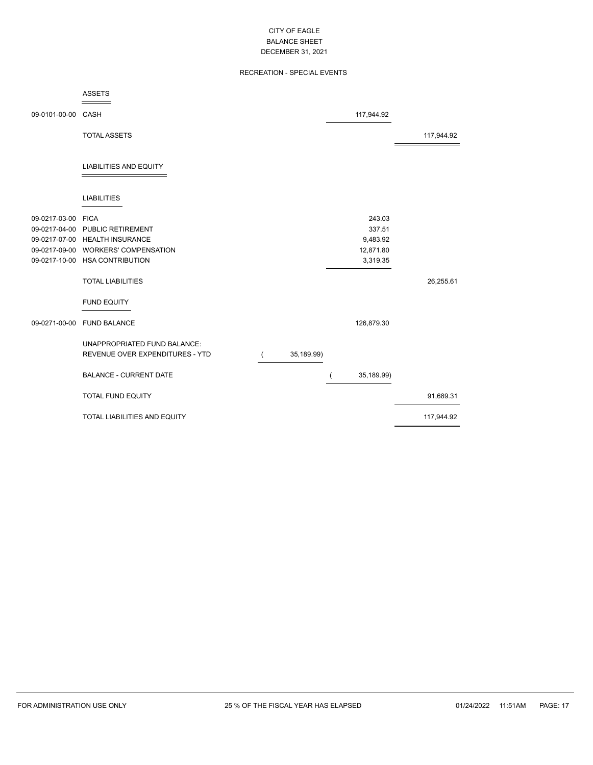# RECREATION - SPECIAL EVENTS

|                    | <b>ASSETS</b>                       |            |            |            |
|--------------------|-------------------------------------|------------|------------|------------|
| 09-0101-00-00      | CASH                                |            | 117,944.92 |            |
|                    | <b>TOTAL ASSETS</b>                 |            |            | 117,944.92 |
|                    | <b>LIABILITIES AND EQUITY</b>       |            |            |            |
|                    | <b>LIABILITIES</b>                  |            |            |            |
| 09-0217-03-00 FICA |                                     |            | 243.03     |            |
|                    | 09-0217-04-00 PUBLIC RETIREMENT     |            | 337.51     |            |
|                    | 09-0217-07-00 HEALTH INSURANCE      |            | 9,483.92   |            |
|                    | 09-0217-09-00 WORKERS' COMPENSATION |            | 12,871.80  |            |
|                    | 09-0217-10-00 HSA CONTRIBUTION      |            | 3,319.35   |            |
|                    | <b>TOTAL LIABILITIES</b>            |            |            | 26,255.61  |
|                    | <b>FUND EQUITY</b>                  |            |            |            |
| 09-0271-00-00      | <b>FUND BALANCE</b>                 |            | 126,879.30 |            |
|                    | UNAPPROPRIATED FUND BALANCE:        |            |            |            |
|                    | REVENUE OVER EXPENDITURES - YTD     | 35,189.99) |            |            |
|                    |                                     |            |            |            |
|                    | <b>BALANCE - CURRENT DATE</b>       |            | 35,189.99) |            |
|                    | <b>TOTAL FUND EQUITY</b>            |            |            | 91,689.31  |
|                    | TOTAL LIABILITIES AND EQUITY        |            |            | 117,944.92 |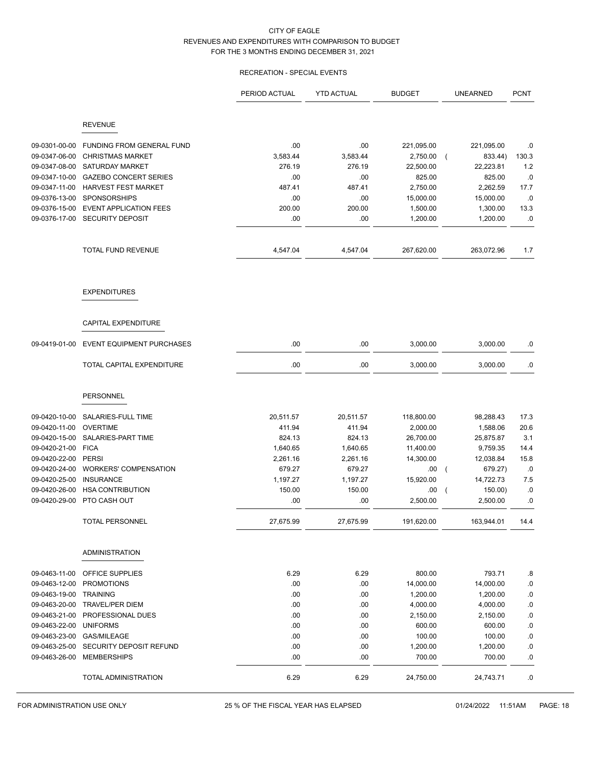# RECREATION - SPECIAL EVENTS

|                                |                                                   | PERIOD ACTUAL | <b>YTD ACTUAL</b> | <b>BUDGET</b> | <b>UNEARNED</b>      | <b>PCNT</b> |
|--------------------------------|---------------------------------------------------|---------------|-------------------|---------------|----------------------|-------------|
|                                | <b>REVENUE</b>                                    |               |                   |               |                      |             |
|                                |                                                   |               |                   |               |                      |             |
| 09-0301-00-00                  | FUNDING FROM GENERAL FUND                         | .00           | .00               | 221,095.00    | 221,095.00           | .0          |
| 09-0347-06-00                  | <b>CHRISTMAS MARKET</b>                           | 3,583.44      | 3,583.44          | 2,750.00      | 833.44)<br>$\left($  | 130.3       |
| 09-0347-08-00                  | SATURDAY MARKET                                   | 276.19        | 276.19            | 22,500.00     | 22,223.81            | 1.2         |
| 09-0347-10-00                  | <b>GAZEBO CONCERT SERIES</b>                      | .00           | .00               | 825.00        | 825.00               | .0          |
| 09-0347-11-00                  | <b>HARVEST FEST MARKET</b><br><b>SPONSORSHIPS</b> | 487.41        | 487.41            | 2,750.00      | 2,262.59             | 17.7        |
| 09-0376-13-00<br>09-0376-15-00 | <b>EVENT APPLICATION FEES</b>                     | .00<br>200.00 | .00<br>200.00     | 15,000.00     | 15,000.00            | .0          |
|                                | 09-0376-17-00 SECURITY DEPOSIT                    | .00           | .00               | 1,500.00      | 1,300.00<br>1,200.00 | 13.3<br>.0  |
|                                |                                                   |               |                   | 1,200.00      |                      |             |
|                                | <b>TOTAL FUND REVENUE</b>                         | 4,547.04      | 4,547.04          | 267,620.00    | 263,072.96           | 1.7         |
|                                | <b>EXPENDITURES</b>                               |               |                   |               |                      |             |
|                                | <b>CAPITAL EXPENDITURE</b>                        |               |                   |               |                      |             |
| 09-0419-01-00                  | <b>EVENT EQUIPMENT PURCHASES</b>                  | .00           | .00               | 3,000.00      | 3,000.00             | .0          |
|                                | TOTAL CAPITAL EXPENDITURE                         | .00           | .00               | 3,000.00      | 3,000.00             | .0          |
|                                | PERSONNEL                                         |               |                   |               |                      |             |
| 09-0420-10-00                  | SALARIES-FULL TIME                                | 20,511.57     | 20,511.57         | 118,800.00    | 98,288.43            | 17.3        |
| 09-0420-11-00                  | <b>OVERTIME</b>                                   | 411.94        | 411.94            | 2,000.00      | 1,588.06             | 20.6        |
| 09-0420-15-00                  | SALARIES-PART TIME                                | 824.13        | 824.13            | 26,700.00     | 25,875.87            | 3.1         |
| 09-0420-21-00                  | <b>FICA</b>                                       | 1,640.65      | 1,640.65          | 11,400.00     | 9,759.35             | 14.4        |
| 09-0420-22-00                  | <b>PERSI</b>                                      | 2,261.16      | 2,261.16          | 14,300.00     | 12,038.84            | 15.8        |
| 09-0420-24-00                  | <b>WORKERS' COMPENSATION</b>                      | 679.27        | 679.27            | .00           | 679.27)<br>$\left($  | .0          |
| 09-0420-25-00                  | <b>INSURANCE</b>                                  | 1,197.27      | 1,197.27          | 15,920.00     | 14,722.73            | 7.5         |
| 09-0420-26-00                  | <b>HSA CONTRIBUTION</b>                           | 150.00        | 150.00            | .00.          | 150.00)<br>$\left($  | .0          |
| 09-0420-29-00                  | PTO CASH OUT                                      | .00           | .00               | 2,500.00      | 2,500.00             | .0          |
|                                | <b>TOTAL PERSONNEL</b>                            | 27,675.99     | 27,675.99         | 191,620.00    | 163,944.01           | 14.4        |
|                                | <b>ADMINISTRATION</b>                             |               |                   |               |                      |             |
| 09-0463-11-00                  | OFFICE SUPPLIES                                   | 6.29          | 6.29              | 800.00        | 793.71               | .8          |
| 09-0463-12-00                  | <b>PROMOTIONS</b>                                 | .00           | .00               | 14,000.00     | 14,000.00            | .0          |
| 09-0463-19-00                  | <b>TRAINING</b>                                   | .00           | .00               | 1,200.00      | 1,200.00             | $\cdot$ 0   |
| 09-0463-20-00                  | TRAVEL/PER DIEM                                   | .00           | .00               | 4,000.00      | 4,000.00             | $\cdot$ 0   |
| 09-0463-21-00                  | PROFESSIONAL DUES                                 | .00           | .00               | 2,150.00      | 2,150.00             | $\cdot$ 0   |
| 09-0463-22-00                  | <b>UNIFORMS</b>                                   | .00           | .00               | 600.00        | 600.00               | $\cdot$ 0   |
| 09-0463-23-00                  | <b>GAS/MILEAGE</b>                                | .00           | .00               | 100.00        | 100.00               | .0          |
| 09-0463-25-00                  | SECURITY DEPOSIT REFUND                           | .00           | .00               | 1,200.00      | 1,200.00             | $\cdot$ 0   |
| 09-0463-26-00                  | <b>MEMBERSHIPS</b>                                | .00           | .00               | 700.00        | 700.00               | $\cdot$ 0   |
|                                | TOTAL ADMINISTRATION                              | 6.29          | 6.29              | 24,750.00     | 24,743.71            | .0          |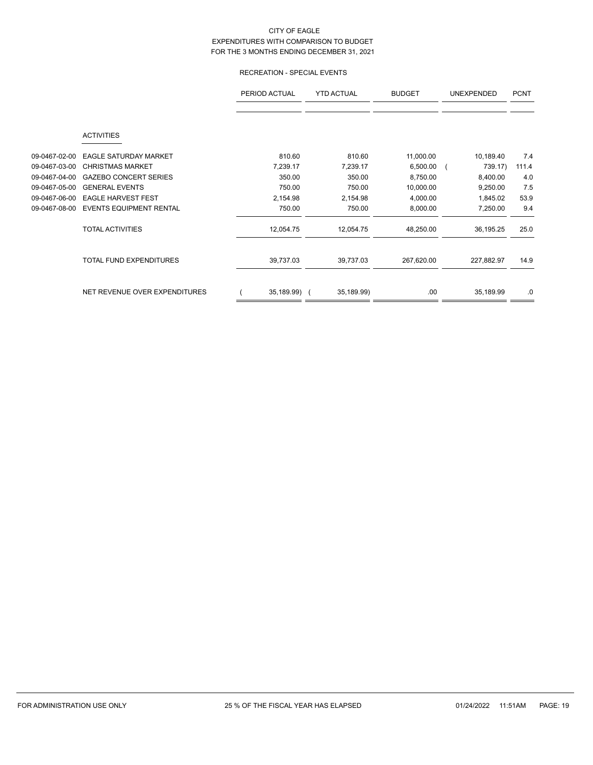# RECREATION - SPECIAL EVENTS

|               |                                | PERIOD ACTUAL<br><b>YTD ACTUAL</b><br><b>BUDGET</b> |            | <b>UNEXPENDED</b> | <b>PCNT</b> |       |
|---------------|--------------------------------|-----------------------------------------------------|------------|-------------------|-------------|-------|
|               | <b>ACTIVITIES</b>              |                                                     |            |                   |             |       |
| 09-0467-02-00 | <b>EAGLE SATURDAY MARKET</b>   | 810.60                                              | 810.60     | 11,000.00         | 10,189.40   | 7.4   |
| 09-0467-03-00 | <b>CHRISTMAS MARKET</b>        | 7,239.17                                            | 7,239.17   | 6,500.00          | 739.17)     | 111.4 |
| 09-0467-04-00 | <b>GAZEBO CONCERT SERIES</b>   | 350.00                                              | 350.00     | 8,750.00          | 8,400.00    | 4.0   |
| 09-0467-05-00 | <b>GENERAL EVENTS</b>          | 750.00                                              | 750.00     | 10,000.00         | 9,250.00    | 7.5   |
| 09-0467-06-00 | <b>EAGLE HARVEST FEST</b>      | 2,154.98                                            | 2,154.98   | 4,000.00          | 1,845.02    | 53.9  |
| 09-0467-08-00 | <b>EVENTS EQUIPMENT RENTAL</b> | 750.00                                              | 750.00     | 8,000.00          | 7,250.00    | 9.4   |
|               | <b>TOTAL ACTIVITIES</b>        | 12,054.75                                           | 12,054.75  | 48,250.00         | 36,195.25   | 25.0  |
|               | <b>TOTAL FUND EXPENDITURES</b> | 39,737.03                                           | 39,737.03  | 267,620.00        | 227,882.97  | 14.9  |
|               | NET REVENUE OVER EXPENDITURES  | 35,189.99) (                                        | 35,189.99) | .00               | 35,189.99   | .0    |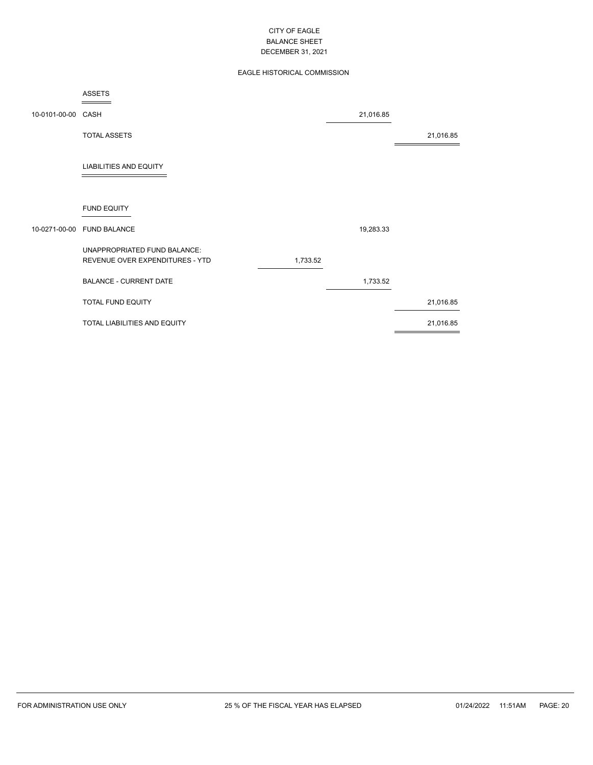# EAGLE HISTORICAL COMMISSION

|                    | <b>ASSETS</b>                                                   |          |           |           |
|--------------------|-----------------------------------------------------------------|----------|-----------|-----------|
| 10-0101-00-00 CASH |                                                                 |          | 21,016.85 |           |
|                    | <b>TOTAL ASSETS</b>                                             |          |           | 21,016.85 |
|                    | <b>LIABILITIES AND EQUITY</b>                                   |          |           |           |
|                    | <b>FUND EQUITY</b>                                              |          |           |           |
|                    | 10-0271-00-00 FUND BALANCE                                      |          | 19,283.33 |           |
|                    | UNAPPROPRIATED FUND BALANCE:<br>REVENUE OVER EXPENDITURES - YTD | 1,733.52 |           |           |
|                    | <b>BALANCE - CURRENT DATE</b>                                   |          | 1,733.52  |           |
|                    | TOTAL FUND EQUITY                                               |          |           | 21,016.85 |
|                    | TOTAL LIABILITIES AND EQUITY                                    |          |           | 21,016.85 |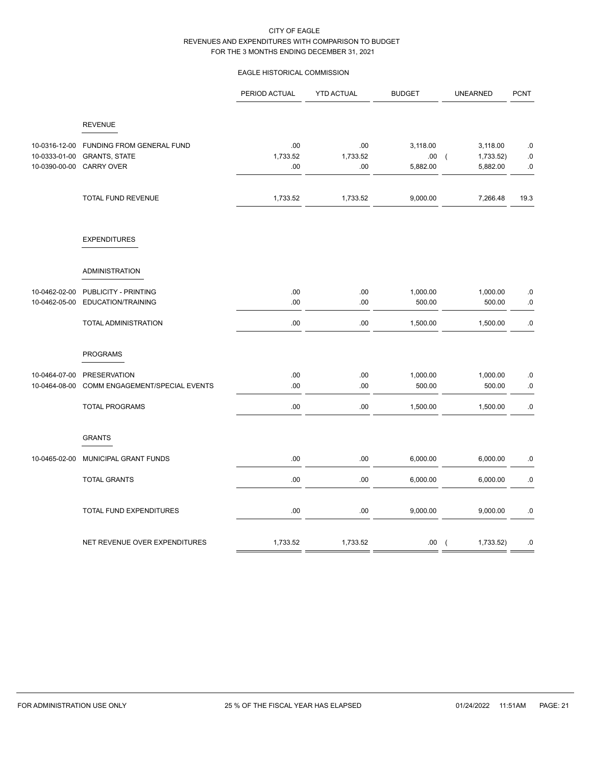# EAGLE HISTORICAL COMMISSION

|                                                 |                                                                        | PERIOD ACTUAL          | <b>YTD ACTUAL</b>      | <b>BUDGET</b>               | <b>UNEARNED</b>                                     | <b>PCNT</b>            |
|-------------------------------------------------|------------------------------------------------------------------------|------------------------|------------------------|-----------------------------|-----------------------------------------------------|------------------------|
|                                                 | <b>REVENUE</b>                                                         |                        |                        |                             |                                                     |                        |
| 10-0316-12-00<br>10-0333-01-00<br>10-0390-00-00 | FUNDING FROM GENERAL FUND<br><b>GRANTS, STATE</b><br><b>CARRY OVER</b> | .00<br>1,733.52<br>.00 | .00<br>1,733.52<br>.00 | 3,118.00<br>.00<br>5,882.00 | 3,118.00<br>1,733.52)<br>$\overline{ }$<br>5,882.00 | .0<br>.0<br>${\bf .0}$ |
|                                                 | TOTAL FUND REVENUE                                                     | 1,733.52               | 1,733.52               | 9,000.00                    | 7,266.48                                            | 19.3                   |
|                                                 | <b>EXPENDITURES</b>                                                    |                        |                        |                             |                                                     |                        |
|                                                 | <b>ADMINISTRATION</b>                                                  |                        |                        |                             |                                                     |                        |
| 10-0462-02-00<br>10-0462-05-00                  | PUBLICITY - PRINTING<br>EDUCATION/TRAINING                             | .00<br>.00             | .00<br>.00             | 1,000.00<br>500.00          | 1,000.00<br>500.00                                  | $.0\,$<br>$.0\,$       |
|                                                 | TOTAL ADMINISTRATION                                                   | .00                    | .00                    | 1,500.00                    | 1,500.00                                            | $.0\,$                 |
|                                                 | <b>PROGRAMS</b>                                                        |                        |                        |                             |                                                     |                        |
| 10-0464-07-00<br>10-0464-08-00                  | PRESERVATION<br>COMM ENGAGEMENT/SPECIAL EVENTS                         | .00<br>.00             | .00<br>.00             | 1,000.00<br>500.00          | 1,000.00<br>500.00                                  | .0<br>$.0\,$           |
|                                                 | <b>TOTAL PROGRAMS</b>                                                  | .00                    | .00                    | 1,500.00                    | 1,500.00                                            | .0                     |
|                                                 | <b>GRANTS</b>                                                          |                        |                        |                             |                                                     |                        |
| 10-0465-02-00                                   | MUNICIPAL GRANT FUNDS                                                  | .00                    | .00                    | 6,000.00                    | 6,000.00                                            | .0                     |
|                                                 | <b>TOTAL GRANTS</b>                                                    | .00                    | .00                    | 6,000.00                    | 6,000.00                                            | .0                     |
|                                                 | TOTAL FUND EXPENDITURES                                                | .00                    | .00                    | 9,000.00                    | 9,000.00                                            | .0                     |
|                                                 | NET REVENUE OVER EXPENDITURES                                          | 1,733.52               | 1,733.52               | .00.                        | 1,733.52)<br>$\left($                               | .0                     |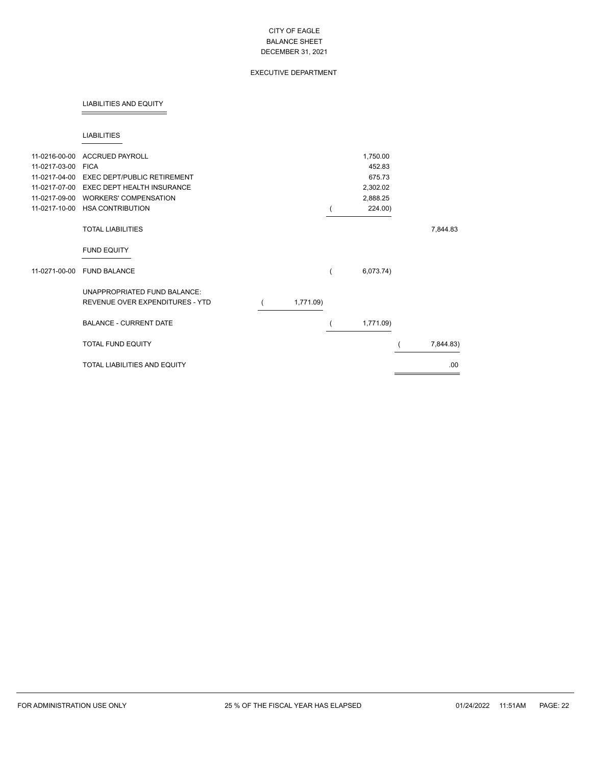## EXECUTIVE DEPARTMENT

### LIABILITIES AND EQUITY

### LIABILITIES

| 11-0216-00-00 | <b>ACCRUED PAYROLL</b>                                          |           | 1,750.00  |           |
|---------------|-----------------------------------------------------------------|-----------|-----------|-----------|
| 11-0217-03-00 | <b>FICA</b>                                                     |           | 452.83    |           |
| 11-0217-04-00 | <b>EXEC DEPT/PUBLIC RETIREMENT</b>                              |           | 675.73    |           |
| 11-0217-07-00 | <b>EXEC DEPT HEALTH INSURANCE</b>                               |           | 2,302.02  |           |
| 11-0217-09-00 | <b>WORKERS' COMPENSATION</b>                                    |           | 2,888.25  |           |
| 11-0217-10-00 | <b>HSA CONTRIBUTION</b>                                         |           | 224.00)   |           |
|               | <b>TOTAL LIABILITIES</b>                                        |           |           | 7,844.83  |
|               | <b>FUND EQUITY</b>                                              |           |           |           |
| 11-0271-00-00 | <b>FUND BALANCE</b>                                             |           | 6,073.74) |           |
|               | UNAPPROPRIATED FUND BALANCE:<br>REVENUE OVER EXPENDITURES - YTD | 1,771.09) |           |           |
|               | <b>BALANCE - CURRENT DATE</b>                                   |           | 1,771.09) |           |
|               | <b>TOTAL FUND EQUITY</b>                                        |           |           | 7,844.83) |
|               | <b>TOTAL LIABILITIES AND EQUITY</b>                             |           |           | .00       |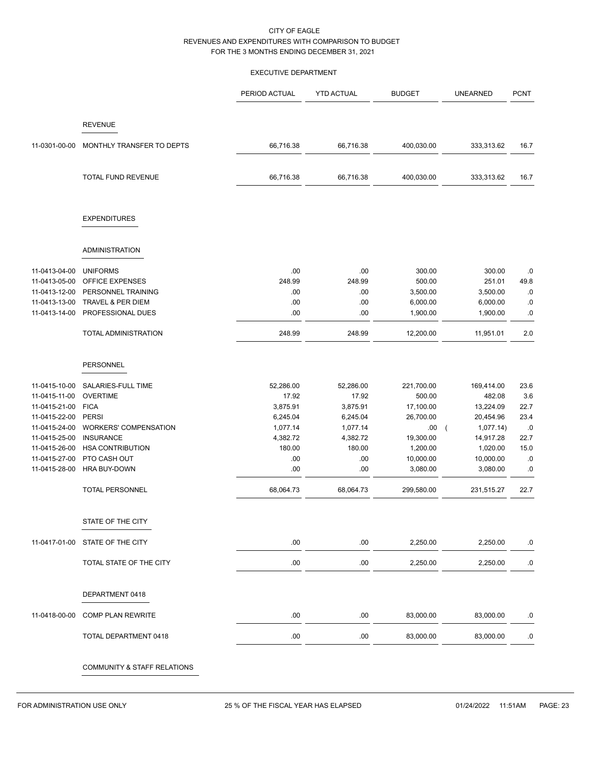### EXECUTIVE DEPARTMENT

|               |                              | PERIOD ACTUAL | <b>YTD ACTUAL</b> | <b>BUDGET</b> | <b>UNEARNED</b>         | <b>PCNT</b> |
|---------------|------------------------------|---------------|-------------------|---------------|-------------------------|-------------|
|               | <b>REVENUE</b>               |               |                   |               |                         |             |
| 11-0301-00-00 | MONTHLY TRANSFER TO DEPTS    | 66,716.38     | 66,716.38         | 400,030.00    | 333,313.62              | 16.7        |
|               | TOTAL FUND REVENUE           | 66,716.38     | 66,716.38         | 400,030.00    | 333,313.62              | 16.7        |
|               | <b>EXPENDITURES</b>          |               |                   |               |                         |             |
|               | <b>ADMINISTRATION</b>        |               |                   |               |                         |             |
| 11-0413-04-00 | <b>UNIFORMS</b>              | .00           | .00               | 300.00        | 300.00                  | .0          |
| 11-0413-05-00 | OFFICE EXPENSES              | 248.99        | 248.99            | 500.00        | 251.01                  | 49.8        |
| 11-0413-12-00 | PERSONNEL TRAINING           | .00           | .00               | 3,500.00      | 3,500.00                | $\cdot$ 0   |
| 11-0413-13-00 | <b>TRAVEL &amp; PER DIEM</b> | .00           | .00               | 6,000.00      | 6,000.00                | .0          |
| 11-0413-14-00 | PROFESSIONAL DUES            | .00           | .00               | 1,900.00      | 1,900.00                | .0          |
|               | TOTAL ADMINISTRATION         | 248.99        | 248.99            | 12,200.00     | 11,951.01               | 2.0         |
|               |                              |               |                   |               |                         |             |
|               | PERSONNEL                    |               |                   |               |                         |             |
| 11-0415-10-00 | SALARIES-FULL TIME           | 52,286.00     | 52,286.00         | 221,700.00    | 169,414.00              | 23.6        |
| 11-0415-11-00 | <b>OVERTIME</b>              | 17.92         | 17.92             | 500.00        | 482.08                  | 3.6         |
| 11-0415-21-00 | <b>FICA</b>                  | 3,875.91      | 3,875.91          | 17,100.00     | 13,224.09               | 22.7        |
| 11-0415-22-00 | <b>PERSI</b>                 | 6,245.04      | 6,245.04          | 26,700.00     | 20,454.96               | 23.4        |
| 11-0415-24-00 | <b>WORKERS' COMPENSATION</b> | 1,077.14      | 1,077.14          | .00.          | 1,077.14)<br>$\sqrt{2}$ | .0          |
| 11-0415-25-00 | <b>INSURANCE</b>             | 4,382.72      | 4,382.72          | 19,300.00     | 14,917.28               | 22.7        |
| 11-0415-26-00 | <b>HSA CONTRIBUTION</b>      | 180.00        | 180.00            | 1,200.00      | 1,020.00                | 15.0        |
| 11-0415-27-00 | PTO CASH OUT                 | .00           | .00               | 10,000.00     | 10,000.00               | .0          |
| 11-0415-28-00 | HRA BUY-DOWN                 | .00           | .00               | 3,080.00      | 3,080.00                | .0          |
|               | <b>TOTAL PERSONNEL</b>       | 68,064.73     | 68,064.73         | 299,580.00    | 231,515.27              | 22.7        |
|               | STATE OF THE CITY            |               |                   |               |                         |             |
|               |                              |               |                   |               |                         |             |
| 11-0417-01-00 | STATE OF THE CITY            | .00           | .00               | 2,250.00      | 2,250.00                | $.0\,$      |
|               | TOTAL STATE OF THE CITY      | .00           | .00               | 2,250.00      | 2,250.00                | .0          |
|               | DEPARTMENT 0418              |               |                   |               |                         |             |
| 11-0418-00-00 | COMP PLAN REWRITE            | .00           | .00               | 83,000.00     | 83,000.00               | .0          |
|               | TOTAL DEPARTMENT 0418        | .00           | .00               | 83,000.00     | 83,000.00               | .0          |
|               | COMMUNITY & STAFF RELATIONS  |               |                   |               |                         |             |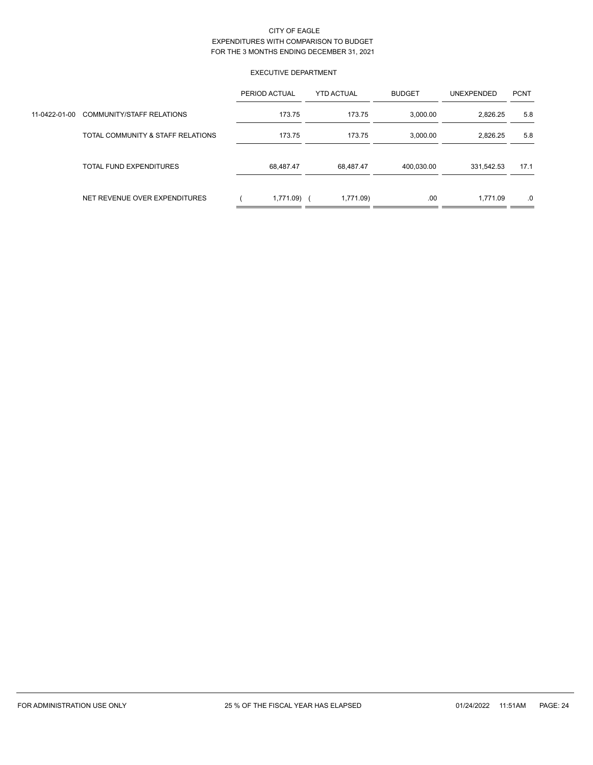# EXECUTIVE DEPARTMENT

|               |                                   | PERIOD ACTUAL | <b>YTD ACTUAL</b> | <b>BUDGET</b> | <b>UNEXPENDED</b> | <b>PCNT</b> |
|---------------|-----------------------------------|---------------|-------------------|---------------|-------------------|-------------|
| 11-0422-01-00 | <b>COMMUNITY/STAFF RELATIONS</b>  | 173.75        | 173.75            | 3,000.00      | 2,826.25          | 5.8         |
|               | TOTAL COMMUNITY & STAFF RELATIONS | 173.75        | 173.75            | 3,000.00      | 2.826.25          | 5.8         |
|               | TOTAL FUND EXPENDITURES           | 68.487.47     | 68.487.47         | 400.030.00    | 331.542.53        | 17.1        |
|               | NET REVENUE OVER EXPENDITURES     | 1,771.09)     | 1,771.09)         | .00           | 1.771.09          | .0          |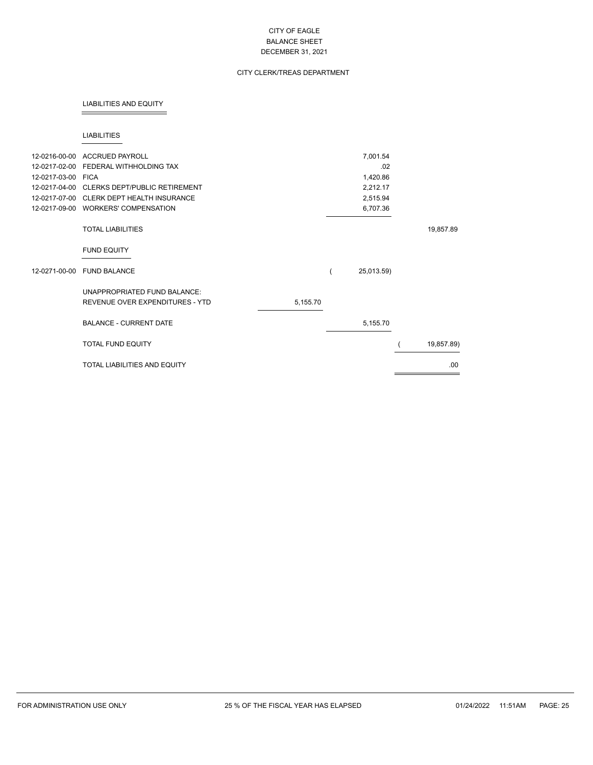# CITY CLERK/TREAS DEPARTMENT

### LIABILITIES AND EQUITY

### LIABILITIES

| 12-0216-00-00 | <b>ACCRUED PAYROLL</b>              |          | 7,001.54   |            |
|---------------|-------------------------------------|----------|------------|------------|
| 12-0217-02-00 | FEDERAL WITHHOLDING TAX             |          | .02        |            |
| 12-0217-03-00 | <b>FICA</b>                         |          | 1,420.86   |            |
| 12-0217-04-00 |                                     |          |            |            |
|               | CLERKS DEPT/PUBLIC RETIREMENT       |          | 2,212.17   |            |
| 12-0217-07-00 | <b>CLERK DEPT HEALTH INSURANCE</b>  |          | 2,515.94   |            |
| 12-0217-09-00 | <b>WORKERS' COMPENSATION</b>        |          | 6,707.36   |            |
|               | <b>TOTAL LIABILITIES</b>            |          |            | 19,857.89  |
|               | <b>FUND EQUITY</b>                  |          |            |            |
| 12-0271-00-00 | <b>FUND BALANCE</b>                 |          | 25,013.59) |            |
|               | UNAPPROPRIATED FUND BALANCE:        |          |            |            |
|               | REVENUE OVER EXPENDITURES - YTD     | 5,155.70 |            |            |
|               | <b>BALANCE - CURRENT DATE</b>       |          | 5,155.70   |            |
|               | <b>TOTAL FUND EQUITY</b>            |          |            | 19,857.89) |
|               | <b>TOTAL LIABILITIES AND EQUITY</b> |          |            | .00.       |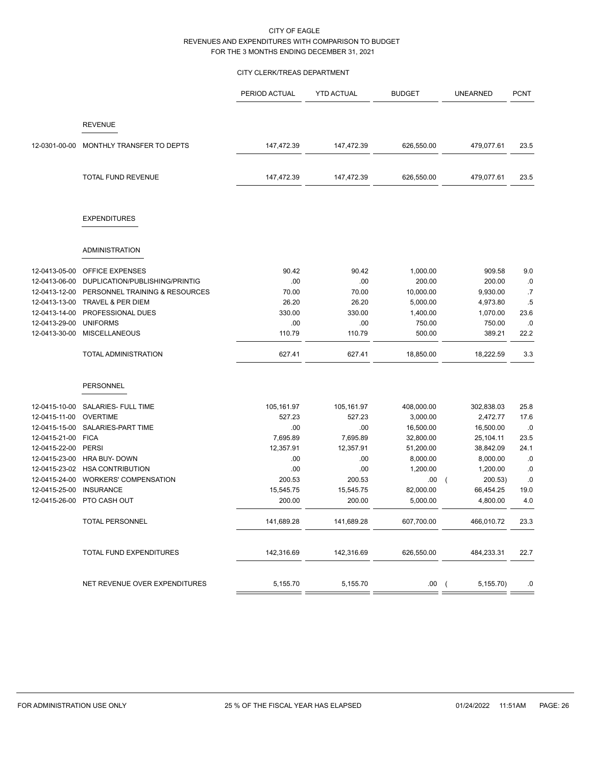## CITY CLERK/TREAS DEPARTMENT

|               |                                | PERIOD ACTUAL | <b>YTD ACTUAL</b> | <b>BUDGET</b> | <b>UNEARNED</b>       | <b>PCNT</b> |
|---------------|--------------------------------|---------------|-------------------|---------------|-----------------------|-------------|
|               |                                |               |                   |               |                       |             |
|               | <b>REVENUE</b>                 |               |                   |               |                       |             |
| 12-0301-00-00 | MONTHLY TRANSFER TO DEPTS      | 147,472.39    | 147,472.39        | 626,550.00    | 479,077.61            | 23.5        |
|               | <b>TOTAL FUND REVENUE</b>      | 147,472.39    | 147,472.39        | 626,550.00    | 479,077.61            | 23.5        |
|               | <b>EXPENDITURES</b>            |               |                   |               |                       |             |
|               | <b>ADMINISTRATION</b>          |               |                   |               |                       |             |
| 12-0413-05-00 | <b>OFFICE EXPENSES</b>         | 90.42         | 90.42             | 1,000.00      | 909.58                | 9.0         |
| 12-0413-06-00 | DUPLICATION/PUBLISHING/PRINTIG | .00           | .00               | 200.00        | 200.00                | .0          |
| 12-0413-12-00 | PERSONNEL TRAINING & RESOURCES | 70.00         | 70.00             | 10,000.00     | 9,930.00              | .7          |
| 12-0413-13-00 | TRAVEL & PER DIEM              | 26.20         | 26.20             | 5,000.00      | 4,973.80              | $.5\,$      |
| 12-0413-14-00 | PROFESSIONAL DUES              | 330.00        | 330.00            | 1,400.00      | 1,070.00              | 23.6        |
| 12-0413-29-00 | <b>UNIFORMS</b>                | .00           | .00               | 750.00        | 750.00                | .0          |
| 12-0413-30-00 | <b>MISCELLANEOUS</b>           | 110.79        | 110.79            | 500.00        | 389.21                | 22.2        |
|               | TOTAL ADMINISTRATION           | 627.41        | 627.41            | 18,850.00     | 18,222.59             | 3.3         |
|               | <b>PERSONNEL</b>               |               |                   |               |                       |             |
| 12-0415-10-00 | SALARIES- FULL TIME            | 105,161.97    | 105,161.97        | 408,000.00    | 302,838.03            | 25.8        |
| 12-0415-11-00 | <b>OVERTIME</b>                | 527.23        | 527.23            | 3,000.00      | 2,472.77              | 17.6        |
| 12-0415-15-00 | SALARIES-PART TIME             | .00           | .00               | 16,500.00     | 16,500.00             | .0          |
| 12-0415-21-00 | <b>FICA</b>                    | 7,695.89      | 7,695.89          | 32,800.00     | 25,104.11             | 23.5        |
| 12-0415-22-00 | PERSI                          | 12,357.91     | 12,357.91         | 51,200.00     | 38,842.09             | 24.1        |
|               | 12-0415-23-00 HRA BUY- DOWN    | .00           | .00               | 8,000.00      | 8,000.00              | .0          |
|               | 12-0415-23-02 HSA CONTRIBUTION | .00           | .00               | 1,200.00      | 1,200.00              | .0          |
| 12-0415-24-00 | <b>WORKERS' COMPENSATION</b>   | 200.53        | 200.53            | .00.          | 200.53)<br>$\sqrt{2}$ | .0          |
| 12-0415-25-00 | <b>INSURANCE</b>               | 15,545.75     | 15,545.75         | 82,000.00     | 66,454.25             | 19.0        |
| 12-0415-26-00 | PTO CASH OUT                   | 200.00        | 200.00            | 5,000.00      | 4,800.00              | 4.0         |
|               | <b>TOTAL PERSONNEL</b>         | 141,689.28    | 141,689.28        | 607,700.00    | 466,010.72            | 23.3        |
|               | TOTAL FUND EXPENDITURES        | 142,316.69    | 142,316.69        | 626,550.00    | 484,233.31            | 22.7        |
|               | NET REVENUE OVER EXPENDITURES  | 5,155.70      | 5,155.70          | .00(          | 5,155.70)             | .0          |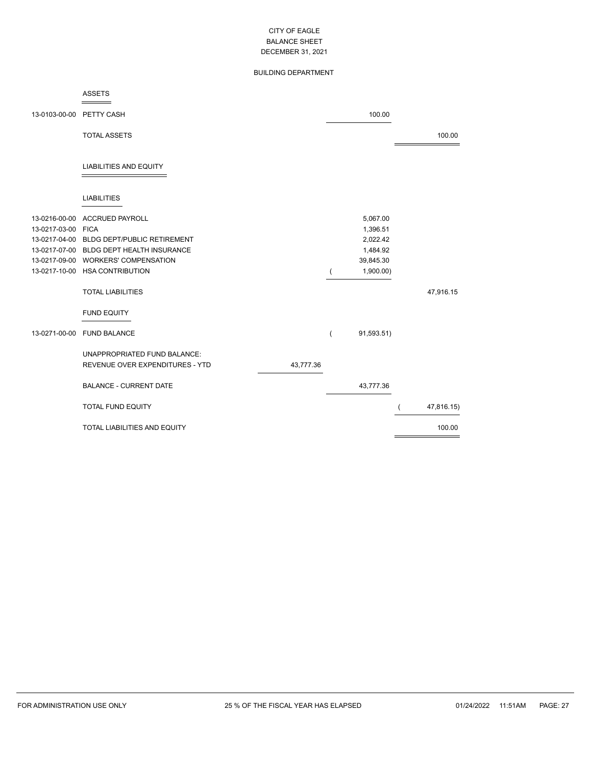# BUILDING DEPARTMENT

#### ASSETS  $=$

| 13-0103-00-00 PETTY CASH            |                                                                                                                                                                                          |           |   | 100.00                                                                 |            |
|-------------------------------------|------------------------------------------------------------------------------------------------------------------------------------------------------------------------------------------|-----------|---|------------------------------------------------------------------------|------------|
|                                     | <b>TOTAL ASSETS</b>                                                                                                                                                                      |           |   |                                                                        | 100.00     |
|                                     | <b>LIABILITIES AND EQUITY</b>                                                                                                                                                            |           |   |                                                                        |            |
|                                     | <b>LIABILITIES</b>                                                                                                                                                                       |           |   |                                                                        |            |
| 13-0216-00-00<br>13-0217-03-00 FICA | <b>ACCRUED PAYROLL</b><br>13-0217-04-00 BLDG DEPT/PUBLIC RETIREMENT<br>13-0217-07-00 BLDG DEPT HEALTH INSURANCE<br>13-0217-09-00 WORKERS' COMPENSATION<br>13-0217-10-00 HSA CONTRIBUTION |           |   | 5,067.00<br>1,396.51<br>2,022.42<br>1,484.92<br>39,845.30<br>1,900.00) |            |
|                                     | <b>TOTAL LIABILITIES</b>                                                                                                                                                                 |           |   |                                                                        | 47,916.15  |
|                                     | <b>FUND EQUITY</b>                                                                                                                                                                       |           |   |                                                                        |            |
| 13-0271-00-00                       | <b>FUND BALANCE</b>                                                                                                                                                                      |           | ( | 91,593.51)                                                             |            |
|                                     | UNAPPROPRIATED FUND BALANCE:<br>REVENUE OVER EXPENDITURES - YTD                                                                                                                          | 43,777.36 |   |                                                                        |            |
|                                     | <b>BALANCE - CURRENT DATE</b>                                                                                                                                                            |           |   | 43,777.36                                                              |            |
|                                     | <b>TOTAL FUND EQUITY</b>                                                                                                                                                                 |           |   |                                                                        | 47,816.15) |
|                                     | TOTAL LIABILITIES AND EQUITY                                                                                                                                                             |           |   |                                                                        | 100.00     |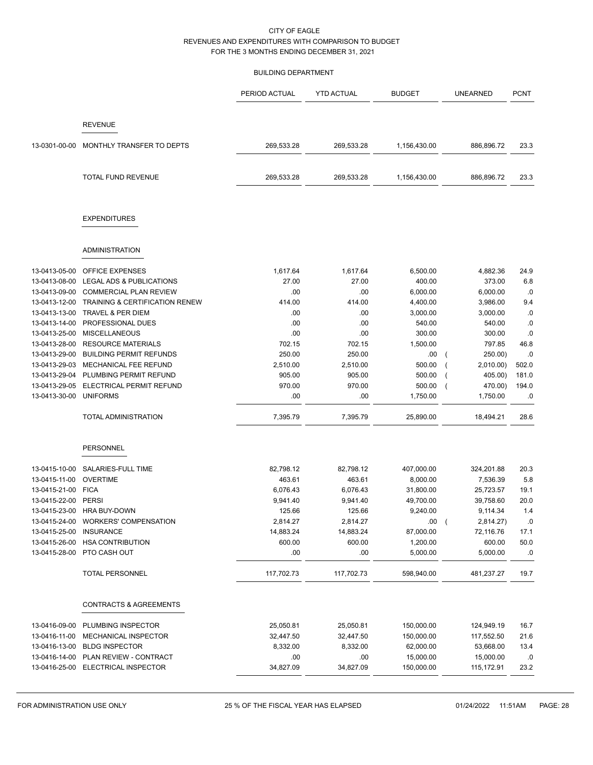### BUILDING DEPARTMENT

|               |                                           | PERIOD ACTUAL | <b>YTD ACTUAL</b> | <b>BUDGET</b> | <b>UNEARNED</b>             | <b>PCNT</b> |
|---------------|-------------------------------------------|---------------|-------------------|---------------|-----------------------------|-------------|
|               | <b>REVENUE</b>                            |               |                   |               |                             |             |
| 13-0301-00-00 | MONTHLY TRANSFER TO DEPTS                 | 269,533.28    | 269,533.28        | 1,156,430.00  | 886,896.72                  | 23.3        |
|               | <b>TOTAL FUND REVENUE</b>                 | 269,533.28    | 269,533.28        | 1,156,430.00  | 886,896.72                  | 23.3        |
|               | <b>EXPENDITURES</b>                       |               |                   |               |                             |             |
|               | <b>ADMINISTRATION</b>                     |               |                   |               |                             |             |
| 13-0413-05-00 | OFFICE EXPENSES                           | 1,617.64      | 1,617.64          | 6,500.00      | 4,882.36                    | 24.9        |
| 13-0413-08-00 | LEGAL ADS & PUBLICATIONS                  | 27.00         | 27.00             | 400.00        | 373.00                      | 6.8         |
| 13-0413-09-00 | <b>COMMERCIAL PLAN REVIEW</b>             | .00           | .00               | 6,000.00      | 6,000.00                    | .0          |
| 13-0413-12-00 | <b>TRAINING &amp; CERTIFICATION RENEW</b> | 414.00        | 414.00            | 4,400.00      | 3,986.00                    | 9.4         |
| 13-0413-13-00 | <b>TRAVEL &amp; PER DIEM</b>              | .00           | .00               | 3,000.00      | 3,000.00                    | .0          |
| 13-0413-14-00 | PROFESSIONAL DUES                         | .00           | .00               | 540.00        | 540.00                      | .0          |
| 13-0413-25-00 | <b>MISCELLANEOUS</b>                      | .00           | .00               | 300.00        | 300.00                      | .0          |
| 13-0413-28-00 | <b>RESOURCE MATERIALS</b>                 | 702.15        | 702.15            | 1,500.00      | 797.85                      | 46.8        |
| 13-0413-29-00 | <b>BUILDING PERMIT REFUNDS</b>            | 250.00        | 250.00            | .00           | 250.00)                     | .0          |
| 13-0413-29-03 | MECHANICAL FEE REFUND                     | 2,510.00      | 2,510.00          | 500.00        | 2,010.00)                   | 502.0       |
| 13-0413-29-04 | PLUMBING PERMIT REFUND                    | 905.00        | 905.00            | 500.00        | 405.00)                     | 181.0       |
| 13-0413-29-05 | ELECTRICAL PERMIT REFUND                  | 970.00        | 970.00            | 500.00        | 470.00)                     | 194.0       |
| 13-0413-30-00 | <b>UNIFORMS</b>                           | .00           | .00               | 1,750.00      | 1,750.00                    | .0          |
|               | <b>TOTAL ADMINISTRATION</b>               | 7,395.79      | 7,395.79          | 25,890.00     | 18,494.21                   | 28.6        |
|               | <b>PERSONNEL</b>                          |               |                   |               |                             |             |
| 13-0415-10-00 | SALARIES-FULL TIME                        | 82,798.12     | 82,798.12         | 407,000.00    | 324,201.88                  | 20.3        |
| 13-0415-11-00 | <b>OVERTIME</b>                           | 463.61        | 463.61            | 8,000.00      | 7,536.39                    | 5.8         |
| 13-0415-21-00 | <b>FICA</b>                               | 6,076.43      | 6,076.43          | 31,800.00     | 25,723.57                   | 19.1        |
| 13-0415-22-00 | <b>PERSI</b>                              | 9,941.40      | 9,941.40          | 49,700.00     | 39,758.60                   | 20.0        |
| 13-0415-23-00 | HRA BUY-DOWN                              | 125.66        | 125.66            | 9,240.00      | 9,114.34                    | 1.4         |
| 13-0415-24-00 | <b>WORKERS' COMPENSATION</b>              | 2,814.27      | 2,814.27          | .00.          | $\overline{ }$<br>2,814.27) | $.0\,$      |
| 13-0415-25-00 | <b>INSURANCE</b>                          | 14,883.24     | 14,883.24         | 87,000.00     | 72,116.76                   | 17.1        |
| 13-0415-26-00 | <b>HSA CONTRIBUTION</b>                   | 600.00        | 600.00            | 1,200.00      | 600.00                      | 50.0        |
| 13-0415-28-00 | PTO CASH OUT                              | .00           | .00               | 5,000.00      | 5,000.00                    | .0          |
|               | TOTAL PERSONNEL                           | 117,702.73    | 117,702.73        | 598,940.00    | 481,237.27                  | 19.7        |
|               | <b>CONTRACTS &amp; AGREEMENTS</b>         |               |                   |               |                             |             |
|               |                                           |               |                   |               |                             |             |
| 13-0416-09-00 | PLUMBING INSPECTOR                        | 25,050.81     | 25,050.81         | 150,000.00    | 124,949.19                  | 16.7        |
| 13-0416-11-00 | MECHANICAL INSPECTOR                      | 32,447.50     | 32,447.50         | 150,000.00    | 117,552.50                  | 21.6        |
| 13-0416-13-00 | <b>BLDG INSPECTOR</b>                     | 8,332.00      | 8,332.00          | 62,000.00     | 53,668.00                   | 13.4        |
|               | 13-0416-14-00 PLAN REVIEW - CONTRACT      | .00           | .00               | 15,000.00     | 15,000.00                   | .0          |
|               | 13-0416-25-00 ELECTRICAL INSPECTOR        | 34,827.09     | 34,827.09         | 150,000.00    | 115,172.91                  | 23.2        |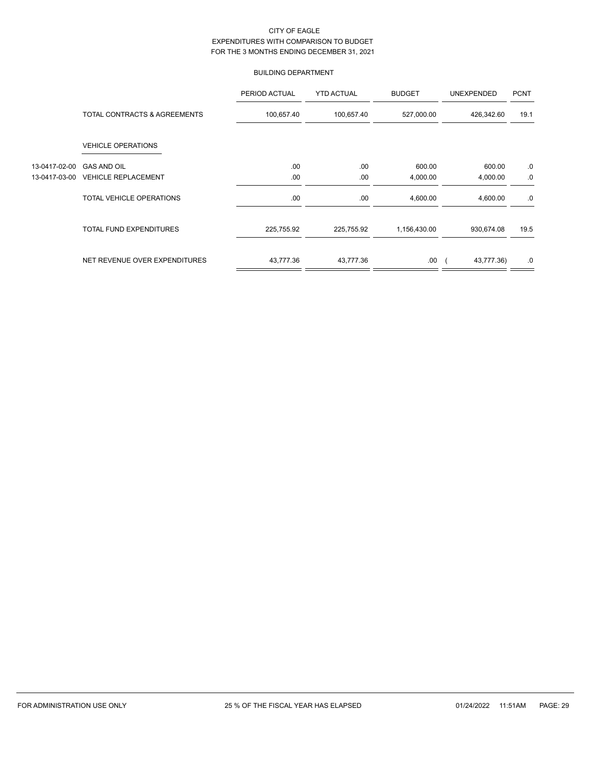# BUILDING DEPARTMENT

|               |                                | PERIOD ACTUAL | <b>YTD ACTUAL</b> | <b>BUDGET</b> | <b>UNEXPENDED</b> | <b>PCNT</b> |
|---------------|--------------------------------|---------------|-------------------|---------------|-------------------|-------------|
|               | TOTAL CONTRACTS & AGREEMENTS   | 100,657.40    | 100,657.40        | 527,000.00    | 426,342.60        | 19.1        |
|               | <b>VEHICLE OPERATIONS</b>      |               |                   |               |                   |             |
| 13-0417-02-00 | <b>GAS AND OIL</b>             | .00           | .00               | 600.00        | 600.00            | .0          |
| 13-0417-03-00 | <b>VEHICLE REPLACEMENT</b>     | .00           | .00               | 4,000.00      | 4,000.00          | .0          |
|               | TOTAL VEHICLE OPERATIONS       | .00           | .00               | 4,600.00      | 4,600.00          | .0          |
|               | <b>TOTAL FUND EXPENDITURES</b> | 225,755.92    | 225,755.92        | 1,156,430.00  | 930,674.08        | 19.5        |
|               | NET REVENUE OVER EXPENDITURES  | 43,777.36     | 43,777.36         | .00           | 43,777.36)        | .0          |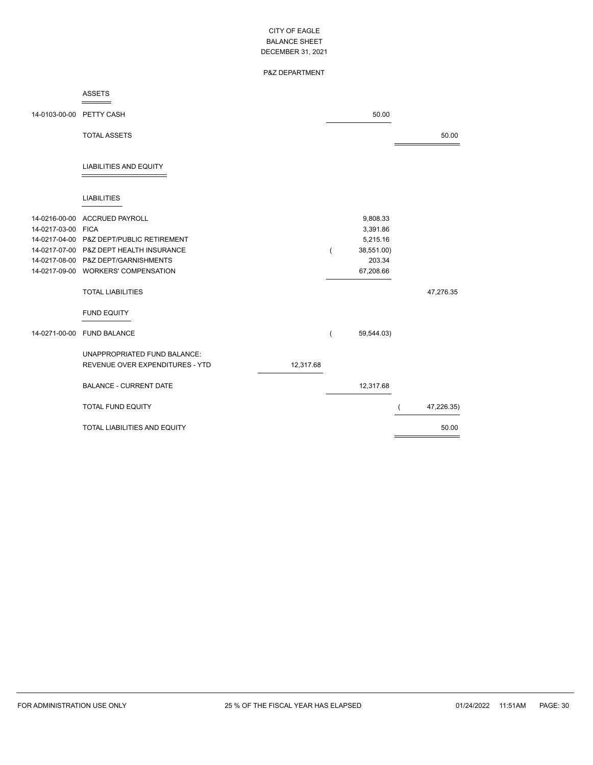# P&Z DEPARTMENT

### ASSETS

| 14-0103-00-00      | PETTY CASH                               |           |                | 50.00      |            |
|--------------------|------------------------------------------|-----------|----------------|------------|------------|
|                    | <b>TOTAL ASSETS</b>                      |           |                |            | 50.00      |
|                    |                                          |           |                |            |            |
|                    | <b>LIABILITIES AND EQUITY</b>            |           |                |            |            |
|                    |                                          |           |                |            |            |
|                    | <b>LIABILITIES</b>                       |           |                |            |            |
| 14-0216-00-00      | <b>ACCRUED PAYROLL</b>                   |           |                | 9,808.33   |            |
| 14-0217-03-00 FICA |                                          |           |                | 3,391.86   |            |
|                    | 14-0217-04-00 P&Z DEPT/PUBLIC RETIREMENT |           |                | 5,215.16   |            |
|                    | 14-0217-07-00 P&Z DEPT HEALTH INSURANCE  |           | $\overline{ }$ | 38,551.00) |            |
|                    | 14-0217-08-00 P&Z DEPT/GARNISHMENTS      |           |                | 203.34     |            |
|                    | 14-0217-09-00 WORKERS' COMPENSATION      |           |                | 67,208.66  |            |
|                    | <b>TOTAL LIABILITIES</b>                 |           |                |            | 47,276.35  |
|                    | <b>FUND EQUITY</b>                       |           |                |            |            |
| 14-0271-00-00      | <b>FUND BALANCE</b>                      |           | (              | 59,544.03) |            |
|                    | UNAPPROPRIATED FUND BALANCE:             |           |                |            |            |
|                    | <b>REVENUE OVER EXPENDITURES - YTD</b>   | 12,317.68 |                |            |            |
|                    |                                          |           |                |            |            |
|                    | <b>BALANCE - CURRENT DATE</b>            |           |                | 12,317.68  |            |
|                    | <b>TOTAL FUND EQUITY</b>                 |           |                |            | 47,226.35) |
|                    | TOTAL LIABILITIES AND EQUITY             |           |                |            | 50.00      |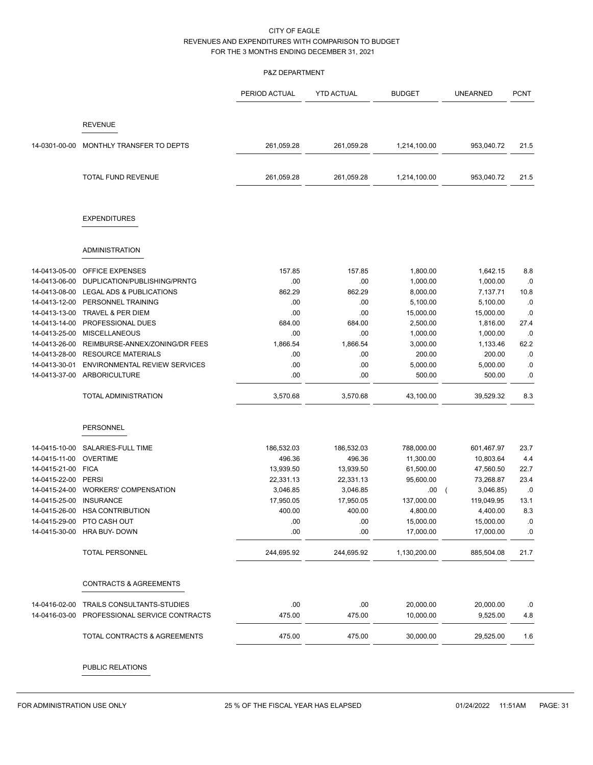## P&Z DEPARTMENT

|               |                                      | PERIOD ACTUAL | <b>YTD ACTUAL</b> | <b>BUDGET</b> | <b>UNEARNED</b> | <b>PCNT</b> |
|---------------|--------------------------------------|---------------|-------------------|---------------|-----------------|-------------|
|               | <b>REVENUE</b>                       |               |                   |               |                 |             |
|               |                                      |               |                   |               |                 |             |
| 14-0301-00-00 | MONTHLY TRANSFER TO DEPTS            | 261,059.28    | 261,059.28        | 1,214,100.00  | 953,040.72      | 21.5        |
|               | TOTAL FUND REVENUE                   | 261,059.28    | 261,059.28        | 1,214,100.00  | 953,040.72      | 21.5        |
|               | <b>EXPENDITURES</b>                  |               |                   |               |                 |             |
|               | ADMINISTRATION                       |               |                   |               |                 |             |
| 14-0413-05-00 | <b>OFFICE EXPENSES</b>               | 157.85        | 157.85            | 1,800.00      | 1,642.15        | 8.8         |
| 14-0413-06-00 | DUPLICATION/PUBLISHING/PRNTG         | .00           | .00               | 1,000.00      | 1,000.00        | .0          |
| 14-0413-08-00 | LEGAL ADS & PUBLICATIONS             | 862.29        | 862.29            | 8,000.00      | 7,137.71        | 10.8        |
| 14-0413-12-00 | PERSONNEL TRAINING                   | .00           | .00.              | 5,100.00      | 5,100.00        | .0          |
| 14-0413-13-00 | TRAVEL & PER DIEM                    | .00           | .00               | 15,000.00     | 15,000.00       | .0          |
| 14-0413-14-00 | PROFESSIONAL DUES                    | 684.00        | 684.00            | 2,500.00      | 1,816.00        | 27.4        |
| 14-0413-25-00 | <b>MISCELLANEOUS</b>                 | .00           | .00.              | 1,000.00      | 1,000.00        | .0          |
| 14-0413-26-00 | REIMBURSE-ANNEX/ZONING/DR FEES       | 1,866.54      | 1,866.54          | 3,000.00      | 1,133.46        | 62.2        |
| 14-0413-28-00 | <b>RESOURCE MATERIALS</b>            | .00           | .00.              | 200.00        | 200.00          | .0          |
| 14-0413-30-01 | <b>ENVIRONMENTAL REVIEW SERVICES</b> | .00           | .00               | 5,000.00      | 5,000.00        | .0          |
| 14-0413-37-00 | ARBORICULTURE                        | .00           | .00               | 500.00        | 500.00          | .0          |
|               | TOTAL ADMINISTRATION                 | 3,570.68      | 3,570.68          | 43,100.00     | 39,529.32       | 8.3         |
|               | <b>PERSONNEL</b>                     |               |                   |               |                 |             |
| 14-0415-10-00 | SALARIES-FULL TIME                   | 186,532.03    | 186,532.03        | 788,000.00    | 601,467.97      | 23.7        |
| 14-0415-11-00 | <b>OVERTIME</b>                      | 496.36        | 496.36            | 11,300.00     | 10,803.64       | 4.4         |
| 14-0415-21-00 | <b>FICA</b>                          | 13,939.50     | 13,939.50         | 61,500.00     | 47,560.50       | 22.7        |
| 14-0415-22-00 | PERSI                                | 22,331.13     | 22,331.13         | 95,600.00     | 73,268.87       | 23.4        |
| 14-0415-24-00 | <b>WORKERS' COMPENSATION</b>         | 3,046.85      | 3,046.85          | .00.          | 3,046.85)       | .0          |
| 14-0415-25-00 | <b>INSURANCE</b>                     | 17,950.05     | 17,950.05         | 137,000.00    | 119,049.95      | 13.1        |
| 14-0415-26-00 | <b>HSA CONTRIBUTION</b>              | 400.00        | 400.00            | 4,800.00      | 4,400.00        | 8.3         |
|               | 14-0415-29-00 PTO CASH OUT           | .00           | .00               | 15,000.00     | 15,000.00       | ${\bf .0}$  |
| 14-0415-30-00 | HRA BUY- DOWN                        | .00           | .00               | 17,000.00     | 17,000.00       | .0          |
|               | <b>TOTAL PERSONNEL</b>               | 244,695.92    | 244,695.92        | 1,130,200.00  | 885,504.08      | 21.7        |
|               | <b>CONTRACTS &amp; AGREEMENTS</b>    |               |                   |               |                 |             |
| 14-0416-02-00 | TRAILS CONSULTANTS-STUDIES           | .00           | .00               | 20,000.00     | 20,000.00       | .0          |
| 14-0416-03-00 | PROFESSIONAL SERVICE CONTRACTS       | 475.00        | 475.00            | 10,000.00     | 9,525.00        | 4.8         |
|               | TOTAL CONTRACTS & AGREEMENTS         | 475.00        | 475.00            | 30,000.00     | 29,525.00       | 1.6         |

PUBLIC RELATIONS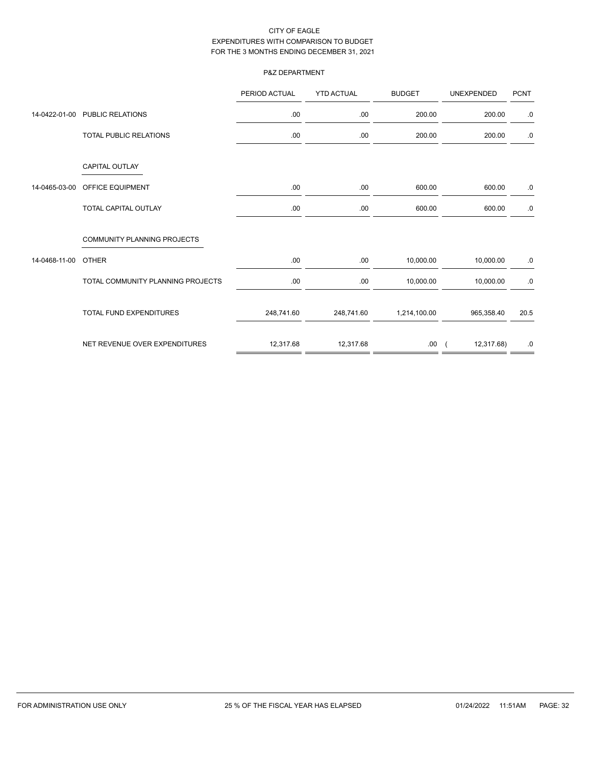# P&Z DEPARTMENT

|               |                                    | PERIOD ACTUAL | <b>YTD ACTUAL</b> | <b>BUDGET</b> | <b>UNEXPENDED</b> | <b>PCNT</b> |
|---------------|------------------------------------|---------------|-------------------|---------------|-------------------|-------------|
|               | 14-0422-01-00 PUBLIC RELATIONS     | .00.          | .00               | 200.00        | 200.00            | .0          |
|               | TOTAL PUBLIC RELATIONS             | .00.          | .00               | 200.00        | 200.00            | $.0\,$      |
|               | <b>CAPITAL OUTLAY</b>              |               |                   |               |                   |             |
| 14-0465-03-00 | <b>OFFICE EQUIPMENT</b>            | .00.          | .00               | 600.00        | 600.00            | .0          |
|               | <b>TOTAL CAPITAL OUTLAY</b>        | .00.          | .00               | 600.00        | 600.00            | .0          |
|               | <b>COMMUNITY PLANNING PROJECTS</b> |               |                   |               |                   |             |
| 14-0468-11-00 | <b>OTHER</b>                       | .00.          | .00.              | 10,000.00     | 10,000.00         | .0          |
|               | TOTAL COMMUNITY PLANNING PROJECTS  | .00.          | .00               | 10,000.00     | 10,000.00         | $.0\,$      |
|               | <b>TOTAL FUND EXPENDITURES</b>     | 248,741.60    | 248,741.60        | 1,214,100.00  | 965,358.40        | 20.5        |
|               | NET REVENUE OVER EXPENDITURES      | 12,317.68     | 12,317.68         | .00.          | 12,317.68)        | .0          |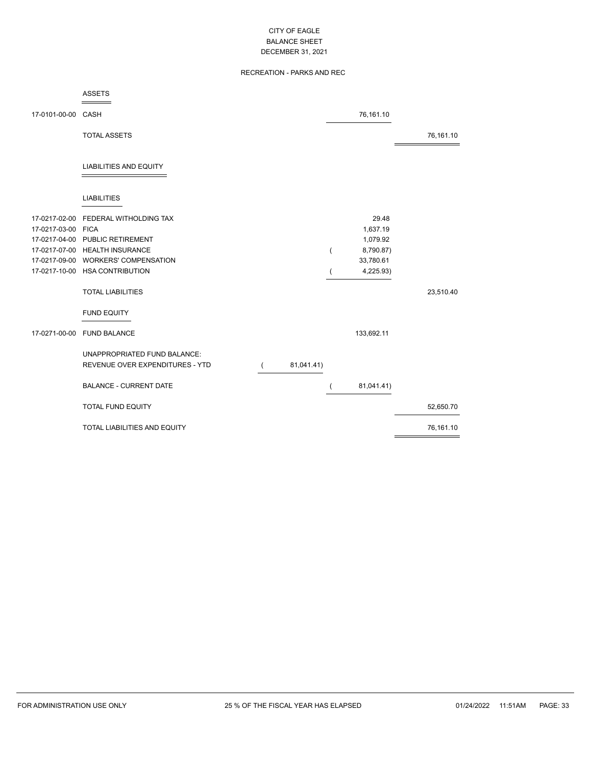# RECREATION - PARKS AND REC

|                    | <b>ASSETS</b>                                                   |            |                |            |           |
|--------------------|-----------------------------------------------------------------|------------|----------------|------------|-----------|
| 17-0101-00-00 CASH |                                                                 |            |                | 76,161.10  |           |
|                    | <b>TOTAL ASSETS</b>                                             |            |                |            | 76,161.10 |
|                    | <b>LIABILITIES AND EQUITY</b>                                   |            |                |            |           |
|                    | <b>LIABILITIES</b>                                              |            |                |            |           |
| 17-0217-02-00      | FEDERAL WITHOLDING TAX                                          |            |                | 29.48      |           |
| 17-0217-03-00 FICA |                                                                 |            |                | 1,637.19   |           |
|                    | 17-0217-04-00 PUBLIC RETIREMENT                                 |            |                | 1,079.92   |           |
|                    | 17-0217-07-00 HEALTH INSURANCE                                  |            | $\overline{ }$ | 8,790.87)  |           |
| 17-0217-09-00      | <b>WORKERS' COMPENSATION</b>                                    |            |                | 33,780.61  |           |
|                    | 17-0217-10-00 HSA CONTRIBUTION                                  |            |                | 4,225.93)  |           |
|                    | <b>TOTAL LIABILITIES</b>                                        |            |                |            | 23,510.40 |
|                    | <b>FUND EQUITY</b>                                              |            |                |            |           |
|                    | 17-0271-00-00 FUND BALANCE                                      |            |                | 133,692.11 |           |
|                    | UNAPPROPRIATED FUND BALANCE:<br>REVENUE OVER EXPENDITURES - YTD | 81,041.41) |                |            |           |
|                    | <b>BALANCE - CURRENT DATE</b>                                   |            | $\overline{ }$ | 81,041.41) |           |
|                    | <b>TOTAL FUND EQUITY</b>                                        |            |                |            | 52,650.70 |
|                    | TOTAL LIABILITIES AND EQUITY                                    |            |                |            | 76,161.10 |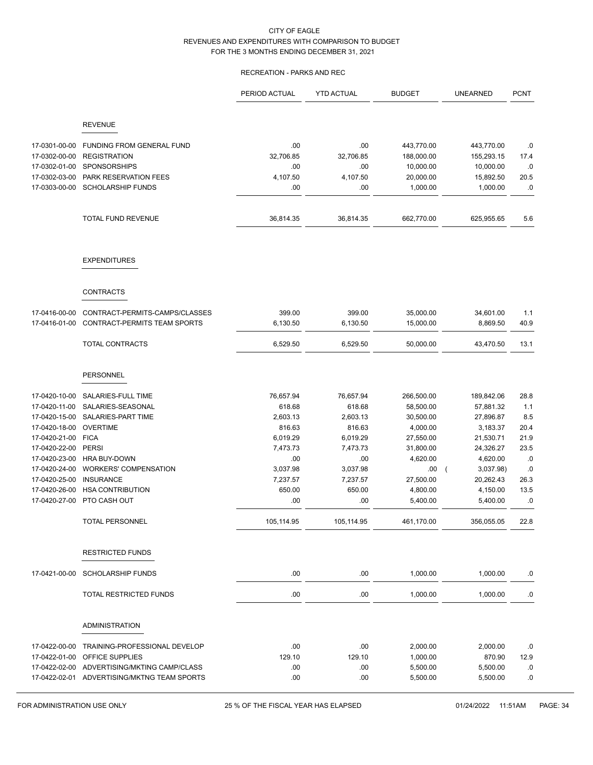# RECREATION - PARKS AND REC

|                                |                                             | PERIOD ACTUAL | <b>YTD ACTUAL</b> | <b>BUDGET</b>        | <b>UNEARNED</b>       | <b>PCNT</b> |
|--------------------------------|---------------------------------------------|---------------|-------------------|----------------------|-----------------------|-------------|
|                                | <b>REVENUE</b>                              |               |                   |                      |                       |             |
|                                |                                             |               |                   |                      |                       |             |
| 17-0301-00-00                  | FUNDING FROM GENERAL FUND                   | .00           | .00               | 443,770.00           | 443,770.00            | .0          |
| 17-0302-00-00                  | <b>REGISTRATION</b>                         | 32,706.85     | 32,706.85         | 188,000.00           | 155,293.15            | 17.4        |
| 17-0302-01-00                  | <b>SPONSORSHIPS</b>                         | .00           | .00               | 10,000.00            | 10,000.00             | .0          |
| 17-0302-03-00                  | PARK RESERVATION FEES                       | 4,107.50      | 4,107.50          | 20,000.00            | 15,892.50             | 20.5        |
| 17-0303-00-00                  | <b>SCHOLARSHIP FUNDS</b>                    | .00           | .00               | 1,000.00             | 1,000.00              | .0          |
|                                | <b>TOTAL FUND REVENUE</b>                   | 36,814.35     | 36,814.35         | 662,770.00           | 625,955.65            | 5.6         |
|                                | <b>EXPENDITURES</b>                         |               |                   |                      |                       |             |
|                                | <b>CONTRACTS</b>                            |               |                   |                      |                       |             |
| 17-0416-00-00                  | CONTRACT-PERMITS-CAMPS/CLASSES              | 399.00        | 399.00            | 35,000.00            | 34,601.00             | 1.1         |
| 17-0416-01-00                  | CONTRACT-PERMITS TEAM SPORTS                | 6,130.50      | 6,130.50          | 15,000.00            | 8,869.50              | 40.9        |
|                                |                                             |               |                   |                      |                       |             |
|                                | TOTAL CONTRACTS                             | 6,529.50      | 6,529.50          | 50,000.00            | 43,470.50             | 13.1        |
|                                | PERSONNEL                                   |               |                   |                      |                       |             |
| 17-0420-10-00                  | SALARIES-FULL TIME                          | 76,657.94     | 76,657.94         | 266,500.00           | 189,842.06            | 28.8        |
| 17-0420-11-00                  | SALARIES-SEASONAL                           | 618.68        | 618.68            | 58,500.00            | 57,881.32             | 1.1         |
| 17-0420-15-00                  | SALARIES-PART TIME                          | 2,603.13      | 2,603.13          | 30,500.00            | 27,896.87             | 8.5         |
| 17-0420-18-00                  | <b>OVERTIME</b>                             | 816.63        | 816.63            | 4,000.00             | 3,183.37              | 20.4        |
| 17-0420-21-00                  | <b>FICA</b>                                 | 6,019.29      | 6,019.29          | 27,550.00            | 21,530.71             | 21.9        |
| 17-0420-22-00                  | PERSI                                       | 7,473.73      | 7,473.73          | 31,800.00            | 24,326.27             | 23.5        |
| 17-0420-23-00                  | <b>HRA BUY-DOWN</b>                         | .00           | .00               | 4,620.00             | 4,620.00              | .0          |
| 17-0420-24-00                  | <b>WORKERS' COMPENSATION</b>                | 3,037.98      | 3,037.98          | .00.                 | 3,037.98)<br>$\left($ | .0          |
| 17-0420-25-00                  | <b>INSURANCE</b>                            | 7,237.57      | 7,237.57          | 27,500.00            | 20,262.43             | 26.3        |
| 17-0420-26-00<br>17-0420-27-00 | <b>HSA CONTRIBUTION</b><br>PTO CASH OUT     | 650.00<br>.00 | 650.00<br>.00     | 4,800.00<br>5,400.00 | 4,150.00<br>5,400.00  | 13.5<br>.0  |
|                                | TOTAL PERSONNEL                             | 105,114.95    | 105,114.95        | 461,170.00           | 356,055.05            | 22.8        |
|                                | <b>RESTRICTED FUNDS</b>                     |               |                   |                      |                       |             |
| 17-0421-00-00                  | <b>SCHOLARSHIP FUNDS</b>                    | .00.          | .00               | 1,000.00             | 1,000.00              | .0          |
|                                | TOTAL RESTRICTED FUNDS                      | .00           | .00               | 1,000.00             | 1,000.00              | .0          |
|                                | <b>ADMINISTRATION</b>                       |               |                   |                      |                       |             |
|                                |                                             |               |                   |                      |                       |             |
| 17-0422-00-00                  | TRAINING-PROFESSIONAL DEVELOP               | .00           | .00               | 2,000.00             | 2,000.00              | .0          |
| 17-0422-01-00                  | OFFICE SUPPLIES                             | 129.10        | 129.10            | 1,000.00             | 870.90                | 12.9        |
|                                | 17-0422-02-00 ADVERTISING/MKTING CAMP/CLASS | .00.          | .00               | 5,500.00             | 5,500.00              | .0          |
|                                | 17-0422-02-01 ADVERTISING/MKTNG TEAM SPORTS | .00.          | .00               | 5,500.00             | 5,500.00              | .0          |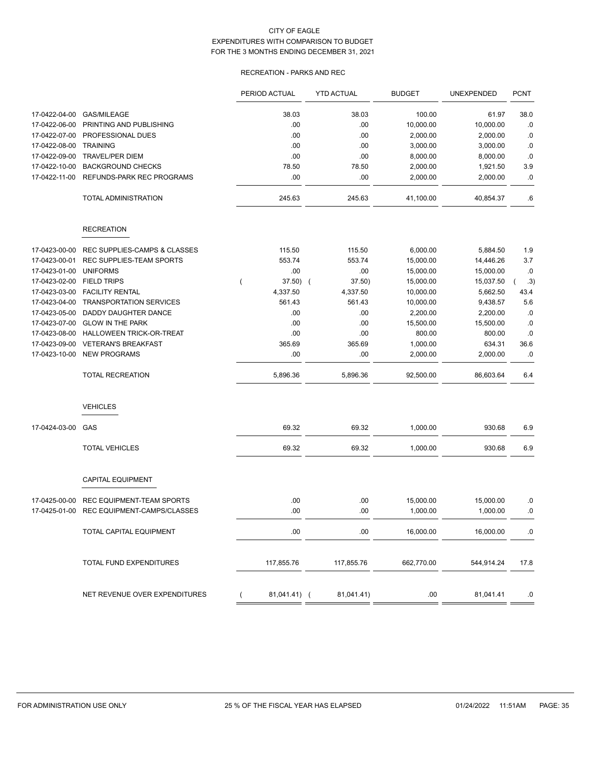# RECREATION - PARKS AND REC

| 17-0422-04-00<br><b>GAS/MILEAGE</b><br>38.03<br>38.03<br>100.00<br>38.0<br>61.97<br>.00<br>.00<br>10,000.00<br>17-0422-06-00<br>PRINTING AND PUBLISHING<br>10,000.00<br>17-0422-07-00<br>PROFESSIONAL DUES<br>.00<br>.00<br>2,000.00<br>2,000.00<br><b>TRAINING</b><br>17-0422-08-00<br>.00<br>.00<br>3,000.00<br>3,000.00<br>17-0422-09-00<br><b>TRAVEL/PER DIEM</b><br>.00<br>.00<br>8,000.00<br>8,000.00<br><b>BACKGROUND CHECKS</b><br>78.50<br>78.50<br>17-0422-10-00<br>2,000.00<br>1,921.50<br>17-0422-11-00<br>REFUNDS-PARK REC PROGRAMS<br>.00<br>.00<br>2,000.00<br>2,000.00<br>245.63<br>245.63<br>TOTAL ADMINISTRATION<br>41,100.00<br>40,854.37<br><b>RECREATION</b><br>115.50<br>115.50<br>6,000.00<br>17-0423-00-00<br>REC SUPPLIES-CAMPS & CLASSES<br>5,884.50<br>553.74<br>553.74<br>17-0423-00-01<br>REC SUPPLIES-TEAM SPORTS<br>15,000.00<br>14,446.26<br><b>UNIFORMS</b><br>.00<br>17-0423-01-00<br>.00<br>15,000.00<br>15,000.00<br>17-0423-02-00<br><b>FIELD TRIPS</b><br>$37.50)$ (<br>37.50)<br>15,000.00<br>15,037.50<br>17-0423-03-00<br><b>FACILITY RENTAL</b><br>4,337.50<br>4,337.50<br>5,662.50<br>10,000.00<br>17-0423-04-00<br><b>TRANSPORTATION SERVICES</b><br>561.43<br>561.43<br>10,000.00<br>9,438.57<br>DADDY DAUGHTER DANCE<br>2,200.00<br>17-0423-05-00<br>.00<br>.00<br>2,200.00<br>17-0423-07-00<br><b>GLOW IN THE PARK</b><br>.00<br>.00<br>15,500.00<br>15,500.00<br>17-0423-08-00<br>HALLOWEEN TRICK-OR-TREAT<br>.00<br>.00<br>800.00<br>800.00<br>17-0423-09-00<br><b>VETERAN'S BREAKFAST</b><br>365.69<br>365.69<br>1,000.00<br>634.31<br>.00<br>17-0423-10-00<br><b>NEW PROGRAMS</b><br>.00<br>2,000.00<br>2,000.00<br><b>TOTAL RECREATION</b><br>5,896.36<br>5,896.36<br>92,500.00<br>86,603.64<br><b>VEHICLES</b><br>69.32<br>1,000.00<br>17-0424-03-00<br>GAS<br>69.32<br>930.68<br><b>TOTAL VEHICLES</b><br>69.32<br>69.32<br>1,000.00<br>930.68<br><b>CAPITAL EQUIPMENT</b><br>REC EQUIPMENT-TEAM SPORTS<br>.00<br>.00<br>15,000.00<br>17-0425-00-00<br>15,000.00<br>REC EQUIPMENT-CAMPS/CLASSES<br>.00<br>.00<br>1,000.00<br>1,000.00<br>17-0425-01-00<br>.00<br>.00<br>16,000.00<br>16,000.00<br>TOTAL CAPITAL EQUIPMENT<br>TOTAL FUND EXPENDITURES<br>117,855.76<br>117,855.76<br>662,770.00<br>544,914.24<br>NET REVENUE OVER EXPENDITURES<br>81,041.41) (<br>81,041.41)<br>.00.<br>81,041.41 |  | PERIOD ACTUAL | <b>YTD ACTUAL</b> | <b>BUDGET</b> | UNEXPENDED | <b>PCNT</b> |
|--------------------------------------------------------------------------------------------------------------------------------------------------------------------------------------------------------------------------------------------------------------------------------------------------------------------------------------------------------------------------------------------------------------------------------------------------------------------------------------------------------------------------------------------------------------------------------------------------------------------------------------------------------------------------------------------------------------------------------------------------------------------------------------------------------------------------------------------------------------------------------------------------------------------------------------------------------------------------------------------------------------------------------------------------------------------------------------------------------------------------------------------------------------------------------------------------------------------------------------------------------------------------------------------------------------------------------------------------------------------------------------------------------------------------------------------------------------------------------------------------------------------------------------------------------------------------------------------------------------------------------------------------------------------------------------------------------------------------------------------------------------------------------------------------------------------------------------------------------------------------------------------------------------------------------------------------------------------------------------------------------------------------------------------------------------------------------------------------------------------------------------------------------------------------------------------------------------------------------------------------------------------------------------------------------------------------------------------------------|--|---------------|-------------------|---------------|------------|-------------|
|                                                                                                                                                                                                                                                                                                                                                                                                                                                                                                                                                                                                                                                                                                                                                                                                                                                                                                                                                                                                                                                                                                                                                                                                                                                                                                                                                                                                                                                                                                                                                                                                                                                                                                                                                                                                                                                                                                                                                                                                                                                                                                                                                                                                                                                                                                                                                        |  |               |                   |               |            |             |
|                                                                                                                                                                                                                                                                                                                                                                                                                                                                                                                                                                                                                                                                                                                                                                                                                                                                                                                                                                                                                                                                                                                                                                                                                                                                                                                                                                                                                                                                                                                                                                                                                                                                                                                                                                                                                                                                                                                                                                                                                                                                                                                                                                                                                                                                                                                                                        |  |               |                   |               |            | .0          |
|                                                                                                                                                                                                                                                                                                                                                                                                                                                                                                                                                                                                                                                                                                                                                                                                                                                                                                                                                                                                                                                                                                                                                                                                                                                                                                                                                                                                                                                                                                                                                                                                                                                                                                                                                                                                                                                                                                                                                                                                                                                                                                                                                                                                                                                                                                                                                        |  |               |                   |               |            | .0          |
|                                                                                                                                                                                                                                                                                                                                                                                                                                                                                                                                                                                                                                                                                                                                                                                                                                                                                                                                                                                                                                                                                                                                                                                                                                                                                                                                                                                                                                                                                                                                                                                                                                                                                                                                                                                                                                                                                                                                                                                                                                                                                                                                                                                                                                                                                                                                                        |  |               |                   |               |            | .0          |
|                                                                                                                                                                                                                                                                                                                                                                                                                                                                                                                                                                                                                                                                                                                                                                                                                                                                                                                                                                                                                                                                                                                                                                                                                                                                                                                                                                                                                                                                                                                                                                                                                                                                                                                                                                                                                                                                                                                                                                                                                                                                                                                                                                                                                                                                                                                                                        |  |               |                   |               |            | .0          |
|                                                                                                                                                                                                                                                                                                                                                                                                                                                                                                                                                                                                                                                                                                                                                                                                                                                                                                                                                                                                                                                                                                                                                                                                                                                                                                                                                                                                                                                                                                                                                                                                                                                                                                                                                                                                                                                                                                                                                                                                                                                                                                                                                                                                                                                                                                                                                        |  |               |                   |               |            | 3.9         |
|                                                                                                                                                                                                                                                                                                                                                                                                                                                                                                                                                                                                                                                                                                                                                                                                                                                                                                                                                                                                                                                                                                                                                                                                                                                                                                                                                                                                                                                                                                                                                                                                                                                                                                                                                                                                                                                                                                                                                                                                                                                                                                                                                                                                                                                                                                                                                        |  |               |                   |               |            | .0          |
|                                                                                                                                                                                                                                                                                                                                                                                                                                                                                                                                                                                                                                                                                                                                                                                                                                                                                                                                                                                                                                                                                                                                                                                                                                                                                                                                                                                                                                                                                                                                                                                                                                                                                                                                                                                                                                                                                                                                                                                                                                                                                                                                                                                                                                                                                                                                                        |  |               |                   |               |            | .6          |
|                                                                                                                                                                                                                                                                                                                                                                                                                                                                                                                                                                                                                                                                                                                                                                                                                                                                                                                                                                                                                                                                                                                                                                                                                                                                                                                                                                                                                                                                                                                                                                                                                                                                                                                                                                                                                                                                                                                                                                                                                                                                                                                                                                                                                                                                                                                                                        |  |               |                   |               |            |             |
|                                                                                                                                                                                                                                                                                                                                                                                                                                                                                                                                                                                                                                                                                                                                                                                                                                                                                                                                                                                                                                                                                                                                                                                                                                                                                                                                                                                                                                                                                                                                                                                                                                                                                                                                                                                                                                                                                                                                                                                                                                                                                                                                                                                                                                                                                                                                                        |  |               |                   |               |            | 1.9         |
|                                                                                                                                                                                                                                                                                                                                                                                                                                                                                                                                                                                                                                                                                                                                                                                                                                                                                                                                                                                                                                                                                                                                                                                                                                                                                                                                                                                                                                                                                                                                                                                                                                                                                                                                                                                                                                                                                                                                                                                                                                                                                                                                                                                                                                                                                                                                                        |  |               |                   |               |            | 3.7         |
|                                                                                                                                                                                                                                                                                                                                                                                                                                                                                                                                                                                                                                                                                                                                                                                                                                                                                                                                                                                                                                                                                                                                                                                                                                                                                                                                                                                                                                                                                                                                                                                                                                                                                                                                                                                                                                                                                                                                                                                                                                                                                                                                                                                                                                                                                                                                                        |  |               |                   |               |            | .0          |
|                                                                                                                                                                                                                                                                                                                                                                                                                                                                                                                                                                                                                                                                                                                                                                                                                                                                                                                                                                                                                                                                                                                                                                                                                                                                                                                                                                                                                                                                                                                                                                                                                                                                                                                                                                                                                                                                                                                                                                                                                                                                                                                                                                                                                                                                                                                                                        |  |               |                   |               |            | .3)         |
|                                                                                                                                                                                                                                                                                                                                                                                                                                                                                                                                                                                                                                                                                                                                                                                                                                                                                                                                                                                                                                                                                                                                                                                                                                                                                                                                                                                                                                                                                                                                                                                                                                                                                                                                                                                                                                                                                                                                                                                                                                                                                                                                                                                                                                                                                                                                                        |  |               |                   |               |            | 43.4        |
|                                                                                                                                                                                                                                                                                                                                                                                                                                                                                                                                                                                                                                                                                                                                                                                                                                                                                                                                                                                                                                                                                                                                                                                                                                                                                                                                                                                                                                                                                                                                                                                                                                                                                                                                                                                                                                                                                                                                                                                                                                                                                                                                                                                                                                                                                                                                                        |  |               |                   |               |            | 5.6         |
|                                                                                                                                                                                                                                                                                                                                                                                                                                                                                                                                                                                                                                                                                                                                                                                                                                                                                                                                                                                                                                                                                                                                                                                                                                                                                                                                                                                                                                                                                                                                                                                                                                                                                                                                                                                                                                                                                                                                                                                                                                                                                                                                                                                                                                                                                                                                                        |  |               |                   |               |            | .0          |
|                                                                                                                                                                                                                                                                                                                                                                                                                                                                                                                                                                                                                                                                                                                                                                                                                                                                                                                                                                                                                                                                                                                                                                                                                                                                                                                                                                                                                                                                                                                                                                                                                                                                                                                                                                                                                                                                                                                                                                                                                                                                                                                                                                                                                                                                                                                                                        |  |               |                   |               |            | .0          |
|                                                                                                                                                                                                                                                                                                                                                                                                                                                                                                                                                                                                                                                                                                                                                                                                                                                                                                                                                                                                                                                                                                                                                                                                                                                                                                                                                                                                                                                                                                                                                                                                                                                                                                                                                                                                                                                                                                                                                                                                                                                                                                                                                                                                                                                                                                                                                        |  |               |                   |               |            | .0          |
|                                                                                                                                                                                                                                                                                                                                                                                                                                                                                                                                                                                                                                                                                                                                                                                                                                                                                                                                                                                                                                                                                                                                                                                                                                                                                                                                                                                                                                                                                                                                                                                                                                                                                                                                                                                                                                                                                                                                                                                                                                                                                                                                                                                                                                                                                                                                                        |  |               |                   |               |            | 36.6        |
|                                                                                                                                                                                                                                                                                                                                                                                                                                                                                                                                                                                                                                                                                                                                                                                                                                                                                                                                                                                                                                                                                                                                                                                                                                                                                                                                                                                                                                                                                                                                                                                                                                                                                                                                                                                                                                                                                                                                                                                                                                                                                                                                                                                                                                                                                                                                                        |  |               |                   |               |            | .0          |
|                                                                                                                                                                                                                                                                                                                                                                                                                                                                                                                                                                                                                                                                                                                                                                                                                                                                                                                                                                                                                                                                                                                                                                                                                                                                                                                                                                                                                                                                                                                                                                                                                                                                                                                                                                                                                                                                                                                                                                                                                                                                                                                                                                                                                                                                                                                                                        |  |               |                   |               |            | 6.4         |
|                                                                                                                                                                                                                                                                                                                                                                                                                                                                                                                                                                                                                                                                                                                                                                                                                                                                                                                                                                                                                                                                                                                                                                                                                                                                                                                                                                                                                                                                                                                                                                                                                                                                                                                                                                                                                                                                                                                                                                                                                                                                                                                                                                                                                                                                                                                                                        |  |               |                   |               |            |             |
|                                                                                                                                                                                                                                                                                                                                                                                                                                                                                                                                                                                                                                                                                                                                                                                                                                                                                                                                                                                                                                                                                                                                                                                                                                                                                                                                                                                                                                                                                                                                                                                                                                                                                                                                                                                                                                                                                                                                                                                                                                                                                                                                                                                                                                                                                                                                                        |  |               |                   |               |            | 6.9         |
|                                                                                                                                                                                                                                                                                                                                                                                                                                                                                                                                                                                                                                                                                                                                                                                                                                                                                                                                                                                                                                                                                                                                                                                                                                                                                                                                                                                                                                                                                                                                                                                                                                                                                                                                                                                                                                                                                                                                                                                                                                                                                                                                                                                                                                                                                                                                                        |  |               |                   |               |            | 6.9         |
|                                                                                                                                                                                                                                                                                                                                                                                                                                                                                                                                                                                                                                                                                                                                                                                                                                                                                                                                                                                                                                                                                                                                                                                                                                                                                                                                                                                                                                                                                                                                                                                                                                                                                                                                                                                                                                                                                                                                                                                                                                                                                                                                                                                                                                                                                                                                                        |  |               |                   |               |            |             |
|                                                                                                                                                                                                                                                                                                                                                                                                                                                                                                                                                                                                                                                                                                                                                                                                                                                                                                                                                                                                                                                                                                                                                                                                                                                                                                                                                                                                                                                                                                                                                                                                                                                                                                                                                                                                                                                                                                                                                                                                                                                                                                                                                                                                                                                                                                                                                        |  |               |                   |               |            | .0          |
|                                                                                                                                                                                                                                                                                                                                                                                                                                                                                                                                                                                                                                                                                                                                                                                                                                                                                                                                                                                                                                                                                                                                                                                                                                                                                                                                                                                                                                                                                                                                                                                                                                                                                                                                                                                                                                                                                                                                                                                                                                                                                                                                                                                                                                                                                                                                                        |  |               |                   |               |            | 0.0         |
|                                                                                                                                                                                                                                                                                                                                                                                                                                                                                                                                                                                                                                                                                                                                                                                                                                                                                                                                                                                                                                                                                                                                                                                                                                                                                                                                                                                                                                                                                                                                                                                                                                                                                                                                                                                                                                                                                                                                                                                                                                                                                                                                                                                                                                                                                                                                                        |  |               |                   |               |            | $\cdot$ 0   |
|                                                                                                                                                                                                                                                                                                                                                                                                                                                                                                                                                                                                                                                                                                                                                                                                                                                                                                                                                                                                                                                                                                                                                                                                                                                                                                                                                                                                                                                                                                                                                                                                                                                                                                                                                                                                                                                                                                                                                                                                                                                                                                                                                                                                                                                                                                                                                        |  |               |                   |               |            | 17.8        |
|                                                                                                                                                                                                                                                                                                                                                                                                                                                                                                                                                                                                                                                                                                                                                                                                                                                                                                                                                                                                                                                                                                                                                                                                                                                                                                                                                                                                                                                                                                                                                                                                                                                                                                                                                                                                                                                                                                                                                                                                                                                                                                                                                                                                                                                                                                                                                        |  |               |                   |               |            | .0          |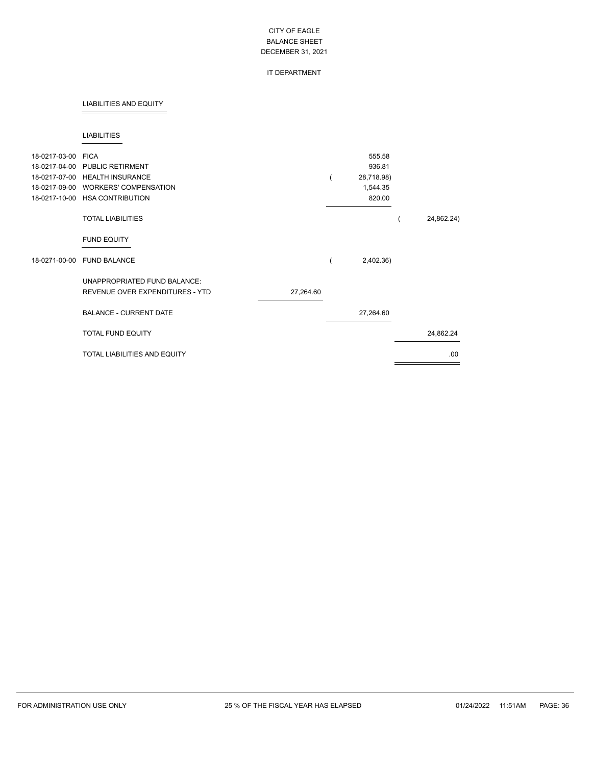### IT DEPARTMENT

### LIABILITIES AND EQUITY

### LIABILITIES

| 18-0217-03-00<br>18-0217-04-00<br>18-0217-07-00<br>18-0217-09-00<br>18-0217-10-00 | <b>FICA</b><br><b>PUBLIC RETIRMENT</b><br><b>HEALTH INSURANCE</b><br><b>WORKERS' COMPENSATION</b><br><b>HSA CONTRIBUTION</b> |           | 555.58<br>936.81<br>28,718.98)<br>1,544.35<br>820.00 |            |
|-----------------------------------------------------------------------------------|------------------------------------------------------------------------------------------------------------------------------|-----------|------------------------------------------------------|------------|
|                                                                                   | <b>TOTAL LIABILITIES</b>                                                                                                     |           |                                                      | 24,862.24) |
|                                                                                   | <b>FUND EQUITY</b>                                                                                                           |           |                                                      |            |
| 18-0271-00-00                                                                     | <b>FUND BALANCE</b>                                                                                                          |           | 2,402.36)                                            |            |
|                                                                                   | UNAPPROPRIATED FUND BALANCE:<br>REVENUE OVER EXPENDITURES - YTD                                                              | 27,264.60 |                                                      |            |
|                                                                                   | <b>BALANCE - CURRENT DATE</b>                                                                                                |           | 27,264.60                                            |            |
|                                                                                   | <b>TOTAL FUND EQUITY</b>                                                                                                     |           |                                                      | 24,862.24  |
|                                                                                   | TOTAL LIABILITIES AND EQUITY                                                                                                 |           |                                                      | .00.       |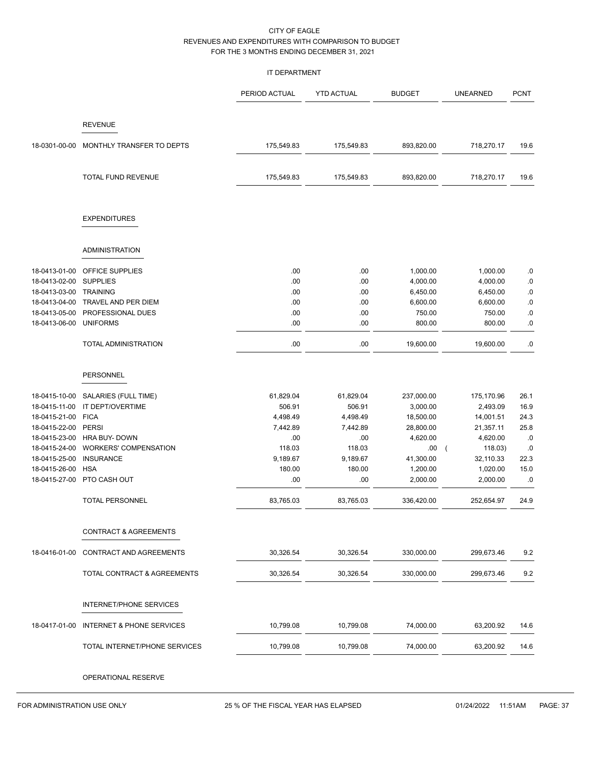### IT DEPARTMENT

|                                                                                                                                                       |                                                                                                                                                                                                             | PERIOD ACTUAL                                                                                          | <b>YTD ACTUAL</b>                                                                                      | <b>BUDGET</b>                                                                                                          | <b>UNEARNED</b>                                                                                                                          | <b>PCNT</b>                                                            |
|-------------------------------------------------------------------------------------------------------------------------------------------------------|-------------------------------------------------------------------------------------------------------------------------------------------------------------------------------------------------------------|--------------------------------------------------------------------------------------------------------|--------------------------------------------------------------------------------------------------------|------------------------------------------------------------------------------------------------------------------------|------------------------------------------------------------------------------------------------------------------------------------------|------------------------------------------------------------------------|
|                                                                                                                                                       | <b>REVENUE</b>                                                                                                                                                                                              |                                                                                                        |                                                                                                        |                                                                                                                        |                                                                                                                                          |                                                                        |
| 18-0301-00-00                                                                                                                                         | MONTHLY TRANSFER TO DEPTS                                                                                                                                                                                   | 175,549.83                                                                                             | 175,549.83                                                                                             | 893,820.00                                                                                                             | 718,270.17                                                                                                                               | 19.6                                                                   |
|                                                                                                                                                       | TOTAL FUND REVENUE                                                                                                                                                                                          | 175,549.83                                                                                             | 175,549.83                                                                                             | 893,820.00                                                                                                             | 718,270.17                                                                                                                               | 19.6                                                                   |
|                                                                                                                                                       | <b>EXPENDITURES</b>                                                                                                                                                                                         |                                                                                                        |                                                                                                        |                                                                                                                        |                                                                                                                                          |                                                                        |
|                                                                                                                                                       | ADMINISTRATION                                                                                                                                                                                              |                                                                                                        |                                                                                                        |                                                                                                                        |                                                                                                                                          |                                                                        |
| 18-0413-01-00<br>18-0413-02-00<br>18-0413-03-00 TRAINING<br>18-0413-05-00<br>18-0413-06-00                                                            | OFFICE SUPPLIES<br><b>SUPPLIES</b><br>18-0413-04-00 TRAVEL AND PER DIEM<br>PROFESSIONAL DUES<br><b>UNIFORMS</b><br>TOTAL ADMINISTRATION                                                                     | .00<br>.00<br>.00<br>.00<br>.00<br>.00<br>.00                                                          | .00<br>.00<br>.00<br>.00<br>.00<br>.00<br>.00                                                          | 1,000.00<br>4,000.00<br>6,450.00<br>6,600.00<br>750.00<br>800.00<br>19,600.00                                          | 1,000.00<br>4,000.00<br>6,450.00<br>6,600.00<br>750.00<br>800.00<br>19,600.00                                                            | .0<br>$.0\,$<br>$.0\,$<br>$.0\,$<br>.0<br>.0<br>.0                     |
|                                                                                                                                                       | <b>PERSONNEL</b>                                                                                                                                                                                            |                                                                                                        |                                                                                                        |                                                                                                                        |                                                                                                                                          |                                                                        |
| 18-0415-10-00<br>18-0415-11-00<br>18-0415-21-00<br>18-0415-22-00<br>18-0415-23-00<br>18-0415-24-00<br>18-0415-25-00<br>18-0415-26-00<br>18-0415-27-00 | SALARIES (FULL TIME)<br>IT DEPT/OVERTIME<br><b>FICA</b><br><b>PERSI</b><br><b>HRA BUY- DOWN</b><br><b>WORKERS' COMPENSATION</b><br><b>INSURANCE</b><br><b>HSA</b><br>PTO CASH OUT<br><b>TOTAL PERSONNEL</b> | 61,829.04<br>506.91<br>4,498.49<br>7,442.89<br>.00<br>118.03<br>9,189.67<br>180.00<br>.00<br>83,765.03 | 61,829.04<br>506.91<br>4,498.49<br>7,442.89<br>.00<br>118.03<br>9,189.67<br>180.00<br>.00<br>83,765.03 | 237,000.00<br>3,000.00<br>18,500.00<br>28,800.00<br>4,620.00<br>.00<br>41,300.00<br>1,200.00<br>2,000.00<br>336,420.00 | 175,170.96<br>2,493.09<br>14,001.51<br>21,357.11<br>4,620.00<br>118.03)<br>$\sqrt{2}$<br>32,110.33<br>1,020.00<br>2,000.00<br>252,654.97 | 26.1<br>16.9<br>24.3<br>25.8<br>.0<br>.0<br>22.3<br>15.0<br>.0<br>24.9 |
|                                                                                                                                                       | <b>CONTRACT &amp; AGREEMENTS</b>                                                                                                                                                                            |                                                                                                        |                                                                                                        |                                                                                                                        |                                                                                                                                          |                                                                        |
| 18-0416-01-00                                                                                                                                         | CONTRACT AND AGREEMENTS                                                                                                                                                                                     | 30,326.54                                                                                              | 30,326.54                                                                                              | 330,000.00                                                                                                             | 299,673.46                                                                                                                               | 9.2                                                                    |
|                                                                                                                                                       | TOTAL CONTRACT & AGREEMENTS                                                                                                                                                                                 | 30,326.54                                                                                              | 30,326.54                                                                                              | 330,000.00                                                                                                             | 299,673.46                                                                                                                               | 9.2                                                                    |
|                                                                                                                                                       | INTERNET/PHONE SERVICES                                                                                                                                                                                     |                                                                                                        |                                                                                                        |                                                                                                                        |                                                                                                                                          |                                                                        |
| 18-0417-01-00                                                                                                                                         | <b>INTERNET &amp; PHONE SERVICES</b>                                                                                                                                                                        | 10,799.08                                                                                              | 10,799.08                                                                                              | 74,000.00                                                                                                              | 63,200.92                                                                                                                                | 14.6                                                                   |
|                                                                                                                                                       | TOTAL INTERNET/PHONE SERVICES                                                                                                                                                                               | 10,799.08                                                                                              | 10,799.08                                                                                              | 74,000.00                                                                                                              | 63,200.92                                                                                                                                | 14.6                                                                   |
|                                                                                                                                                       |                                                                                                                                                                                                             |                                                                                                        |                                                                                                        |                                                                                                                        |                                                                                                                                          |                                                                        |

OPERATIONAL RESERVE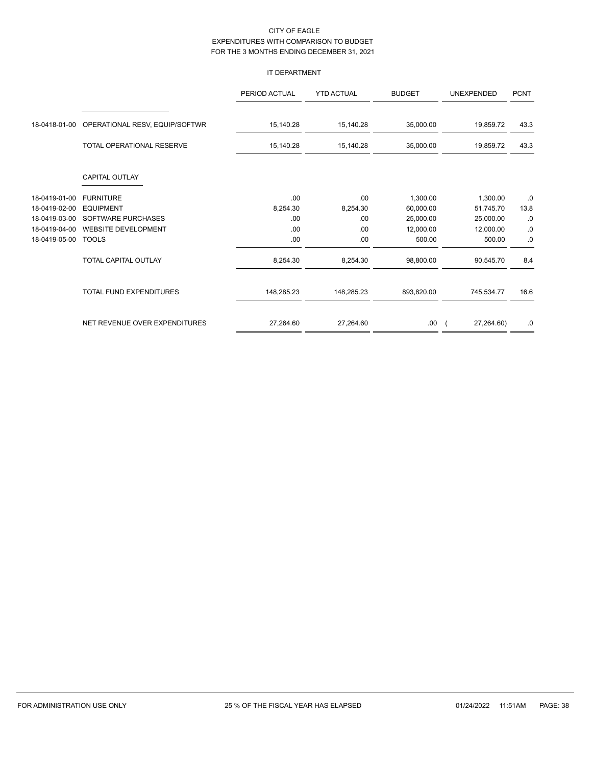## IT DEPARTMENT

|               |                                  | PERIOD ACTUAL | <b>YTD ACTUAL</b> | <b>BUDGET</b> | <b>UNEXPENDED</b> | <b>PCNT</b> |
|---------------|----------------------------------|---------------|-------------------|---------------|-------------------|-------------|
|               |                                  |               |                   |               |                   |             |
| 18-0418-01-00 | OPERATIONAL RESV, EQUIP/SOFTWR   | 15,140.28     | 15,140.28         | 35,000.00     | 19,859.72         | 43.3        |
|               | <b>TOTAL OPERATIONAL RESERVE</b> | 15,140.28     | 15,140.28         | 35,000.00     | 19,859.72         | 43.3        |
|               | CAPITAL OUTLAY                   |               |                   |               |                   |             |
| 18-0419-01-00 | <b>FURNITURE</b>                 | .00           | .00               | 1,300.00      | 1,300.00          | .0          |
| 18-0419-02-00 | <b>EQUIPMENT</b>                 | 8,254.30      | 8,254.30          | 60,000.00     | 51,745.70         | 13.8        |
| 18-0419-03-00 | SOFTWARE PURCHASES               | .00           | .00               | 25,000.00     | 25,000.00         | .0          |
| 18-0419-04-00 | <b>WEBSITE DEVELOPMENT</b>       | .00           | .00               | 12,000.00     | 12,000.00         | .0          |
| 18-0419-05-00 | <b>TOOLS</b>                     | .00           | .00               | 500.00        | 500.00            | .0          |
|               | TOTAL CAPITAL OUTLAY             | 8,254.30      | 8,254.30          | 98,800.00     | 90,545.70         | 8.4         |
|               | TOTAL FUND EXPENDITURES          | 148,285.23    | 148,285.23        | 893,820.00    | 745,534.77        | 16.6        |
|               | NET REVENUE OVER EXPENDITURES    | 27,264.60     | 27,264.60         | .00.          | 27,264.60)        | .0          |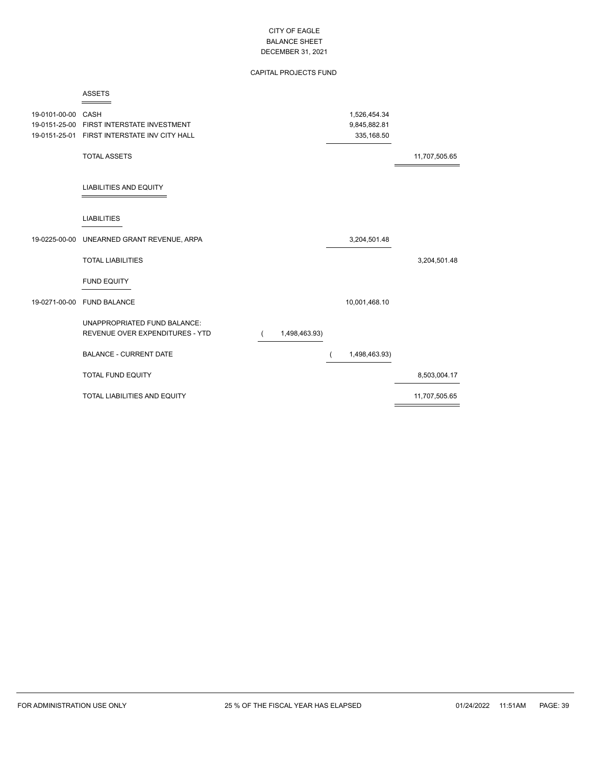# CAPITAL PROJECTS FUND

#### ASSETS  $=$

| 19-0101-00-00 | CASH<br>19-0151-25-00 FIRST INTERSTATE INVESTMENT<br>19-0151-25-01 FIRST INTERSTATE INV CITY HALL |               | 1,526,454.34<br>9,845,882.81<br>335,168.50 |               |
|---------------|---------------------------------------------------------------------------------------------------|---------------|--------------------------------------------|---------------|
|               | <b>TOTAL ASSETS</b>                                                                               |               |                                            | 11,707,505.65 |
|               | <b>LIABILITIES AND EQUITY</b>                                                                     |               |                                            |               |
|               | <b>LIABILITIES</b>                                                                                |               |                                            |               |
|               | 19-0225-00-00 UNEARNED GRANT REVENUE, ARPA                                                        |               | 3,204,501.48                               |               |
|               | <b>TOTAL LIABILITIES</b>                                                                          |               |                                            | 3,204,501.48  |
|               | <b>FUND EQUITY</b>                                                                                |               |                                            |               |
|               | 19-0271-00-00 FUND BALANCE                                                                        |               | 10,001,468.10                              |               |
|               | UNAPPROPRIATED FUND BALANCE:<br>REVENUE OVER EXPENDITURES - YTD                                   | 1,498,463.93) |                                            |               |
|               | <b>BALANCE - CURRENT DATE</b>                                                                     |               | 1,498,463.93)                              |               |
|               | <b>TOTAL FUND EQUITY</b>                                                                          |               |                                            | 8,503,004.17  |
|               | TOTAL LIABILITIES AND EQUITY                                                                      |               |                                            | 11,707,505.65 |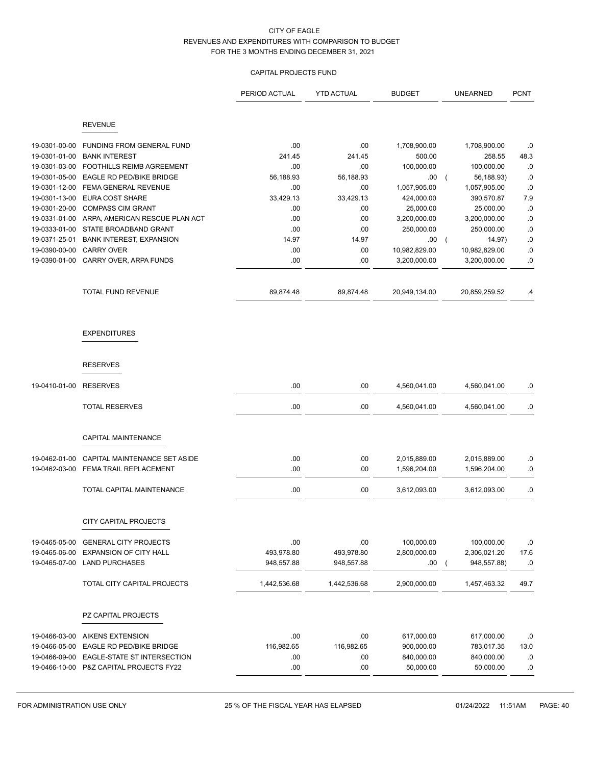# CAPITAL PROJECTS FUND

|               |                                         | PERIOD ACTUAL | <b>YTD ACTUAL</b> | <b>BUDGET</b> | <b>UNEARNED</b>              | <b>PCNT</b>   |
|---------------|-----------------------------------------|---------------|-------------------|---------------|------------------------------|---------------|
|               |                                         |               |                   |               |                              |               |
|               | <b>REVENUE</b>                          |               |                   |               |                              |               |
| 19-0301-00-00 | <b>FUNDING FROM GENERAL FUND</b>        | .00           | .00.              | 1,708,900.00  | 1,708,900.00                 | .0            |
| 19-0301-01-00 | <b>BANK INTEREST</b>                    | 241.45        | 241.45            | 500.00        | 258.55                       | 48.3          |
| 19-0301-03-00 | <b>FOOTHILLS REIMB AGREEMENT</b>        | .00           | .00               | 100,000.00    | 100,000.00                   | .0            |
| 19-0301-05-00 | EAGLE RD PED/BIKE BRIDGE                | 56,188.93     | 56,188.93         | .00           | 56,188.93)<br>$\overline{ }$ | .0            |
| 19-0301-12-00 | FEMA GENERAL REVENUE                    | .00           | .00               | 1,057,905.00  | 1,057,905.00                 | $.0\,$        |
| 19-0301-13-00 | <b>EURA COST SHARE</b>                  | 33,429.13     | 33,429.13         | 424,000.00    | 390,570.87                   | 7.9           |
| 19-0301-20-00 | <b>COMPASS CIM GRANT</b>                | .00           | .00               | 25,000.00     | 25,000.00                    | .0            |
| 19-0331-01-00 | ARPA, AMERICAN RESCUE PLAN ACT          | .00           | .00               | 3,200,000.00  | 3,200,000.00                 | .0            |
| 19-0333-01-00 | STATE BROADBAND GRANT                   | .00           | .00               | 250,000.00    | 250,000.00                   | $\cdot$ $\!0$ |
| 19-0371-25-01 | <b>BANK INTEREST, EXPANSION</b>         | 14.97         | 14.97             | .00           | 14.97)<br>$\left($           | $\cdot$ $\!0$ |
| 19-0390-00-00 | <b>CARRY OVER</b>                       | .00           | .00               | 10,982,829.00 | 10,982,829.00                | .0            |
| 19-0390-01-00 | CARRY OVER, ARPA FUNDS                  | .00           | .00               | 3,200,000.00  | 3,200,000.00                 | .0            |
|               | TOTAL FUND REVENUE                      | 89,874.48     | 89,874.48         | 20,949,134.00 | 20,859,259.52                | $\cdot$       |
|               |                                         |               |                   |               |                              |               |
|               | <b>EXPENDITURES</b>                     |               |                   |               |                              |               |
|               |                                         |               |                   |               |                              |               |
|               | <b>RESERVES</b>                         |               |                   |               |                              |               |
| 19-0410-01-00 | <b>RESERVES</b>                         | .00           | .00               | 4,560,041.00  | 4,560,041.00                 | .0            |
|               | <b>TOTAL RESERVES</b>                   | .00           | .00               | 4,560,041.00  | 4,560,041.00                 | .0            |
|               | <b>CAPITAL MAINTENANCE</b>              |               |                   |               |                              |               |
|               |                                         |               |                   |               |                              |               |
| 19-0462-01-00 | CAPITAL MAINTENANCE SET ASIDE           | .00           | .00               | 2,015,889.00  | 2,015,889.00                 | .0            |
| 19-0462-03-00 | FEMA TRAIL REPLACEMENT                  | .00           | .00               | 1,596,204.00  | 1,596,204.00                 | $\cdot$ 0     |
|               | TOTAL CAPITAL MAINTENANCE               | .00           | .00               | 3,612,093.00  | 3,612,093.00                 | .0            |
|               | CITY CAPITAL PROJECTS                   |               |                   |               |                              |               |
|               |                                         |               |                   |               |                              |               |
| 19-0465-05-00 | <b>GENERAL CITY PROJECTS</b>            | .00           | .00               | 100,000.00    | 100,000.00                   | .0            |
| 19-0465-06-00 | <b>EXPANSION OF CITY HALL</b>           | 493,978.80    | 493,978.80        | 2,800,000.00  | 2,306,021.20                 | 17.6          |
| 19-0465-07-00 | <b>LAND PURCHASES</b>                   | 948,557.88    | 948,557.88        | .00           | 948,557.88)                  | .0            |
|               | TOTAL CITY CAPITAL PROJECTS             | 1,442,536.68  | 1,442,536.68      | 2,900,000.00  | 1,457,463.32                 | 49.7          |
|               | PZ CAPITAL PROJECTS                     |               |                   |               |                              |               |
|               |                                         |               |                   |               |                              |               |
| 19-0466-03-00 | <b>AIKENS EXTENSION</b>                 | .00           | .00               | 617,000.00    | 617,000.00                   | .0            |
| 19-0466-05-00 | EAGLE RD PED/BIKE BRIDGE                | 116,982.65    | 116,982.65        | 900,000.00    | 783,017.35                   | 13.0          |
| 19-0466-09-00 | EAGLE-STATE ST INTERSECTION             | .00           | .00               | 840,000.00    | 840,000.00                   | .0            |
|               | 19-0466-10-00 P&Z CAPITAL PROJECTS FY22 | .00           | .00               | 50,000.00     | 50,000.00                    | .0            |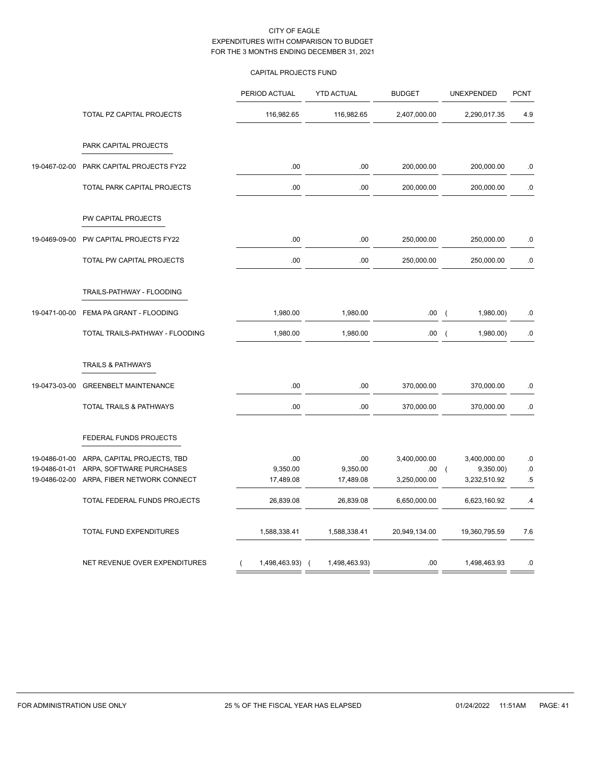# CAPITAL PROJECTS FUND

|               |                                 | PERIOD ACTUAL        | <b>YTD ACTUAL</b> | <b>BUDGET</b> | UNEXPENDED                            | <b>PCNT</b> |
|---------------|---------------------------------|----------------------|-------------------|---------------|---------------------------------------|-------------|
|               | TOTAL PZ CAPITAL PROJECTS       | 116,982.65           | 116,982.65        | 2,407,000.00  | 2,290,017.35                          | 4.9         |
|               | PARK CAPITAL PROJECTS           |                      |                   |               |                                       |             |
| 19-0467-02-00 | PARK CAPITAL PROJECTS FY22      | .00                  | .00               | 200,000.00    | 200,000.00                            | $.0$        |
|               | TOTAL PARK CAPITAL PROJECTS     | .00                  | .00               | 200,000.00    | 200,000.00                            | .0          |
|               | PW CAPITAL PROJECTS             |                      |                   |               |                                       |             |
| 19-0469-09-00 | PW CAPITAL PROJECTS FY22        | .00                  | .00               | 250,000.00    | 250,000.00                            | $.0$        |
|               | TOTAL PW CAPITAL PROJECTS       | .00                  | .00               | 250,000.00    | 250,000.00                            | $.0\,$      |
|               | TRAILS-PATHWAY - FLOODING       |                      |                   |               |                                       |             |
| 19-0471-00-00 | FEMA PA GRANT - FLOODING        | 1,980.00             | 1,980.00          | .00           | 1,980.00)<br>$\overline{ }$           | .0          |
|               | TOTAL TRAILS-PATHWAY - FLOODING | 1,980.00             | 1,980.00          | .00           | 1,980.00)<br>$\overline{\phantom{a}}$ | .0          |
|               | <b>TRAILS &amp; PATHWAYS</b>    |                      |                   |               |                                       |             |
| 19-0473-03-00 | <b>GREENBELT MAINTENANCE</b>    | .00                  | .00               | 370,000.00    | 370,000.00                            | .0          |
|               | TOTAL TRAILS & PATHWAYS         | .00                  | .00               | 370,000.00    | 370,000.00                            | .0          |
|               | FEDERAL FUNDS PROJECTS          |                      |                   |               |                                       |             |
| 19-0486-01-00 | ARPA, CAPITAL PROJECTS, TBD     | .00                  | .00               | 3,400,000.00  | 3,400,000.00                          | $.0$        |
| 19-0486-01-01 | ARPA, SOFTWARE PURCHASES        | 9,350.00             | 9,350.00          | .00.          | $\overline{ }$<br>9,350.00            | $.0$        |
| 19-0486-02-00 | ARPA, FIBER NETWORK CONNECT     | 17,489.08            | 17,489.08         | 3,250,000.00  | 3,232,510.92                          | $.5\,$      |
|               | TOTAL FEDERAL FUNDS PROJECTS    | 26,839.08            | 26,839.08         | 6,650,000.00  | 6,623,160.92                          | .4          |
|               | TOTAL FUND EXPENDITURES         | 1,588,338.41         | 1,588,338.41      | 20,949,134.00 | 19,360,795.59                         | 7.6         |
|               | NET REVENUE OVER EXPENDITURES   | 1,498,463.93) (<br>( | 1,498,463.93)     | .00           | 1,498,463.93                          | .0          |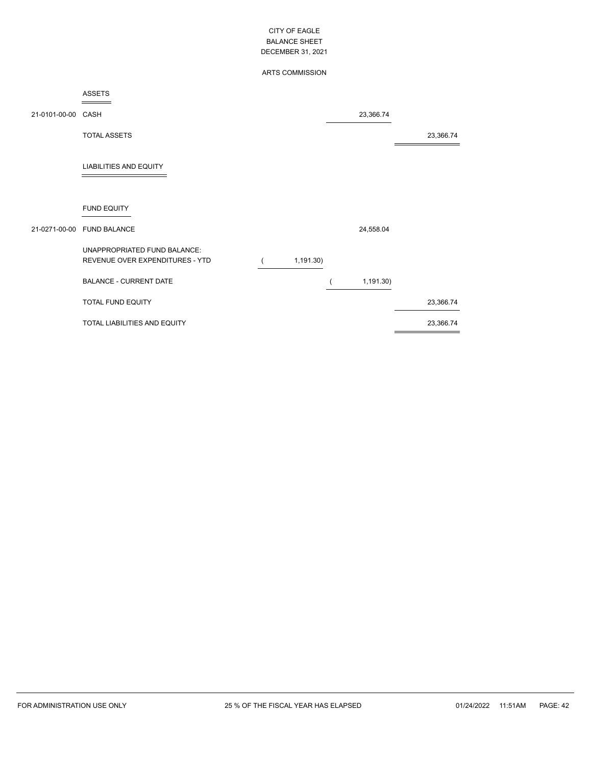# ARTS COMMISSION

#### ASSETS  $=$

| 21-0101-00-00 CASH |                                                                 |           | 23,366.74 |           |
|--------------------|-----------------------------------------------------------------|-----------|-----------|-----------|
|                    | <b>TOTAL ASSETS</b>                                             |           |           | 23,366.74 |
|                    | <b>LIABILITIES AND EQUITY</b>                                   |           |           |           |
|                    | <b>FUND EQUITY</b>                                              |           |           |           |
|                    | 21-0271-00-00 FUND BALANCE                                      |           | 24,558.04 |           |
|                    | UNAPPROPRIATED FUND BALANCE:<br>REVENUE OVER EXPENDITURES - YTD | 1,191.30) |           |           |
|                    | <b>BALANCE - CURRENT DATE</b>                                   |           | 1,191.30) |           |
|                    | TOTAL FUND EQUITY                                               |           |           | 23,366.74 |
|                    | TOTAL LIABILITIES AND EQUITY                                    |           |           | 23,366.74 |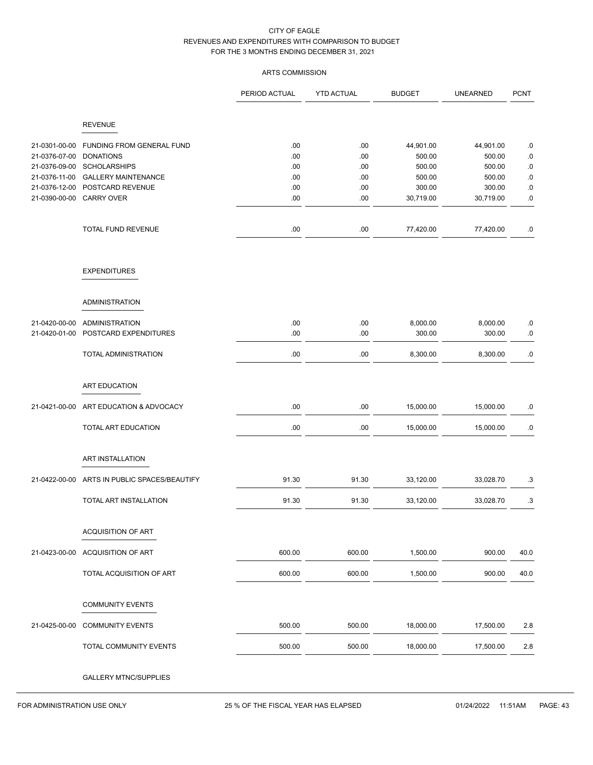# ARTS COMMISSION

|                                |                                               | PERIOD ACTUAL | <b>YTD ACTUAL</b> | <b>BUDGET</b>       | <b>UNEARNED</b>     | <b>PCNT</b>         |
|--------------------------------|-----------------------------------------------|---------------|-------------------|---------------------|---------------------|---------------------|
|                                | <b>REVENUE</b>                                |               |                   |                     |                     |                     |
|                                |                                               |               |                   |                     |                     |                     |
| 21-0301-00-00<br>21-0376-07-00 | FUNDING FROM GENERAL FUND<br><b>DONATIONS</b> | .00<br>.00.   | .00<br>.00        | 44,901.00<br>500.00 | 44,901.00<br>500.00 | $.0\,$<br>$\cdot 0$ |
| 21-0376-09-00                  | <b>SCHOLARSHIPS</b>                           | .00           | .00               | 500.00              | 500.00              | $.0\,$              |
| 21-0376-11-00                  | <b>GALLERY MAINTENANCE</b>                    | .00           | .00               | 500.00              | 500.00              | $.0\,$              |
| 21-0376-12-00                  | POSTCARD REVENUE                              | .00           | .00               | 300.00              | 300.00              | $.0\,$              |
| 21-0390-00-00                  | <b>CARRY OVER</b>                             | .00           | .00               | 30,719.00           | 30,719.00           | $.0\,$              |
|                                | TOTAL FUND REVENUE                            | .00           | .00               | 77,420.00           | 77,420.00           | $.0\,$              |
|                                | <b>EXPENDITURES</b>                           |               |                   |                     |                     |                     |
|                                | <b>ADMINISTRATION</b>                         |               |                   |                     |                     |                     |
|                                |                                               |               |                   |                     |                     |                     |
| 21-0420-00-00                  | <b>ADMINISTRATION</b>                         | .00           | .00               | 8,000.00            | 8,000.00            | $.0\,$              |
| 21-0420-01-00                  | POSTCARD EXPENDITURES                         | .00           | .00               | 300.00              | 300.00              | $.0\,$              |
|                                | TOTAL ADMINISTRATION                          | .00           | .00               | 8,300.00            | 8,300.00            | $.0\,$              |
|                                | ART EDUCATION                                 |               |                   |                     |                     |                     |
| 21-0421-00-00                  | ART EDUCATION & ADVOCACY                      | .00           | .00               | 15,000.00           | 15,000.00           | .0                  |
|                                | TOTAL ART EDUCATION                           | .00           | .00               | 15,000.00           | 15,000.00           | .0                  |
|                                | ART INSTALLATION                              |               |                   |                     |                     |                     |
|                                |                                               |               |                   |                     |                     |                     |
| 21-0422-00-00                  | ARTS IN PUBLIC SPACES/BEAUTIFY                | 91.30         | 91.30             | 33,120.00           | 33,028.70           | .3                  |
|                                | TOTAL ART INSTALLATION                        | 91.30         | 91.30             | 33,120.00           | 33,028.70           | .3                  |
|                                | <b>ACQUISITION OF ART</b>                     |               |                   |                     |                     |                     |
| 21-0423-00-00                  | <b>ACQUISITION OF ART</b>                     | 600.00        | 600.00            | 1,500.00            | 900.00              | 40.0                |
|                                | TOTAL ACQUISITION OF ART                      | 600.00        | 600.00            | 1,500.00            | 900.00              | 40.0                |
|                                | <b>COMMUNITY EVENTS</b>                       |               |                   |                     |                     |                     |
| 21-0425-00-00                  | <b>COMMUNITY EVENTS</b>                       | 500.00        | 500.00            | 18,000.00           | 17,500.00           | 2.8                 |
|                                | TOTAL COMMUNITY EVENTS                        | 500.00        | 500.00            | 18,000.00           | 17,500.00           | 2.8                 |
|                                | <b>GALLERY MTNC/SUPPLIES</b>                  |               |                   |                     |                     |                     |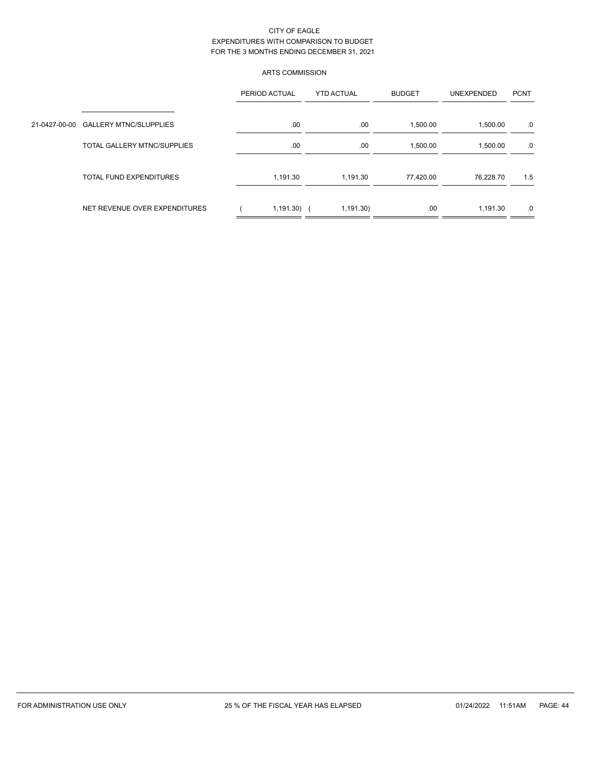# ARTS COMMISSION

|                                      | PERIOD ACTUAL | <b>YTD ACTUAL</b> | <b>BUDGET</b> | <b>UNEXPENDED</b> | <b>PCNT</b> |  |
|--------------------------------------|---------------|-------------------|---------------|-------------------|-------------|--|
| 21-0427-00-00 GALLERY MTNC/SLUPPLIES | .00.          | .00               | 1,500.00      | 1,500.00          | .0          |  |
| <b>TOTAL GALLERY MTNC/SUPPLIES</b>   | .00           | .00               | 1,500.00      | 1,500.00          | .0          |  |
| <b>TOTAL FUND EXPENDITURES</b>       | 1,191.30      | 1,191.30          | 77,420.00     | 76,228.70         | 1.5         |  |
| NET REVENUE OVER EXPENDITURES        | $1,191.30$ (  | 1,191.30          | .00.          | 1.191.30          | .0          |  |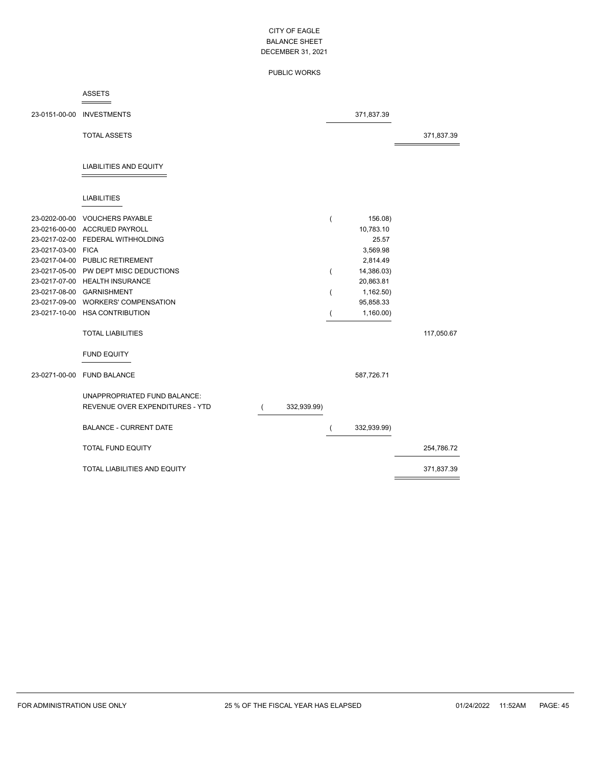### PUBLIC WORKS

#### ASSETS  $=$

|                    | 23-0151-00-00 INVESTMENTS                                       |             |   | 371,837.39  |            |
|--------------------|-----------------------------------------------------------------|-------------|---|-------------|------------|
|                    | <b>TOTAL ASSETS</b>                                             |             |   |             | 371,837.39 |
|                    | <b>LIABILITIES AND EQUITY</b>                                   |             |   |             |            |
|                    |                                                                 |             |   |             |            |
|                    | <b>LIABILITIES</b>                                              |             |   |             |            |
|                    | 23-0202-00-00 VOUCHERS PAYABLE                                  |             |   | 156.08)     |            |
|                    | 23-0216-00-00 ACCRUED PAYROLL                                   |             |   | 10,783.10   |            |
|                    | 23-0217-02-00 FEDERAL WITHHOLDING                               |             |   | 25.57       |            |
| 23-0217-03-00 FICA |                                                                 |             |   | 3,569.98    |            |
|                    | 23-0217-04-00 PUBLIC RETIREMENT                                 |             |   | 2,814.49    |            |
|                    | 23-0217-05-00 PW DEPT MISC DEDUCTIONS                           |             | ( | 14,386.03)  |            |
|                    | 23-0217-07-00 HEALTH INSURANCE                                  |             |   | 20,863.81   |            |
|                    | 23-0217-08-00 GARNISHMENT                                       |             |   | 1,162.50)   |            |
|                    | 23-0217-09-00 WORKERS' COMPENSATION                             |             |   | 95,858.33   |            |
|                    | 23-0217-10-00 HSA CONTRIBUTION                                  |             |   | 1,160.00    |            |
|                    | <b>TOTAL LIABILITIES</b>                                        |             |   |             | 117,050.67 |
|                    | <b>FUND EQUITY</b>                                              |             |   |             |            |
|                    | 23-0271-00-00 FUND BALANCE                                      |             |   | 587,726.71  |            |
|                    | UNAPPROPRIATED FUND BALANCE:<br>REVENUE OVER EXPENDITURES - YTD | 332,939.99) |   |             |            |
|                    | <b>BALANCE - CURRENT DATE</b>                                   |             |   | 332,939.99) |            |
|                    | <b>TOTAL FUND EQUITY</b>                                        |             |   |             | 254,786.72 |
|                    | TOTAL LIABILITIES AND EQUITY                                    |             |   |             | 371,837.39 |

 $\equiv$ 

 $=$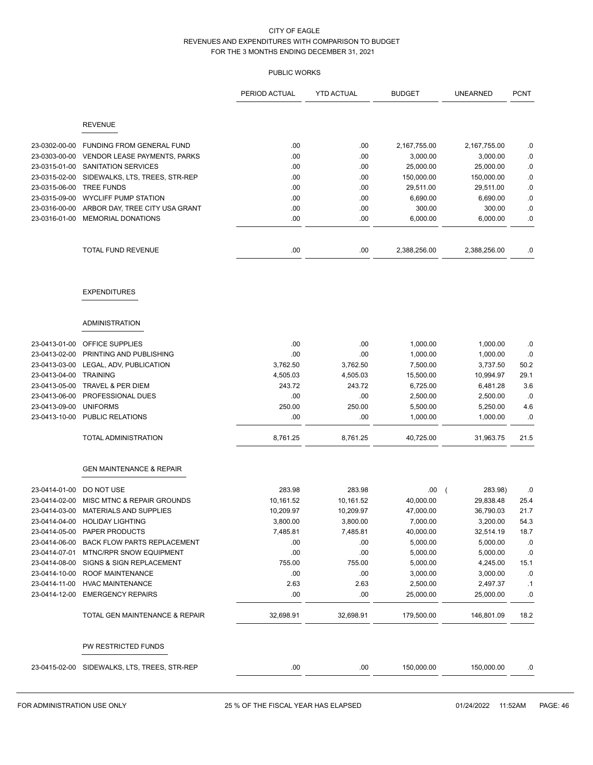| <b>REVENUE</b><br>.00<br>23-0302-00-00<br>FUNDING FROM GENERAL FUND<br>.00<br>2,167,755.00<br>2,167,755.00<br>.0<br>.00<br>.00<br>.0<br>23-0303-00-00<br>VENDOR LEASE PAYMENTS, PARKS<br>3,000.00<br>3,000.00<br>.00<br>$\cdot$ 0<br>23-0315-01-00<br>SANITATION SERVICES<br>.00<br>25,000.00<br>25,000.00<br>$\cdot$ 0<br>23-0315-02-00<br>SIDEWALKS, LTS, TREES, STR-REP<br>.00.<br>.00.<br>150,000.00<br>150,000.00<br><b>TREE FUNDS</b><br>29,511.00<br>.0<br>23-0315-06-00<br>.00.<br>.00.<br>29,511.00<br>23-0315-09-00<br><b>WYCLIFF PUMP STATION</b><br>.00<br>.00<br>6,690.00<br>.0<br>6,690.00<br>23-0316-00-00<br>ARBOR DAY, TREE CITY USA GRANT<br>.00<br>.00<br>300.00<br>300.00<br>.0<br>23-0316-01-00<br><b>MEMORIAL DONATIONS</b><br>.00<br>.00<br>.0<br>6,000.00<br>6,000.00<br>.00<br>TOTAL FUND REVENUE<br>.00.<br>2,388,256.00<br>2,388,256.00<br>.0<br><b>EXPENDITURES</b><br><b>ADMINISTRATION</b><br>.00<br>23-0413-01-00<br>OFFICE SUPPLIES<br>.00<br>1,000.00<br>1,000.00<br>.0<br>23-0413-02-00<br>PRINTING AND PUBLISHING<br>.00<br>.00<br>1,000.00<br>1,000.00<br>.0<br>LEGAL, ADV, PUBLICATION<br>3,762.50<br>3,762.50<br>50.2<br>23-0413-03-00<br>7,500.00<br>3,737.50<br><b>TRAINING</b><br>10,994.97<br>29.1<br>23-0413-04-00<br>4,505.03<br>4,505.03<br>15,500.00<br>243.72<br>243.72<br>23-0413-05-00<br>TRAVEL & PER DIEM<br>6,725.00<br>6,481.28<br>3.6<br>PROFESSIONAL DUES<br>23-0413-06-00<br>.00<br>.00<br>2,500.00<br>2,500.00<br>.0<br>23-0413-09-00<br><b>UNIFORMS</b><br>250.00<br>250.00<br>5,500.00<br>5,250.00<br>4.6<br>PUBLIC RELATIONS<br>.00<br>.00<br>1,000.00<br>1,000.00<br>.0<br>23-0413-10-00<br>TOTAL ADMINISTRATION<br>8,761.25<br>8,761.25<br>40,725.00<br>31,963.75<br>21.5<br><b>GEN MAINTENANCE &amp; REPAIR</b><br>283.98<br>283.98<br>23-0414-01-00<br>DO NOT USE<br>.00.<br>283.98)<br>$\left($<br>.0<br>MISC MTNC & REPAIR GROUNDS<br>10,161.52<br>29,838.48<br>23-0414-02-00<br>10,161.52<br>40,000.00<br>25.4<br>23-0414-03-00 MATERIALS AND SUPPLIES<br>10,209.97<br>10,209.97<br>47,000.00<br>36,790.03<br>21.7<br>3,200.00<br>54.3<br>23-0414-04-00<br><b>HOLIDAY LIGHTING</b><br>3,800.00<br>3,800.00<br>7,000.00<br>32,514.19<br>23-0414-05-00<br>PAPER PRODUCTS<br>7,485.81<br>7,485.81<br>40,000.00<br>18.7<br>23-0414-06-00<br>5,000.00<br>5,000.00<br>.0<br><b>BACK FLOW PARTS REPLACEMENT</b><br>.00<br>.00<br>.00<br>.00<br>.0<br>23-0414-07-01<br>MTNC/RPR SNOW EQUIPMENT<br>5,000.00<br>5,000.00<br>23-0414-08-00<br>SIGNS & SIGN REPLACEMENT<br>755.00<br>755.00<br>5,000.00<br>4,245.00<br>15.1<br>.00<br>.00<br>.0<br>23-0414-10-00<br>ROOF MAINTENANCE<br>3,000.00<br>3,000.00<br>23-0414-11-00<br><b>HVAC MAINTENANCE</b><br>2.63<br>2.63<br>2,500.00<br>2,497.37<br>.1<br>23-0414-12-00<br><b>EMERGENCY REPAIRS</b><br>.00.<br>.00<br>25,000.00<br>25,000.00<br>.0<br>TOTAL GEN MAINTENANCE & REPAIR<br>32,698.91<br>32,698.91<br>179,500.00<br>146,801.09<br>18.2<br>PW RESTRICTED FUNDS<br>23-0415-02-00 SIDEWALKS, LTS, TREES, STR-REP<br>.00<br>.00<br>150,000.00<br>150,000.00<br>.0 |  | PERIOD ACTUAL | <b>YTD ACTUAL</b> | <b>BUDGET</b> | <b>UNEARNED</b> | <b>PCNT</b> |
|----------------------------------------------------------------------------------------------------------------------------------------------------------------------------------------------------------------------------------------------------------------------------------------------------------------------------------------------------------------------------------------------------------------------------------------------------------------------------------------------------------------------------------------------------------------------------------------------------------------------------------------------------------------------------------------------------------------------------------------------------------------------------------------------------------------------------------------------------------------------------------------------------------------------------------------------------------------------------------------------------------------------------------------------------------------------------------------------------------------------------------------------------------------------------------------------------------------------------------------------------------------------------------------------------------------------------------------------------------------------------------------------------------------------------------------------------------------------------------------------------------------------------------------------------------------------------------------------------------------------------------------------------------------------------------------------------------------------------------------------------------------------------------------------------------------------------------------------------------------------------------------------------------------------------------------------------------------------------------------------------------------------------------------------------------------------------------------------------------------------------------------------------------------------------------------------------------------------------------------------------------------------------------------------------------------------------------------------------------------------------------------------------------------------------------------------------------------------------------------------------------------------------------------------------------------------------------------------------------------------------------------------------------------------------------------------------------------------------------------------------------------------------------------------------------------------------------------------------------------------------------------------------------------------------------------------------------------------------------------------------------------------------------------------------------------------------------|--|---------------|-------------------|---------------|-----------------|-------------|
|                                                                                                                                                                                                                                                                                                                                                                                                                                                                                                                                                                                                                                                                                                                                                                                                                                                                                                                                                                                                                                                                                                                                                                                                                                                                                                                                                                                                                                                                                                                                                                                                                                                                                                                                                                                                                                                                                                                                                                                                                                                                                                                                                                                                                                                                                                                                                                                                                                                                                                                                                                                                                                                                                                                                                                                                                                                                                                                                                                                                                                                                                  |  |               |                   |               |                 |             |
|                                                                                                                                                                                                                                                                                                                                                                                                                                                                                                                                                                                                                                                                                                                                                                                                                                                                                                                                                                                                                                                                                                                                                                                                                                                                                                                                                                                                                                                                                                                                                                                                                                                                                                                                                                                                                                                                                                                                                                                                                                                                                                                                                                                                                                                                                                                                                                                                                                                                                                                                                                                                                                                                                                                                                                                                                                                                                                                                                                                                                                                                                  |  |               |                   |               |                 |             |
|                                                                                                                                                                                                                                                                                                                                                                                                                                                                                                                                                                                                                                                                                                                                                                                                                                                                                                                                                                                                                                                                                                                                                                                                                                                                                                                                                                                                                                                                                                                                                                                                                                                                                                                                                                                                                                                                                                                                                                                                                                                                                                                                                                                                                                                                                                                                                                                                                                                                                                                                                                                                                                                                                                                                                                                                                                                                                                                                                                                                                                                                                  |  |               |                   |               |                 |             |
|                                                                                                                                                                                                                                                                                                                                                                                                                                                                                                                                                                                                                                                                                                                                                                                                                                                                                                                                                                                                                                                                                                                                                                                                                                                                                                                                                                                                                                                                                                                                                                                                                                                                                                                                                                                                                                                                                                                                                                                                                                                                                                                                                                                                                                                                                                                                                                                                                                                                                                                                                                                                                                                                                                                                                                                                                                                                                                                                                                                                                                                                                  |  |               |                   |               |                 |             |
|                                                                                                                                                                                                                                                                                                                                                                                                                                                                                                                                                                                                                                                                                                                                                                                                                                                                                                                                                                                                                                                                                                                                                                                                                                                                                                                                                                                                                                                                                                                                                                                                                                                                                                                                                                                                                                                                                                                                                                                                                                                                                                                                                                                                                                                                                                                                                                                                                                                                                                                                                                                                                                                                                                                                                                                                                                                                                                                                                                                                                                                                                  |  |               |                   |               |                 |             |
|                                                                                                                                                                                                                                                                                                                                                                                                                                                                                                                                                                                                                                                                                                                                                                                                                                                                                                                                                                                                                                                                                                                                                                                                                                                                                                                                                                                                                                                                                                                                                                                                                                                                                                                                                                                                                                                                                                                                                                                                                                                                                                                                                                                                                                                                                                                                                                                                                                                                                                                                                                                                                                                                                                                                                                                                                                                                                                                                                                                                                                                                                  |  |               |                   |               |                 |             |
|                                                                                                                                                                                                                                                                                                                                                                                                                                                                                                                                                                                                                                                                                                                                                                                                                                                                                                                                                                                                                                                                                                                                                                                                                                                                                                                                                                                                                                                                                                                                                                                                                                                                                                                                                                                                                                                                                                                                                                                                                                                                                                                                                                                                                                                                                                                                                                                                                                                                                                                                                                                                                                                                                                                                                                                                                                                                                                                                                                                                                                                                                  |  |               |                   |               |                 |             |
|                                                                                                                                                                                                                                                                                                                                                                                                                                                                                                                                                                                                                                                                                                                                                                                                                                                                                                                                                                                                                                                                                                                                                                                                                                                                                                                                                                                                                                                                                                                                                                                                                                                                                                                                                                                                                                                                                                                                                                                                                                                                                                                                                                                                                                                                                                                                                                                                                                                                                                                                                                                                                                                                                                                                                                                                                                                                                                                                                                                                                                                                                  |  |               |                   |               |                 |             |
|                                                                                                                                                                                                                                                                                                                                                                                                                                                                                                                                                                                                                                                                                                                                                                                                                                                                                                                                                                                                                                                                                                                                                                                                                                                                                                                                                                                                                                                                                                                                                                                                                                                                                                                                                                                                                                                                                                                                                                                                                                                                                                                                                                                                                                                                                                                                                                                                                                                                                                                                                                                                                                                                                                                                                                                                                                                                                                                                                                                                                                                                                  |  |               |                   |               |                 |             |
|                                                                                                                                                                                                                                                                                                                                                                                                                                                                                                                                                                                                                                                                                                                                                                                                                                                                                                                                                                                                                                                                                                                                                                                                                                                                                                                                                                                                                                                                                                                                                                                                                                                                                                                                                                                                                                                                                                                                                                                                                                                                                                                                                                                                                                                                                                                                                                                                                                                                                                                                                                                                                                                                                                                                                                                                                                                                                                                                                                                                                                                                                  |  |               |                   |               |                 |             |
|                                                                                                                                                                                                                                                                                                                                                                                                                                                                                                                                                                                                                                                                                                                                                                                                                                                                                                                                                                                                                                                                                                                                                                                                                                                                                                                                                                                                                                                                                                                                                                                                                                                                                                                                                                                                                                                                                                                                                                                                                                                                                                                                                                                                                                                                                                                                                                                                                                                                                                                                                                                                                                                                                                                                                                                                                                                                                                                                                                                                                                                                                  |  |               |                   |               |                 |             |
|                                                                                                                                                                                                                                                                                                                                                                                                                                                                                                                                                                                                                                                                                                                                                                                                                                                                                                                                                                                                                                                                                                                                                                                                                                                                                                                                                                                                                                                                                                                                                                                                                                                                                                                                                                                                                                                                                                                                                                                                                                                                                                                                                                                                                                                                                                                                                                                                                                                                                                                                                                                                                                                                                                                                                                                                                                                                                                                                                                                                                                                                                  |  |               |                   |               |                 |             |
|                                                                                                                                                                                                                                                                                                                                                                                                                                                                                                                                                                                                                                                                                                                                                                                                                                                                                                                                                                                                                                                                                                                                                                                                                                                                                                                                                                                                                                                                                                                                                                                                                                                                                                                                                                                                                                                                                                                                                                                                                                                                                                                                                                                                                                                                                                                                                                                                                                                                                                                                                                                                                                                                                                                                                                                                                                                                                                                                                                                                                                                                                  |  |               |                   |               |                 |             |
|                                                                                                                                                                                                                                                                                                                                                                                                                                                                                                                                                                                                                                                                                                                                                                                                                                                                                                                                                                                                                                                                                                                                                                                                                                                                                                                                                                                                                                                                                                                                                                                                                                                                                                                                                                                                                                                                                                                                                                                                                                                                                                                                                                                                                                                                                                                                                                                                                                                                                                                                                                                                                                                                                                                                                                                                                                                                                                                                                                                                                                                                                  |  |               |                   |               |                 |             |
|                                                                                                                                                                                                                                                                                                                                                                                                                                                                                                                                                                                                                                                                                                                                                                                                                                                                                                                                                                                                                                                                                                                                                                                                                                                                                                                                                                                                                                                                                                                                                                                                                                                                                                                                                                                                                                                                                                                                                                                                                                                                                                                                                                                                                                                                                                                                                                                                                                                                                                                                                                                                                                                                                                                                                                                                                                                                                                                                                                                                                                                                                  |  |               |                   |               |                 |             |
|                                                                                                                                                                                                                                                                                                                                                                                                                                                                                                                                                                                                                                                                                                                                                                                                                                                                                                                                                                                                                                                                                                                                                                                                                                                                                                                                                                                                                                                                                                                                                                                                                                                                                                                                                                                                                                                                                                                                                                                                                                                                                                                                                                                                                                                                                                                                                                                                                                                                                                                                                                                                                                                                                                                                                                                                                                                                                                                                                                                                                                                                                  |  |               |                   |               |                 |             |
|                                                                                                                                                                                                                                                                                                                                                                                                                                                                                                                                                                                                                                                                                                                                                                                                                                                                                                                                                                                                                                                                                                                                                                                                                                                                                                                                                                                                                                                                                                                                                                                                                                                                                                                                                                                                                                                                                                                                                                                                                                                                                                                                                                                                                                                                                                                                                                                                                                                                                                                                                                                                                                                                                                                                                                                                                                                                                                                                                                                                                                                                                  |  |               |                   |               |                 |             |
|                                                                                                                                                                                                                                                                                                                                                                                                                                                                                                                                                                                                                                                                                                                                                                                                                                                                                                                                                                                                                                                                                                                                                                                                                                                                                                                                                                                                                                                                                                                                                                                                                                                                                                                                                                                                                                                                                                                                                                                                                                                                                                                                                                                                                                                                                                                                                                                                                                                                                                                                                                                                                                                                                                                                                                                                                                                                                                                                                                                                                                                                                  |  |               |                   |               |                 |             |
|                                                                                                                                                                                                                                                                                                                                                                                                                                                                                                                                                                                                                                                                                                                                                                                                                                                                                                                                                                                                                                                                                                                                                                                                                                                                                                                                                                                                                                                                                                                                                                                                                                                                                                                                                                                                                                                                                                                                                                                                                                                                                                                                                                                                                                                                                                                                                                                                                                                                                                                                                                                                                                                                                                                                                                                                                                                                                                                                                                                                                                                                                  |  |               |                   |               |                 |             |
|                                                                                                                                                                                                                                                                                                                                                                                                                                                                                                                                                                                                                                                                                                                                                                                                                                                                                                                                                                                                                                                                                                                                                                                                                                                                                                                                                                                                                                                                                                                                                                                                                                                                                                                                                                                                                                                                                                                                                                                                                                                                                                                                                                                                                                                                                                                                                                                                                                                                                                                                                                                                                                                                                                                                                                                                                                                                                                                                                                                                                                                                                  |  |               |                   |               |                 |             |
|                                                                                                                                                                                                                                                                                                                                                                                                                                                                                                                                                                                                                                                                                                                                                                                                                                                                                                                                                                                                                                                                                                                                                                                                                                                                                                                                                                                                                                                                                                                                                                                                                                                                                                                                                                                                                                                                                                                                                                                                                                                                                                                                                                                                                                                                                                                                                                                                                                                                                                                                                                                                                                                                                                                                                                                                                                                                                                                                                                                                                                                                                  |  |               |                   |               |                 |             |
|                                                                                                                                                                                                                                                                                                                                                                                                                                                                                                                                                                                                                                                                                                                                                                                                                                                                                                                                                                                                                                                                                                                                                                                                                                                                                                                                                                                                                                                                                                                                                                                                                                                                                                                                                                                                                                                                                                                                                                                                                                                                                                                                                                                                                                                                                                                                                                                                                                                                                                                                                                                                                                                                                                                                                                                                                                                                                                                                                                                                                                                                                  |  |               |                   |               |                 |             |
|                                                                                                                                                                                                                                                                                                                                                                                                                                                                                                                                                                                                                                                                                                                                                                                                                                                                                                                                                                                                                                                                                                                                                                                                                                                                                                                                                                                                                                                                                                                                                                                                                                                                                                                                                                                                                                                                                                                                                                                                                                                                                                                                                                                                                                                                                                                                                                                                                                                                                                                                                                                                                                                                                                                                                                                                                                                                                                                                                                                                                                                                                  |  |               |                   |               |                 |             |
|                                                                                                                                                                                                                                                                                                                                                                                                                                                                                                                                                                                                                                                                                                                                                                                                                                                                                                                                                                                                                                                                                                                                                                                                                                                                                                                                                                                                                                                                                                                                                                                                                                                                                                                                                                                                                                                                                                                                                                                                                                                                                                                                                                                                                                                                                                                                                                                                                                                                                                                                                                                                                                                                                                                                                                                                                                                                                                                                                                                                                                                                                  |  |               |                   |               |                 |             |
|                                                                                                                                                                                                                                                                                                                                                                                                                                                                                                                                                                                                                                                                                                                                                                                                                                                                                                                                                                                                                                                                                                                                                                                                                                                                                                                                                                                                                                                                                                                                                                                                                                                                                                                                                                                                                                                                                                                                                                                                                                                                                                                                                                                                                                                                                                                                                                                                                                                                                                                                                                                                                                                                                                                                                                                                                                                                                                                                                                                                                                                                                  |  |               |                   |               |                 |             |
|                                                                                                                                                                                                                                                                                                                                                                                                                                                                                                                                                                                                                                                                                                                                                                                                                                                                                                                                                                                                                                                                                                                                                                                                                                                                                                                                                                                                                                                                                                                                                                                                                                                                                                                                                                                                                                                                                                                                                                                                                                                                                                                                                                                                                                                                                                                                                                                                                                                                                                                                                                                                                                                                                                                                                                                                                                                                                                                                                                                                                                                                                  |  |               |                   |               |                 |             |
|                                                                                                                                                                                                                                                                                                                                                                                                                                                                                                                                                                                                                                                                                                                                                                                                                                                                                                                                                                                                                                                                                                                                                                                                                                                                                                                                                                                                                                                                                                                                                                                                                                                                                                                                                                                                                                                                                                                                                                                                                                                                                                                                                                                                                                                                                                                                                                                                                                                                                                                                                                                                                                                                                                                                                                                                                                                                                                                                                                                                                                                                                  |  |               |                   |               |                 |             |
|                                                                                                                                                                                                                                                                                                                                                                                                                                                                                                                                                                                                                                                                                                                                                                                                                                                                                                                                                                                                                                                                                                                                                                                                                                                                                                                                                                                                                                                                                                                                                                                                                                                                                                                                                                                                                                                                                                                                                                                                                                                                                                                                                                                                                                                                                                                                                                                                                                                                                                                                                                                                                                                                                                                                                                                                                                                                                                                                                                                                                                                                                  |  |               |                   |               |                 |             |
|                                                                                                                                                                                                                                                                                                                                                                                                                                                                                                                                                                                                                                                                                                                                                                                                                                                                                                                                                                                                                                                                                                                                                                                                                                                                                                                                                                                                                                                                                                                                                                                                                                                                                                                                                                                                                                                                                                                                                                                                                                                                                                                                                                                                                                                                                                                                                                                                                                                                                                                                                                                                                                                                                                                                                                                                                                                                                                                                                                                                                                                                                  |  |               |                   |               |                 |             |
|                                                                                                                                                                                                                                                                                                                                                                                                                                                                                                                                                                                                                                                                                                                                                                                                                                                                                                                                                                                                                                                                                                                                                                                                                                                                                                                                                                                                                                                                                                                                                                                                                                                                                                                                                                                                                                                                                                                                                                                                                                                                                                                                                                                                                                                                                                                                                                                                                                                                                                                                                                                                                                                                                                                                                                                                                                                                                                                                                                                                                                                                                  |  |               |                   |               |                 |             |
|                                                                                                                                                                                                                                                                                                                                                                                                                                                                                                                                                                                                                                                                                                                                                                                                                                                                                                                                                                                                                                                                                                                                                                                                                                                                                                                                                                                                                                                                                                                                                                                                                                                                                                                                                                                                                                                                                                                                                                                                                                                                                                                                                                                                                                                                                                                                                                                                                                                                                                                                                                                                                                                                                                                                                                                                                                                                                                                                                                                                                                                                                  |  |               |                   |               |                 |             |
|                                                                                                                                                                                                                                                                                                                                                                                                                                                                                                                                                                                                                                                                                                                                                                                                                                                                                                                                                                                                                                                                                                                                                                                                                                                                                                                                                                                                                                                                                                                                                                                                                                                                                                                                                                                                                                                                                                                                                                                                                                                                                                                                                                                                                                                                                                                                                                                                                                                                                                                                                                                                                                                                                                                                                                                                                                                                                                                                                                                                                                                                                  |  |               |                   |               |                 |             |
|                                                                                                                                                                                                                                                                                                                                                                                                                                                                                                                                                                                                                                                                                                                                                                                                                                                                                                                                                                                                                                                                                                                                                                                                                                                                                                                                                                                                                                                                                                                                                                                                                                                                                                                                                                                                                                                                                                                                                                                                                                                                                                                                                                                                                                                                                                                                                                                                                                                                                                                                                                                                                                                                                                                                                                                                                                                                                                                                                                                                                                                                                  |  |               |                   |               |                 |             |
|                                                                                                                                                                                                                                                                                                                                                                                                                                                                                                                                                                                                                                                                                                                                                                                                                                                                                                                                                                                                                                                                                                                                                                                                                                                                                                                                                                                                                                                                                                                                                                                                                                                                                                                                                                                                                                                                                                                                                                                                                                                                                                                                                                                                                                                                                                                                                                                                                                                                                                                                                                                                                                                                                                                                                                                                                                                                                                                                                                                                                                                                                  |  |               |                   |               |                 |             |
|                                                                                                                                                                                                                                                                                                                                                                                                                                                                                                                                                                                                                                                                                                                                                                                                                                                                                                                                                                                                                                                                                                                                                                                                                                                                                                                                                                                                                                                                                                                                                                                                                                                                                                                                                                                                                                                                                                                                                                                                                                                                                                                                                                                                                                                                                                                                                                                                                                                                                                                                                                                                                                                                                                                                                                                                                                                                                                                                                                                                                                                                                  |  |               |                   |               |                 |             |
|                                                                                                                                                                                                                                                                                                                                                                                                                                                                                                                                                                                                                                                                                                                                                                                                                                                                                                                                                                                                                                                                                                                                                                                                                                                                                                                                                                                                                                                                                                                                                                                                                                                                                                                                                                                                                                                                                                                                                                                                                                                                                                                                                                                                                                                                                                                                                                                                                                                                                                                                                                                                                                                                                                                                                                                                                                                                                                                                                                                                                                                                                  |  |               |                   |               |                 |             |
|                                                                                                                                                                                                                                                                                                                                                                                                                                                                                                                                                                                                                                                                                                                                                                                                                                                                                                                                                                                                                                                                                                                                                                                                                                                                                                                                                                                                                                                                                                                                                                                                                                                                                                                                                                                                                                                                                                                                                                                                                                                                                                                                                                                                                                                                                                                                                                                                                                                                                                                                                                                                                                                                                                                                                                                                                                                                                                                                                                                                                                                                                  |  |               |                   |               |                 |             |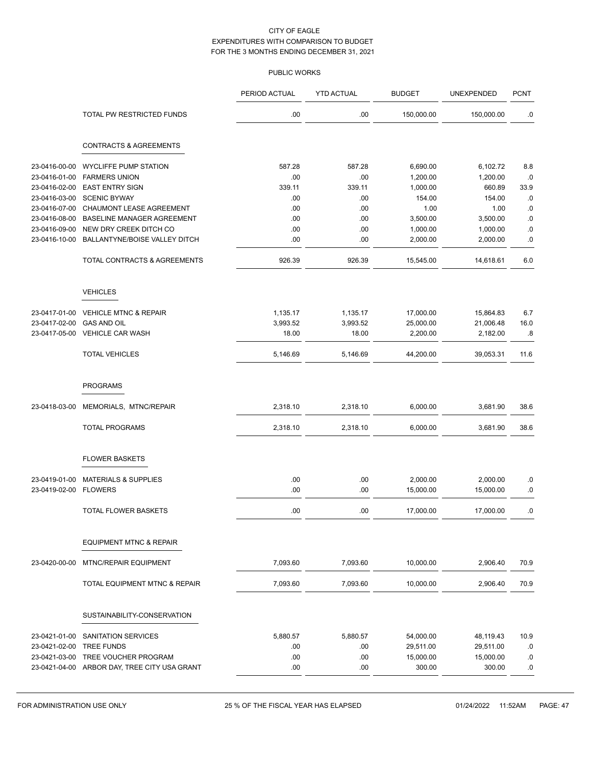|               |                                              | PERIOD ACTUAL | <b>YTD ACTUAL</b> | <b>BUDGET</b> | UNEXPENDED | <b>PCNT</b> |
|---------------|----------------------------------------------|---------------|-------------------|---------------|------------|-------------|
|               | <b>TOTAL PW RESTRICTED FUNDS</b>             | .00           | .00               | 150,000.00    | 150,000.00 | .0          |
|               | <b>CONTRACTS &amp; AGREEMENTS</b>            |               |                   |               |            |             |
| 23-0416-00-00 | <b>WYCLIFFE PUMP STATION</b>                 | 587.28        | 587.28            | 6,690.00      | 6,102.72   | 8.8         |
| 23-0416-01-00 | <b>FARMERS UNION</b>                         | .00           | .00               | 1,200.00      | 1,200.00   | .0          |
| 23-0416-02-00 | <b>EAST ENTRY SIGN</b>                       | 339.11        | 339.11            | 1,000.00      | 660.89     | 33.9        |
| 23-0416-03-00 | <b>SCENIC BYWAY</b>                          | .00           | .00               | 154.00        | 154.00     | .0          |
| 23-0416-07-00 | CHAUMONT LEASE AGREEMENT                     | .00           | .00               | 1.00          | 1.00       | 0.0         |
| 23-0416-08-00 | BASELINE MANAGER AGREEMENT                   | .00           | .00               | 3,500.00      | 3,500.00   | $\cdot$ 0   |
| 23-0416-09-00 | NEW DRY CREEK DITCH CO                       | .00           | .00               | 1,000.00      | 1,000.00   | $\cdot$ 0   |
| 23-0416-10-00 | BALLANTYNE/BOISE VALLEY DITCH                | .00           | .00               | 2,000.00      | 2,000.00   | 0.0         |
|               | TOTAL CONTRACTS & AGREEMENTS                 | 926.39        | 926.39            | 15,545.00     | 14,618.61  | 6.0         |
|               | <b>VEHICLES</b>                              |               |                   |               |            |             |
| 23-0417-01-00 | <b>VEHICLE MTNC &amp; REPAIR</b>             | 1,135.17      | 1,135.17          | 17,000.00     | 15,864.83  | 6.7         |
| 23-0417-02-00 | <b>GAS AND OIL</b>                           | 3,993.52      | 3,993.52          | 25,000.00     | 21,006.48  | 16.0        |
| 23-0417-05-00 | <b>VEHICLE CAR WASH</b>                      | 18.00         | 18.00             | 2,200.00      | 2,182.00   | .8          |
|               | <b>TOTAL VEHICLES</b>                        | 5,146.69      | 5,146.69          | 44,200.00     | 39,053.31  | 11.6        |
|               |                                              |               |                   |               |            |             |
|               | <b>PROGRAMS</b>                              |               |                   |               |            |             |
| 23-0418-03-00 | MEMORIALS, MTNC/REPAIR                       | 2,318.10      | 2,318.10          | 6,000.00      | 3,681.90   | 38.6        |
|               | <b>TOTAL PROGRAMS</b>                        | 2,318.10      | 2,318.10          | 6,000.00      | 3,681.90   | 38.6        |
|               | <b>FLOWER BASKETS</b>                        |               |                   |               |            |             |
| 23-0419-01-00 | <b>MATERIALS &amp; SUPPLIES</b>              | .00           | .00               | 2,000.00      | 2,000.00   | .0          |
| 23-0419-02-00 | <b>FLOWERS</b>                               | .00           | .00               | 15,000.00     | 15,000.00  | $\cdot$ 0   |
|               | <b>TOTAL FLOWER BASKETS</b>                  | .00           | .00               | 17,000.00     | 17,000.00  | .0          |
|               | <b>EQUIPMENT MTNC &amp; REPAIR</b>           |               |                   |               |            |             |
| 23-0420-00-00 | <b>MTNC/REPAIR EQUIPMENT</b>                 | 7,093.60      | 7,093.60          | 10,000.00     | 2,906.40   | 70.9        |
|               |                                              |               |                   |               |            |             |
|               | TOTAL EQUIPMENT MTNC & REPAIR                | 7,093.60      | 7,093.60          | 10,000.00     | 2,906.40   | 70.9        |
|               | SUSTAINABILITY-CONSERVATION                  |               |                   |               |            |             |
| 23-0421-01-00 | SANITATION SERVICES                          | 5,880.57      | 5,880.57          | 54,000.00     | 48,119.43  | 10.9        |
| 23-0421-02-00 | <b>TREE FUNDS</b>                            | .00           | .00               | 29,511.00     | 29,511.00  | .0          |
| 23-0421-03-00 | TREE VOUCHER PROGRAM                         | .00           | .00               | 15,000.00     | 15,000.00  | .0          |
|               | 23-0421-04-00 ARBOR DAY, TREE CITY USA GRANT | .00           | .00               | 300.00        | 300.00     | .0          |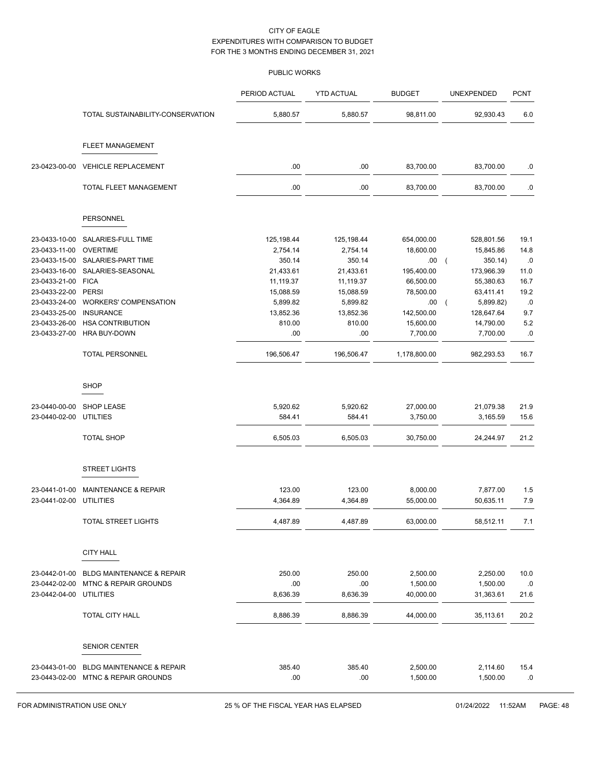|                         |                                      | PERIOD ACTUAL | <b>YTD ACTUAL</b> | <b>BUDGET</b> | <b>UNEXPENDED</b>   | <b>PCNT</b> |
|-------------------------|--------------------------------------|---------------|-------------------|---------------|---------------------|-------------|
|                         | TOTAL SUSTAINABILITY-CONSERVATION    | 5,880.57      | 5,880.57          | 98,811.00     | 92,930.43           | 6.0         |
|                         | <b>FLEET MANAGEMENT</b>              |               |                   |               |                     |             |
| 23-0423-00-00           | <b>VEHICLE REPLACEMENT</b>           | .00           | .00               | 83,700.00     | 83,700.00           | .0          |
|                         | TOTAL FLEET MANAGEMENT               | .00           | .00               | 83,700.00     | 83,700.00           | .0          |
|                         | <b>PERSONNEL</b>                     |               |                   |               |                     |             |
| 23-0433-10-00           | SALARIES-FULL TIME                   | 125,198.44    | 125,198.44        | 654,000.00    | 528,801.56          | 19.1        |
| 23-0433-11-00           | <b>OVERTIME</b>                      | 2,754.14      | 2,754.14          | 18,600.00     | 15,845.86           | 14.8        |
| 23-0433-15-00           | SALARIES-PART TIME                   | 350.14        | 350.14            | .00.          | 350.14)<br>$\left($ | .0          |
| 23-0433-16-00           | SALARIES-SEASONAL                    | 21,433.61     | 21,433.61         | 195,400.00    | 173,966.39          | 11.0        |
| 23-0433-21-00           | <b>FICA</b>                          | 11,119.37     | 11,119.37         | 66,500.00     | 55,380.63           | 16.7        |
| 23-0433-22-00           | <b>PERSI</b>                         | 15,088.59     | 15,088.59         | 78,500.00     | 63,411.41           | 19.2        |
| 23-0433-24-00           | <b>WORKERS' COMPENSATION</b>         | 5,899.82      | 5,899.82          | .00           | 5,899.82)           | .0          |
| 23-0433-25-00           | <b>INSURANCE</b>                     | 13,852.36     | 13,852.36         | 142,500.00    | 128,647.64          | 9.7         |
| 23-0433-26-00           | <b>HSA CONTRIBUTION</b>              | 810.00        | 810.00            | 15,600.00     | 14,790.00           | 5.2         |
| 23-0433-27-00           | <b>HRA BUY-DOWN</b>                  | .00           | .00               | 7,700.00      | 7,700.00            | .0          |
|                         | <b>TOTAL PERSONNEL</b>               | 196,506.47    | 196,506.47        | 1,178,800.00  | 982,293.53          | 16.7        |
|                         | <b>SHOP</b>                          |               |                   |               |                     |             |
| 23-0440-00-00           | <b>SHOP LEASE</b>                    | 5,920.62      | 5,920.62          | 27,000.00     | 21,079.38           | 21.9        |
| 23-0440-02-00           | <b>UTILTIES</b>                      | 584.41        | 584.41            | 3,750.00      | 3,165.59            | 15.6        |
|                         | <b>TOTAL SHOP</b>                    | 6,505.03      | 6,505.03          | 30,750.00     | 24,244.97           | 21.2        |
|                         |                                      |               |                   |               |                     |             |
|                         | <b>STREET LIGHTS</b>                 |               |                   |               |                     |             |
| 23-0441-01-00           | <b>MAINTENANCE &amp; REPAIR</b>      | 123.00        | 123.00            | 8,000.00      | 7,877.00            | 1.5         |
| 23-0441-02-00           | <b>UTILITIES</b>                     | 4,364.89      | 4,364.89          | 55,000.00     | 50,635.11           | 7.9         |
|                         | TOTAL STREET LIGHTS                  | 4,487.89      | 4,487.89          | 63,000.00     | 58,512.11           | 7.1         |
|                         | <b>CITY HALL</b>                     |               |                   |               |                     |             |
| 23-0442-01-00           | <b>BLDG MAINTENANCE &amp; REPAIR</b> | 250.00        | 250.00            | 2,500.00      | 2,250.00            | 10.0        |
| 23-0442-02-00           | MTNC & REPAIR GROUNDS                | .00           | .00               | 1,500.00      | 1,500.00            | .0          |
| 23-0442-04-00 UTILITIES |                                      | 8,636.39      | 8,636.39          | 40,000.00     | 31,363.61           | 21.6        |
|                         | TOTAL CITY HALL                      | 8,886.39      | 8,886.39          | 44,000.00     | 35,113.61           | 20.2        |
|                         |                                      |               |                   |               |                     |             |
|                         | <b>SENIOR CENTER</b>                 |               |                   |               |                     |             |
| 23-0443-01-00           | <b>BLDG MAINTENANCE &amp; REPAIR</b> | 385.40        | 385.40            | 2,500.00      | 2,114.60            | 15.4        |
|                         | 23-0443-02-00 MTNC & REPAIR GROUNDS  | .00           | .00               | 1,500.00      | 1,500.00            | .0          |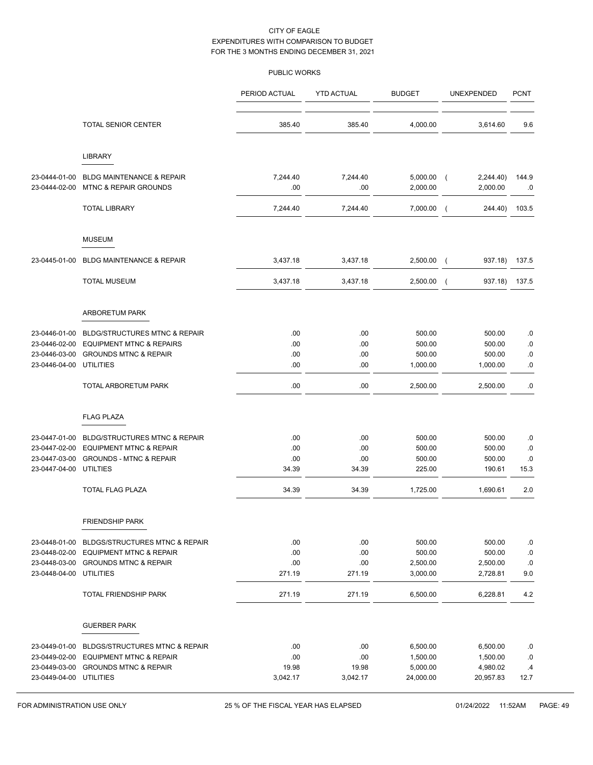|                                                                            |                                                                                                                            | PERIOD ACTUAL                   | <b>YTD ACTUAL</b>               | <b>BUDGET</b>                                 | UNEXPENDED                                    | <b>PCNT</b>                 |
|----------------------------------------------------------------------------|----------------------------------------------------------------------------------------------------------------------------|---------------------------------|---------------------------------|-----------------------------------------------|-----------------------------------------------|-----------------------------|
|                                                                            | <b>TOTAL SENIOR CENTER</b>                                                                                                 | 385.40                          | 385.40                          | 4,000.00                                      | 3,614.60                                      | 9.6                         |
|                                                                            | <b>LIBRARY</b>                                                                                                             |                                 |                                 |                                               |                                               |                             |
| 23-0444-01-00<br>23-0444-02-00                                             | <b>BLDG MAINTENANCE &amp; REPAIR</b><br><b>MTNC &amp; REPAIR GROUNDS</b>                                                   | 7,244.40<br>.00                 | 7,244.40<br>.00                 | $5,000.00$ (<br>2,000.00                      | 2,244.40)<br>2,000.00                         | 144.9<br>.0                 |
|                                                                            | <b>TOTAL LIBRARY</b>                                                                                                       | 7,244.40                        | 7,244.40                        | 7,000.00                                      | 244.40)<br>$\sqrt{2}$                         | 103.5                       |
|                                                                            | <b>MUSEUM</b>                                                                                                              |                                 |                                 |                                               |                                               |                             |
| 23-0445-01-00                                                              | <b>BLDG MAINTENANCE &amp; REPAIR</b>                                                                                       | 3,437.18                        | 3,437.18                        | 2,500.00                                      | 937.18)<br>$\sqrt{2}$                         | 137.5                       |
|                                                                            | <b>TOTAL MUSEUM</b>                                                                                                        | 3,437.18                        | 3,437.18                        | 2,500.00                                      | 937.18)<br>$\overline{ }$                     | 137.5                       |
|                                                                            | ARBORETUM PARK                                                                                                             |                                 |                                 |                                               |                                               |                             |
| 23-0446-01-00<br>23-0446-02-00<br>23-0446-03-00<br>23-0446-04-00 UTILITIES | <b>BLDG/STRUCTURES MTNC &amp; REPAIR</b><br><b>EQUIPMENT MTNC &amp; REPAIRS</b><br><b>GROUNDS MTNC &amp; REPAIR</b>        | .00<br>.00<br>.00<br>.00        | .00<br>.00<br>.00<br>.00        | 500.00<br>500.00<br>500.00<br>1,000.00        | 500.00<br>500.00<br>500.00<br>1,000.00        | .0<br>.0<br>.0<br>.0        |
|                                                                            | TOTAL ARBORETUM PARK                                                                                                       | .00                             | .00                             | 2,500.00                                      | 2,500.00                                      | $.0\,$                      |
|                                                                            | <b>FLAG PLAZA</b>                                                                                                          |                                 |                                 |                                               |                                               |                             |
| 23-0447-01-00<br>23-0447-04-00 UTILTIES                                    | <b>BLDG/STRUCTURES MTNC &amp; REPAIR</b><br>23-0447-02-00 EQUIPMENT MTNC & REPAIR<br>23-0447-03-00 GROUNDS - MTNC & REPAIR | .00<br>.00<br>.00<br>34.39      | .00<br>.00<br>.00<br>34.39      | 500.00<br>500.00<br>500.00<br>225.00          | 500.00<br>500.00<br>500.00<br>190.61          | .0<br>.0<br>.0<br>15.3      |
|                                                                            | TOTAL FLAG PLAZA                                                                                                           | 34.39                           | 34.39                           | 1,725.00                                      | 1,690.61                                      | 2.0                         |
|                                                                            | FRIENDSHIP PARK                                                                                                            |                                 |                                 |                                               |                                               |                             |
| 23-0448-01-00<br>23-0448-02-00<br>23-0448-03-00<br>23-0448-04-00 UTILITIES | <b>BLDGS/STRUCTURES MTNC &amp; REPAIR</b><br><b>EQUIPMENT MTNC &amp; REPAIR</b><br><b>GROUNDS MTNC &amp; REPAIR</b>        | .00<br>.00<br>.00<br>271.19     | .00<br>.00<br>.00<br>271.19     | 500.00<br>500.00<br>2,500.00<br>3,000.00      | 500.00<br>500.00<br>2,500.00<br>2,728.81      | .0<br>.0<br>.0<br>9.0       |
|                                                                            | TOTAL FRIENDSHIP PARK                                                                                                      | 271.19                          | 271.19                          | 6,500.00                                      | 6,228.81                                      | 4.2                         |
|                                                                            | <b>GUERBER PARK</b>                                                                                                        |                                 |                                 |                                               |                                               |                             |
| 23-0449-01-00<br>23-0449-02-00<br>23-0449-03-00<br>23-0449-04-00 UTILITIES | <b>BLDGS/STRUCTURES MTNC &amp; REPAIR</b><br><b>EQUIPMENT MTNC &amp; REPAIR</b><br><b>GROUNDS MTNC &amp; REPAIR</b>        | .00<br>.00<br>19.98<br>3,042.17 | .00<br>.00<br>19.98<br>3,042.17 | 6,500.00<br>1,500.00<br>5,000.00<br>24,000.00 | 6,500.00<br>1,500.00<br>4,980.02<br>20,957.83 | .0<br>.0<br>$\cdot$<br>12.7 |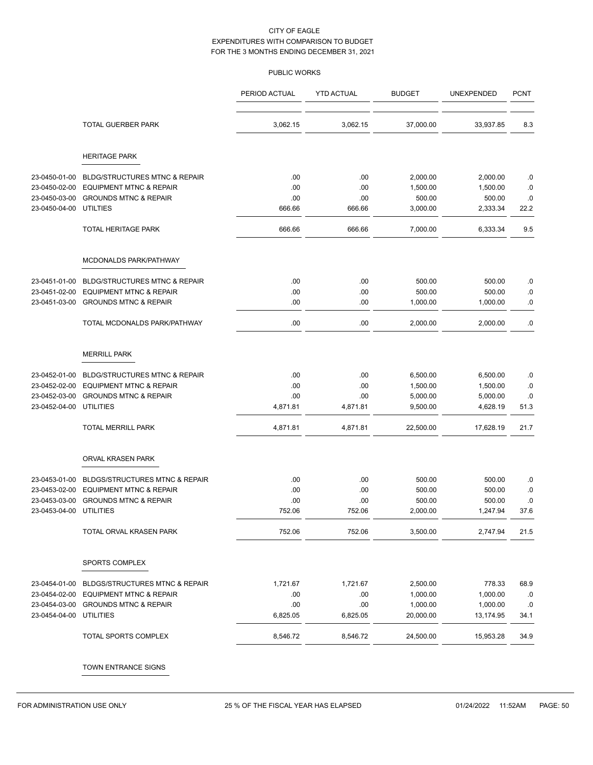|                         |                                           | PERIOD ACTUAL | <b>YTD ACTUAL</b> | <b>BUDGET</b> | UNEXPENDED | <b>PCNT</b> |
|-------------------------|-------------------------------------------|---------------|-------------------|---------------|------------|-------------|
|                         | TOTAL GUERBER PARK                        | 3,062.15      | 3,062.15          | 37,000.00     | 33,937.85  | 8.3         |
|                         | <b>HERITAGE PARK</b>                      |               |                   |               |            |             |
| 23-0450-01-00           | <b>BLDG/STRUCTURES MTNC &amp; REPAIR</b>  | .00           | .00               | 2,000.00      | 2,000.00   | .0          |
| 23-0450-02-00           | <b>EQUIPMENT MTNC &amp; REPAIR</b>        | .00           | .00               | 1,500.00      | 1,500.00   | .0          |
| 23-0450-03-00           | <b>GROUNDS MTNC &amp; REPAIR</b>          | .00           | .00               | 500.00        | 500.00     | 0.0         |
| 23-0450-04-00           | <b>UTILTIES</b>                           | 666.66        | 666.66            | 3,000.00      | 2,333.34   | 22.2        |
|                         | TOTAL HERITAGE PARK                       | 666.66        | 666.66            | 7,000.00      | 6,333.34   | 9.5         |
|                         | MCDONALDS PARK/PATHWAY                    |               |                   |               |            |             |
| 23-0451-01-00           | <b>BLDG/STRUCTURES MTNC &amp; REPAIR</b>  | .00           | .00               | 500.00        | 500.00     | .0          |
| 23-0451-02-00           | <b>EQUIPMENT MTNC &amp; REPAIR</b>        | .00           | .00               | 500.00        | 500.00     | .0          |
| 23-0451-03-00           | <b>GROUNDS MTNC &amp; REPAIR</b>          | .00           | .00               | 1,000.00      | 1,000.00   | 0.0         |
|                         | TOTAL MCDONALDS PARK/PATHWAY              | .00           | .00               | 2,000.00      | 2,000.00   | $\cdot$ 0   |
|                         | <b>MERRILL PARK</b>                       |               |                   |               |            |             |
| 23-0452-01-00           | <b>BLDG/STRUCTURES MTNC &amp; REPAIR</b>  | .00           | .00               | 6,500.00      | 6,500.00   | .0          |
| 23-0452-02-00           | <b>EQUIPMENT MTNC &amp; REPAIR</b>        | .00           | .00               | 1,500.00      | 1,500.00   | $\cdot$ 0   |
| 23-0452-03-00           | <b>GROUNDS MTNC &amp; REPAIR</b>          | .00           | .00               | 5,000.00      | 5,000.00   | .0          |
| 23-0452-04-00           | <b>UTILITIES</b>                          | 4,871.81      | 4,871.81          | 9,500.00      | 4,628.19   | 51.3        |
|                         | TOTAL MERRILL PARK                        | 4,871.81      | 4,871.81          | 22,500.00     | 17,628.19  | 21.7        |
|                         | ORVAL KRASEN PARK                         |               |                   |               |            |             |
| 23-0453-01-00           | <b>BLDGS/STRUCTURES MTNC &amp; REPAIR</b> | .00           | .00               | 500.00        | 500.00     | .0          |
| 23-0453-02-00           | <b>EQUIPMENT MTNC &amp; REPAIR</b>        | .00           | .00               | 500.00        | 500.00     | 0.0         |
| 23-0453-03-00           | <b>GROUNDS MTNC &amp; REPAIR</b>          | .00           | .00               | 500.00        | 500.00     | .0          |
| 23-0453-04-00           | <b>UTILITIES</b>                          | 752.06        | 752.06            | 2,000.00      | 1,247.94   | 37.6        |
|                         | TOTAL ORVAL KRASEN PARK                   | 752.06        | 752.06            | 3,500.00      | 2,747.94   | 21.5        |
|                         | SPORTS COMPLEX                            |               |                   |               |            |             |
| 23-0454-01-00           | BLDGS/STRUCTURES MTNC & REPAIR            | 1,721.67      | 1,721.67          | 2,500.00      | 778.33     | 68.9        |
| 23-0454-02-00           | <b>EQUIPMENT MTNC &amp; REPAIR</b>        | .00           | .00               | 1,000.00      | 1,000.00   | .0          |
|                         | 23-0454-03-00 GROUNDS MTNC & REPAIR       | .00           | .00               | 1,000.00      | 1,000.00   | .0          |
| 23-0454-04-00 UTILITIES |                                           | 6,825.05      | 6,825.05          | 20,000.00     | 13,174.95  | 34.1        |
|                         | TOTAL SPORTS COMPLEX                      | 8,546.72      | 8,546.72          | 24,500.00     | 15,953.28  | 34.9        |
|                         | TOWN ENTRANCE SIGNS                       |               |                   |               |            |             |
|                         |                                           |               |                   |               |            |             |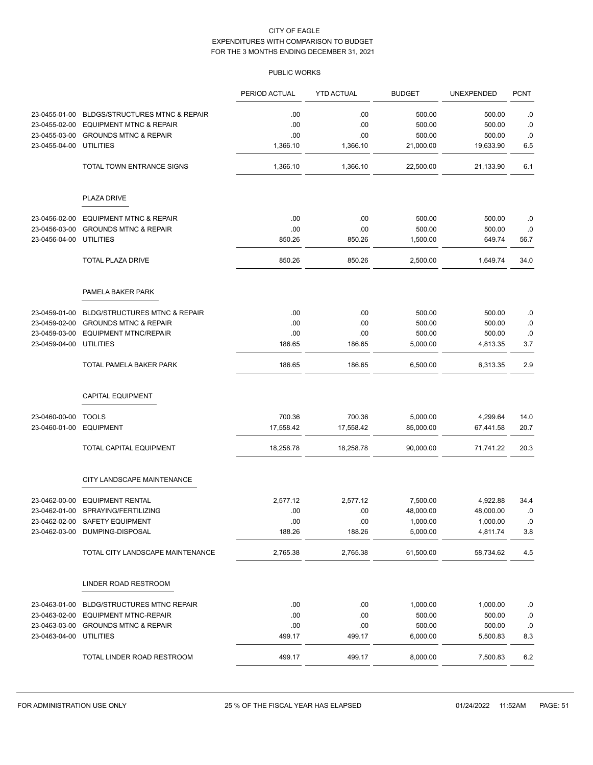|                         |                                           | PERIOD ACTUAL | <b>YTD ACTUAL</b> | <b>BUDGET</b> | <b>UNEXPENDED</b> | <b>PCNT</b> |
|-------------------------|-------------------------------------------|---------------|-------------------|---------------|-------------------|-------------|
| 23-0455-01-00           | <b>BLDGS/STRUCTURES MTNC &amp; REPAIR</b> | .00           | .00               | 500.00        | 500.00            | .0          |
| 23-0455-02-00           | <b>EQUIPMENT MTNC &amp; REPAIR</b>        | .00           | .00               | 500.00        | 500.00            | .0          |
| 23-0455-03-00           | <b>GROUNDS MTNC &amp; REPAIR</b>          | .00           | .00               | 500.00        | 500.00            | .0          |
| 23-0455-04-00           | <b>UTILITIES</b>                          | 1,366.10      | 1,366.10          | 21,000.00     | 19,633.90         | 6.5         |
|                         | TOTAL TOWN ENTRANCE SIGNS                 | 1,366.10      | 1,366.10          | 22,500.00     | 21,133.90         | 6.1         |
|                         | <b>PLAZA DRIVE</b>                        |               |                   |               |                   |             |
| 23-0456-02-00           | <b>EQUIPMENT MTNC &amp; REPAIR</b>        | .00           | .00               | 500.00        | 500.00            | .0          |
| 23-0456-03-00           | <b>GROUNDS MTNC &amp; REPAIR</b>          | .00           | .00               | 500.00        | 500.00            | .0          |
| 23-0456-04-00           | <b>UTILITIES</b>                          | 850.26        | 850.26            | 1,500.00      | 649.74            | 56.7        |
|                         | <b>TOTAL PLAZA DRIVE</b>                  | 850.26        | 850.26            | 2,500.00      | 1,649.74          | 34.0        |
|                         | PAMELA BAKER PARK                         |               |                   |               |                   |             |
| 23-0459-01-00           | <b>BLDG/STRUCTURES MTNC &amp; REPAIR</b>  | .00           | .00               | 500.00        | 500.00            | .0          |
| 23-0459-02-00           | <b>GROUNDS MTNC &amp; REPAIR</b>          | .00           | .00               | 500.00        | 500.00            | .0          |
| 23-0459-03-00           | <b>EQUIPMENT MTNC/REPAIR</b>              | .00           | .00               | 500.00        | 500.00            | .0          |
| 23-0459-04-00           | <b>UTILITIES</b>                          | 186.65        | 186.65            | 5,000.00      | 4,813.35          | 3.7         |
|                         | TOTAL PAMELA BAKER PARK                   | 186.65        | 186.65            | 6,500.00      | 6,313.35          | 2.9         |
|                         | <b>CAPITAL EQUIPMENT</b>                  |               |                   |               |                   |             |
| 23-0460-00-00           | <b>TOOLS</b>                              | 700.36        | 700.36            | 5,000.00      | 4,299.64          | 14.0        |
| 23-0460-01-00           | <b>EQUIPMENT</b>                          | 17,558.42     | 17,558.42         | 85,000.00     | 67,441.58         | 20.7        |
|                         | TOTAL CAPITAL EQUIPMENT                   | 18,258.78     | 18,258.78         | 90,000.00     | 71,741.22         | 20.3        |
|                         | CITY LANDSCAPE MAINTENANCE                |               |                   |               |                   |             |
| 23-0462-00-00           | <b>EQUIPMENT RENTAL</b>                   | 2,577.12      | 2,577.12          | 7,500.00      | 4,922.88          | 34.4        |
|                         | 23-0462-01-00 SPRAYING/FERTILIZING        | .00           | .00               | 48,000.00     | 48,000.00         | .0          |
|                         | 23-0462-02-00 SAFETY EQUIPMENT            | .00           | .00               | 1,000.00      | 1,000.00          | .0          |
|                         | 23-0462-03-00 DUMPING-DISPOSAL            | 188.26        | 188.26            | 5,000.00      | 4,811.74          | 3.8         |
|                         | TOTAL CITY LANDSCAPE MAINTENANCE          | 2,765.38      | 2,765.38          | 61,500.00     | 58,734.62         | 4.5         |
|                         | LINDER ROAD RESTROOM                      |               |                   |               |                   |             |
| 23-0463-01-00           | <b>BLDG/STRUCTURES MTNC REPAIR</b>        | .00           | .00               | 1,000.00      | 1,000.00          | .0          |
|                         | 23-0463-02-00 EQUIPMENT MTNC-REPAIR       | .00           | .00               | 500.00        | 500.00            | .0          |
|                         | 23-0463-03-00 GROUNDS MTNC & REPAIR       | .00           | .00               | 500.00        | 500.00            | .0          |
| 23-0463-04-00 UTILITIES |                                           | 499.17        | 499.17            | 6,000.00      | 5,500.83          | 8.3         |
|                         | TOTAL LINDER ROAD RESTROOM                | 499.17        | 499.17            | 8,000.00      | 7,500.83          | 6.2         |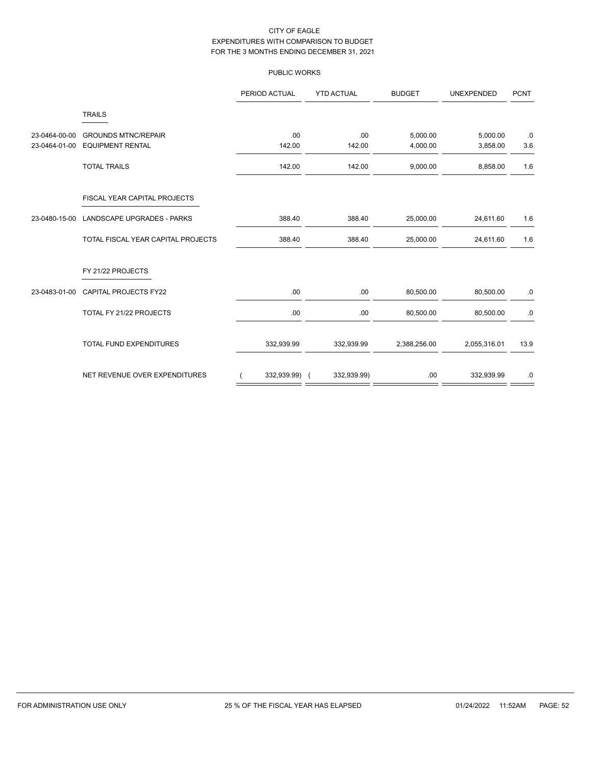|               |                                    | PERIOD ACTUAL | <b>YTD ACTUAL</b> | <b>BUDGET</b> | <b>UNEXPENDED</b> | <b>PCNT</b> |
|---------------|------------------------------------|---------------|-------------------|---------------|-------------------|-------------|
|               | <b>TRAILS</b>                      |               |                   |               |                   |             |
| 23-0464-00-00 | <b>GROUNDS MTNC/REPAIR</b>         | .00           | .00               | 5,000.00      | 5,000.00          | .0          |
| 23-0464-01-00 | <b>EQUIPMENT RENTAL</b>            | 142.00        | 142.00            | 4,000.00      | 3,858.00          | 3.6         |
|               | <b>TOTAL TRAILS</b>                | 142.00        | 142.00            | 9,000.00      | 8,858.00          | 1.6         |
|               | FISCAL YEAR CAPITAL PROJECTS       |               |                   |               |                   |             |
| 23-0480-15-00 | LANDSCAPE UPGRADES - PARKS         | 388.40        | 388.40            | 25,000.00     | 24,611.60         | 1.6         |
|               | TOTAL FISCAL YEAR CAPITAL PROJECTS | 388.40        | 388.40            | 25,000.00     | 24,611.60         | 1.6         |
|               | FY 21/22 PROJECTS                  |               |                   |               |                   |             |
| 23-0483-01-00 | <b>CAPITAL PROJECTS FY22</b>       | .00           | .00.              | 80,500.00     | 80,500.00         | .0          |
|               | TOTAL FY 21/22 PROJECTS            | .00           | .00               | 80,500.00     | 80,500.00         | .0          |
|               | <b>TOTAL FUND EXPENDITURES</b>     | 332,939.99    | 332,939.99        | 2,388,256.00  | 2,055,316.01      | 13.9        |
|               | NET REVENUE OVER EXPENDITURES      | 332,939.99) ( | 332,939.99)       | .00           | 332,939.99        | .0          |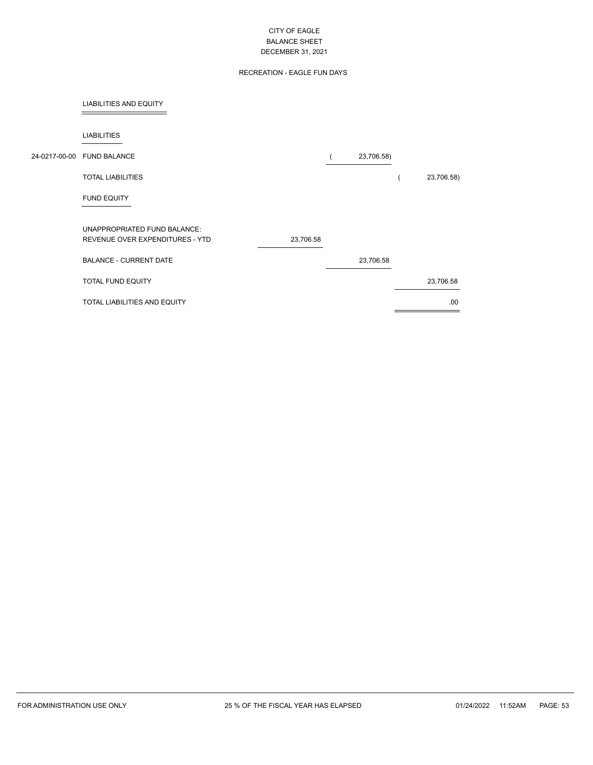# RECREATION - EAGLE FUN DAYS

### LIABILITIES AND EQUITY

 $\overline{a}$ 

| <b>LIABILITIES</b>                                                           |            |            |
|------------------------------------------------------------------------------|------------|------------|
| 24-0217-00-00 FUND BALANCE                                                   | 23,706.58) |            |
| <b>TOTAL LIABILITIES</b>                                                     |            | 23,706.58) |
| <b>FUND EQUITY</b>                                                           |            |            |
| UNAPPROPRIATED FUND BALANCE:<br>REVENUE OVER EXPENDITURES - YTD<br>23,706.58 |            |            |
| <b>BALANCE - CURRENT DATE</b>                                                | 23,706.58  |            |
| TOTAL FUND EQUITY                                                            |            | 23,706.58  |
| <b>TOTAL LIABILITIES AND EQUITY</b>                                          |            | .00        |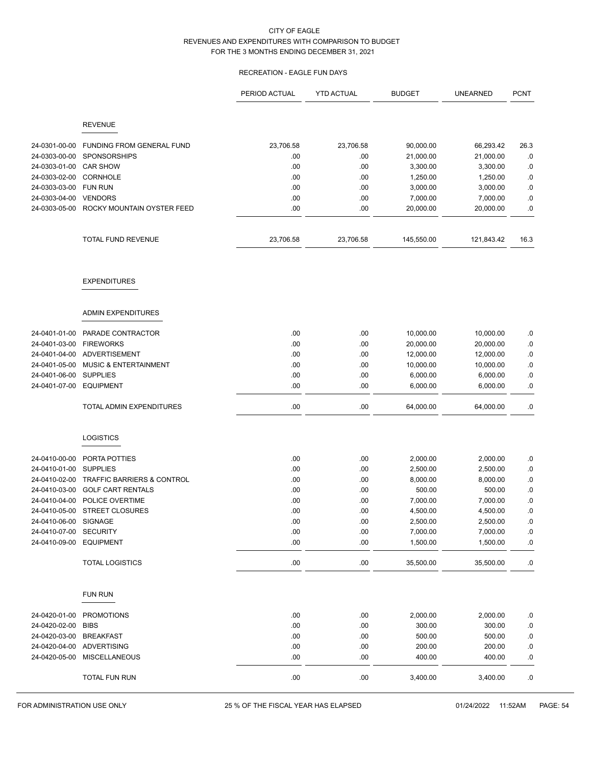# RECREATION - EAGLE FUN DAYS

|                                |                                        | PERIOD ACTUAL | <b>YTD ACTUAL</b> | <b>BUDGET</b>        | <b>UNEARNED</b>      | <b>PCNT</b> |
|--------------------------------|----------------------------------------|---------------|-------------------|----------------------|----------------------|-------------|
|                                | <b>REVENUE</b>                         |               |                   |                      |                      |             |
|                                |                                        |               |                   |                      |                      |             |
| 24-0301-00-00                  | FUNDING FROM GENERAL FUND              | 23,706.58     | 23,706.58         | 90,000.00            | 66,293.42            | 26.3        |
| 24-0303-00-00<br>24-0303-01-00 | <b>SPONSORSHIPS</b><br><b>CAR SHOW</b> | .00<br>.00    | .00<br>.00        | 21,000.00            | 21,000.00            | .0          |
| 24-0303-02-00                  | <b>CORNHOLE</b>                        | .00           | .00               | 3,300.00<br>1,250.00 | 3,300.00<br>1,250.00 | .0<br>.0    |
| 24-0303-03-00                  | <b>FUN RUN</b>                         | .00           | .00               | 3,000.00             | 3,000.00             | .0          |
| 24-0303-04-00                  | <b>VENDORS</b>                         | .00           | .00               | 7,000.00             | 7,000.00             | .0          |
| 24-0303-05-00                  | ROCKY MOUNTAIN OYSTER FEED             | .00           | .00               | 20,000.00            | 20,000.00            | .0          |
|                                | TOTAL FUND REVENUE                     | 23,706.58     | 23,706.58         | 145,550.00           | 121,843.42           | 16.3        |
|                                |                                        |               |                   |                      |                      |             |
|                                | <b>EXPENDITURES</b>                    |               |                   |                      |                      |             |
|                                | <b>ADMIN EXPENDITURES</b>              |               |                   |                      |                      |             |
| 24-0401-01-00                  | PARADE CONTRACTOR                      | .00           | .00               | 10,000.00            | 10,000.00            | .0          |
| 24-0401-03-00                  | <b>FIREWORKS</b>                       | .00           | .00               | 20,000.00            | 20,000.00            | .0          |
| 24-0401-04-00                  | <b>ADVERTISEMENT</b>                   | .00           | .00               | 12,000.00            | 12,000.00            | .0          |
| 24-0401-05-00                  | <b>MUSIC &amp; ENTERTAINMENT</b>       | .00           | .00               | 10,000.00            | 10,000.00            | .0          |
| 24-0401-06-00                  | <b>SUPPLIES</b>                        | .00           | .00               | 6,000.00             | 6,000.00             | .0          |
| 24-0401-07-00                  | <b>EQUIPMENT</b>                       | .00           | .00               | 6,000.00             | 6,000.00             | $0.5\,$     |
|                                | TOTAL ADMIN EXPENDITURES               | .00           | .00               | 64,000.00            | 64,000.00            | .0          |
|                                | <b>LOGISTICS</b>                       |               |                   |                      |                      |             |
| 24-0410-00-00                  | PORTA POTTIES                          | .00           | .00               | 2,000.00             | 2,000.00             | .0          |
| 24-0410-01-00                  | <b>SUPPLIES</b>                        | .00           | .00               | 2,500.00             | 2,500.00             | .0          |
| 24-0410-02-00                  | TRAFFIC BARRIERS & CONTROL             | .00           | .00               | 8,000.00             | 8,000.00             | .0          |
| 24-0410-03-00                  | <b>GOLF CART RENTALS</b>               | .00           | .00               | 500.00               | 500.00               | .0          |
| 24-0410-04-00                  | POLICE OVERTIME                        | .00           | .00               | 7,000.00             | 7,000.00             | .0          |
|                                | 24-0410-05-00 STREET CLOSURES          | .00           | .00               | 4,500.00             | 4,500.00             | 0.          |
| 24-0410-06-00                  | SIGNAGE                                | .00           | .00               | 2,500.00             | 2,500.00             | .0          |
| 24-0410-07-00 SECURITY         |                                        | .00           | .00               | 7,000.00             | 7,000.00             | $.0\,$      |
| 24-0410-09-00                  | <b>EQUIPMENT</b>                       | .00           | .00               | 1,500.00             | 1,500.00             | $.0\,$      |
|                                | <b>TOTAL LOGISTICS</b>                 | .00           | .00               | 35,500.00            | 35,500.00            | $.0\,$      |
|                                | <b>FUN RUN</b>                         |               |                   |                      |                      |             |
| 24-0420-01-00                  | <b>PROMOTIONS</b>                      | .00           | .00               | 2,000.00             | 2,000.00             | .0          |
| 24-0420-02-00                  | <b>BIBS</b>                            | .00           | .00               | 300.00               | 300.00               | $\cdot 0$   |
| 24-0420-03-00                  | <b>BREAKFAST</b>                       | .00           | .00               | 500.00               | 500.00               | $.0\,$      |
| 24-0420-04-00                  | ADVERTISING                            | .00           | .00               | 200.00               | 200.00               | $.0\,$      |
| 24-0420-05-00                  | <b>MISCELLANEOUS</b>                   | .00           | .00               | 400.00               | 400.00               | $.0\,$      |
|                                | TOTAL FUN RUN                          | .00           | .00               | 3,400.00             | 3,400.00             | .0          |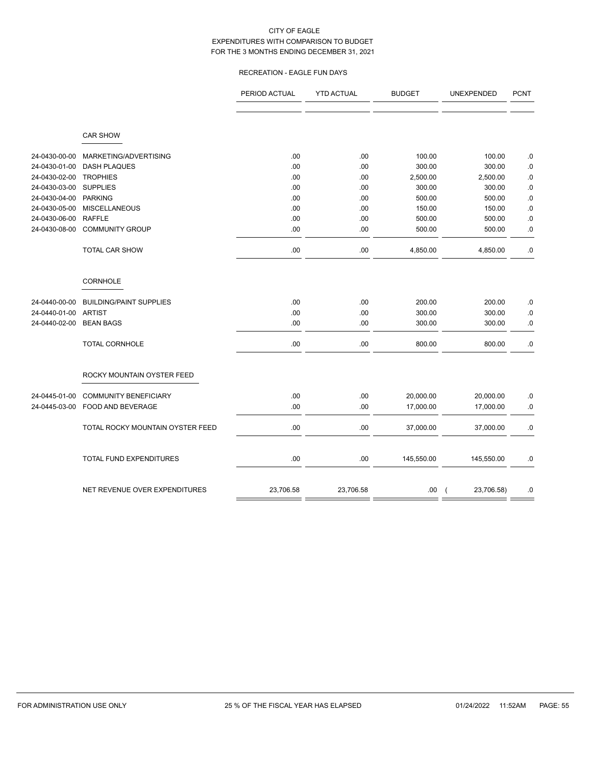# RECREATION - EAGLE FUN DAYS

|               |                                  | PERIOD ACTUAL | <b>YTD ACTUAL</b> | <b>BUDGET</b> | UNEXPENDED                   | <b>PCNT</b> |
|---------------|----------------------------------|---------------|-------------------|---------------|------------------------------|-------------|
|               |                                  |               |                   |               |                              |             |
|               |                                  |               |                   |               |                              |             |
|               | <b>CAR SHOW</b>                  |               |                   |               |                              |             |
| 24-0430-00-00 | MARKETING/ADVERTISING            | .00           | .00               | 100.00        | 100.00                       | .0          |
| 24-0430-01-00 | <b>DASH PLAQUES</b>              | .00           | .00               | 300.00        | 300.00                       | .0          |
| 24-0430-02-00 | <b>TROPHIES</b>                  | .00           | .00               | 2,500.00      | 2,500.00                     | $.0\,$      |
| 24-0430-03-00 | <b>SUPPLIES</b>                  | .00           | .00               | 300.00        | 300.00                       | $.0\,$      |
| 24-0430-04-00 | <b>PARKING</b>                   | .00           | .00               | 500.00        | 500.00                       | $.0\,$      |
| 24-0430-05-00 | <b>MISCELLANEOUS</b>             | .00           | .00               | 150.00        | 150.00                       | .0          |
| 24-0430-06-00 | <b>RAFFLE</b>                    | .00           | .00               | 500.00        | 500.00                       | $.0\,$      |
| 24-0430-08-00 | <b>COMMUNITY GROUP</b>           | .00           | .00               | 500.00        | 500.00                       | $.0\,$      |
|               | <b>TOTAL CAR SHOW</b>            | .00           | .00               | 4,850.00      | 4,850.00                     | .0          |
|               | CORNHOLE                         |               |                   |               |                              |             |
| 24-0440-00-00 | <b>BUILDING/PAINT SUPPLIES</b>   | .00           | .00               | 200.00        | 200.00                       | .0          |
| 24-0440-01-00 | <b>ARTIST</b>                    | .00           | .00               | 300.00        | 300.00                       | $.0\,$      |
| 24-0440-02-00 | <b>BEAN BAGS</b>                 | .00           | .00               | 300.00        | 300.00                       | $.0\,$      |
|               | TOTAL CORNHOLE                   | .00           | .00               | 800.00        | 800.00                       | $.0\,$      |
|               | ROCKY MOUNTAIN OYSTER FEED       |               |                   |               |                              |             |
| 24-0445-01-00 | <b>COMMUNITY BENEFICIARY</b>     | .00           | .00               | 20,000.00     | 20,000.00                    | .0          |
| 24-0445-03-00 | FOOD AND BEVERAGE                | .00           | .00               | 17,000.00     | 17,000.00                    | $.0\,$      |
|               | TOTAL ROCKY MOUNTAIN OYSTER FEED | .00           | .00               | 37,000.00     | 37,000.00                    | $.0\,$      |
|               | TOTAL FUND EXPENDITURES          | .00           | .00               | 145,550.00    | 145,550.00                   | .0          |
|               |                                  |               |                   |               |                              |             |
|               | NET REVENUE OVER EXPENDITURES    | 23,706.58     | 23,706.58         | .00           | 23,706.58)<br>$\overline{ }$ | $.0\,$      |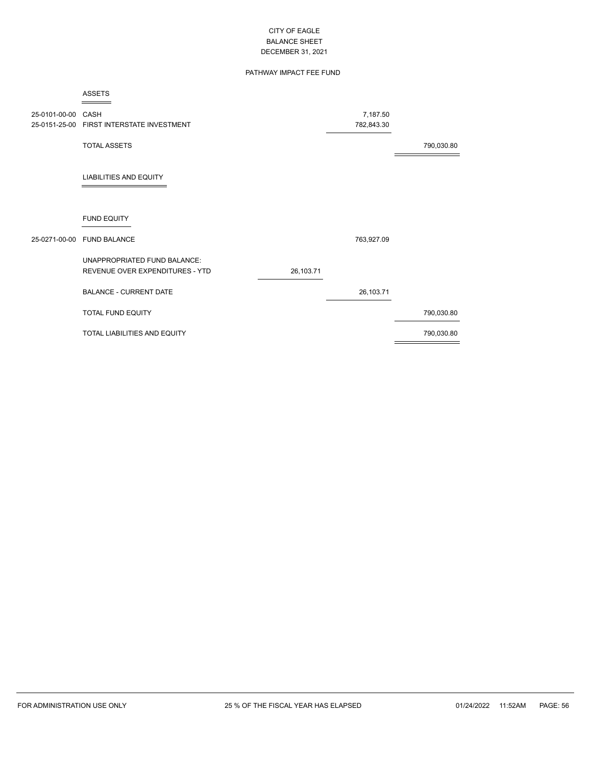# PATHWAY IMPACT FEE FUND

|                    | <b>ASSETS</b>                             |           |            |            |
|--------------------|-------------------------------------------|-----------|------------|------------|
| 25-0101-00-00 CASH |                                           |           | 7,187.50   |            |
|                    | 25-0151-25-00 FIRST INTERSTATE INVESTMENT |           | 782,843.30 |            |
|                    | <b>TOTAL ASSETS</b>                       |           |            | 790,030.80 |
|                    | <b>LIABILITIES AND EQUITY</b>             |           |            |            |
|                    | <b>FUND EQUITY</b>                        |           |            |            |
|                    | 25-0271-00-00 FUND BALANCE                |           | 763,927.09 |            |
|                    | UNAPPROPRIATED FUND BALANCE:              |           |            |            |
|                    | REVENUE OVER EXPENDITURES - YTD           | 26,103.71 |            |            |
|                    | <b>BALANCE - CURRENT DATE</b>             |           | 26,103.71  |            |
|                    | TOTAL FUND EQUITY                         |           |            | 790,030.80 |
|                    | TOTAL LIABILITIES AND EQUITY              |           |            | 790,030.80 |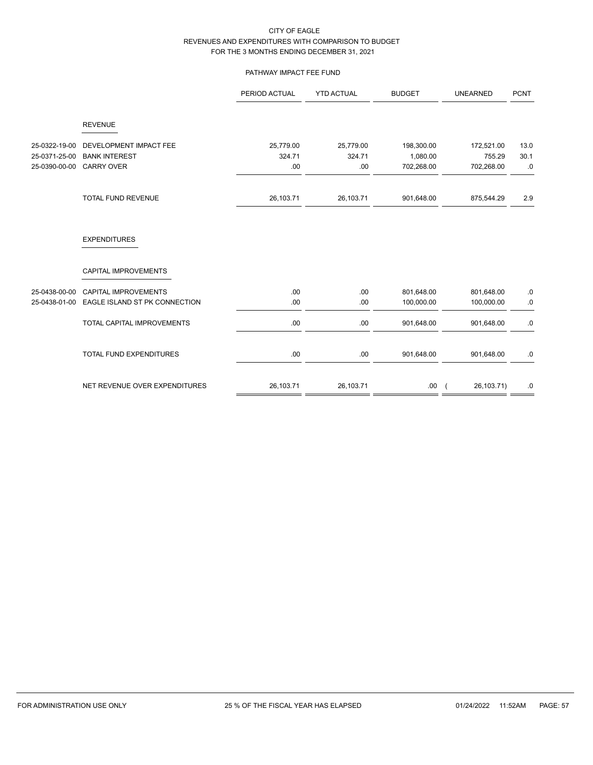# PATHWAY IMPACT FEE FUND

|               |                                   | PERIOD ACTUAL | <b>YTD ACTUAL</b> | <b>BUDGET</b> | <b>UNEARNED</b>              | <b>PCNT</b> |
|---------------|-----------------------------------|---------------|-------------------|---------------|------------------------------|-------------|
|               | <b>REVENUE</b>                    |               |                   |               |                              |             |
| 25-0322-19-00 | DEVELOPMENT IMPACT FEE            | 25,779.00     | 25,779.00         | 198,300.00    | 172,521.00                   | 13.0        |
| 25-0371-25-00 | <b>BANK INTEREST</b>              | 324.71        | 324.71            | 1,080.00      | 755.29                       | 30.1        |
| 25-0390-00-00 | <b>CARRY OVER</b>                 | .00           | .00               | 702,268.00    | 702,268.00                   | .0          |
|               | TOTAL FUND REVENUE                | 26,103.71     | 26,103.71         | 901,648.00    | 875,544.29                   | 2.9         |
|               | <b>EXPENDITURES</b>               |               |                   |               |                              |             |
|               | CAPITAL IMPROVEMENTS              |               |                   |               |                              |             |
| 25-0438-00-00 | <b>CAPITAL IMPROVEMENTS</b>       | .00.          | .00               | 801,648.00    | 801,648.00                   | $.0\,$      |
| 25-0438-01-00 | EAGLE ISLAND ST PK CONNECTION     | .00           | .00               | 100,000.00    | 100,000.00                   | $.0\,$      |
|               | <b>TOTAL CAPITAL IMPROVEMENTS</b> | .00           | .00               | 901,648.00    | 901,648.00                   | .0          |
|               | <b>TOTAL FUND EXPENDITURES</b>    | .00.          | .00               | 901,648.00    | 901,648.00                   | .0          |
|               | NET REVENUE OVER EXPENDITURES     | 26,103.71     | 26,103.71         | .00.          | 26,103.71)<br>$\overline{ }$ | .0          |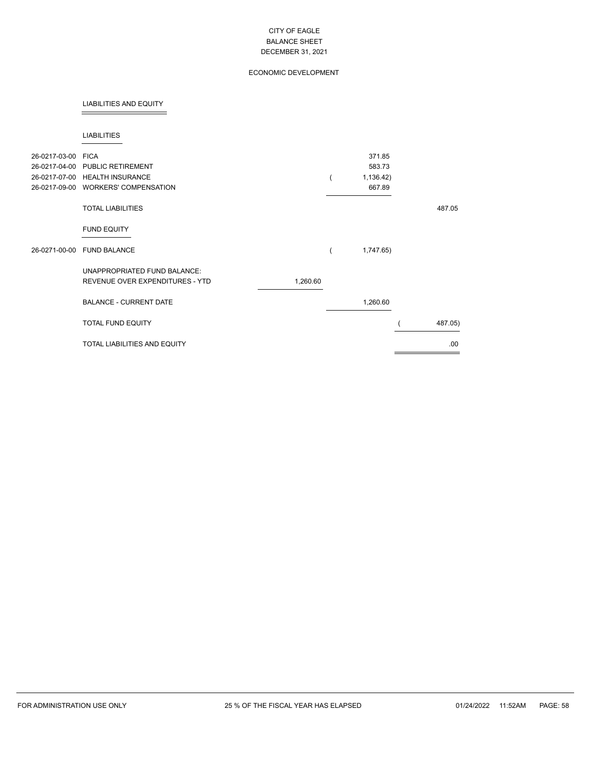# ECONOMIC DEVELOPMENT

### LIABILITIES AND EQUITY

### LIABILITIES

| 26-0217-03-00 FICA | 26-0217-04-00 PUBLIC RETIREMENT<br>26-0217-07-00 HEALTH INSURANCE<br>26-0217-09-00 WORKERS' COMPENSATION |          | 371.85<br>583.73<br>1,136.42)<br>667.89 |         |
|--------------------|----------------------------------------------------------------------------------------------------------|----------|-----------------------------------------|---------|
|                    | <b>TOTAL LIABILITIES</b>                                                                                 |          |                                         | 487.05  |
|                    | <b>FUND EQUITY</b>                                                                                       |          |                                         |         |
|                    | 26-0271-00-00 FUND BALANCE                                                                               |          | 1,747.65)                               |         |
|                    | UNAPPROPRIATED FUND BALANCE:<br>REVENUE OVER EXPENDITURES - YTD                                          | 1,260.60 |                                         |         |
|                    | <b>BALANCE - CURRENT DATE</b>                                                                            |          | 1,260.60                                |         |
|                    | <b>TOTAL FUND EQUITY</b>                                                                                 |          |                                         | 487.05) |
|                    | <b>TOTAL LIABILITIES AND EQUITY</b>                                                                      |          |                                         | .00.    |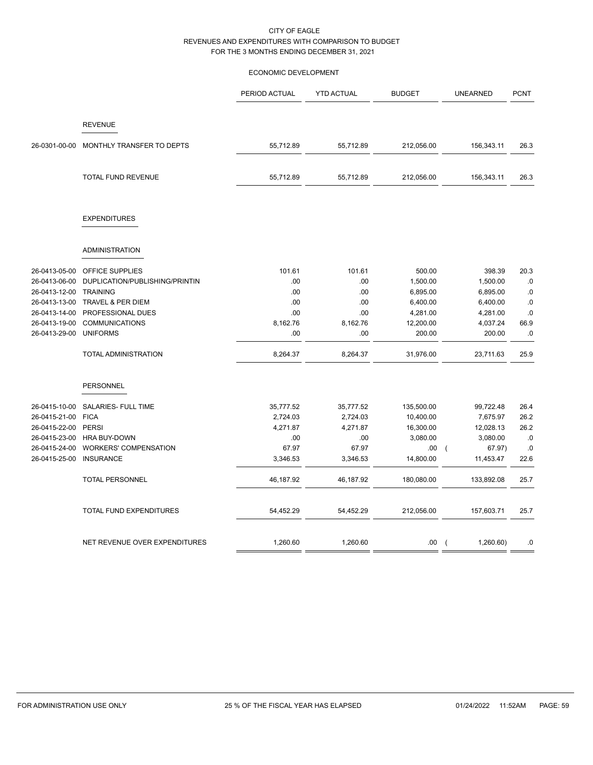# ECONOMIC DEVELOPMENT

|               |                                | PERIOD ACTUAL | <b>YTD ACTUAL</b> | <b>BUDGET</b> | <b>UNEARNED</b>          | <b>PCNT</b> |
|---------------|--------------------------------|---------------|-------------------|---------------|--------------------------|-------------|
|               | <b>REVENUE</b>                 |               |                   |               |                          |             |
| 26-0301-00-00 | MONTHLY TRANSFER TO DEPTS      | 55,712.89     | 55,712.89         | 212,056.00    | 156,343.11               | 26.3        |
|               | TOTAL FUND REVENUE             | 55,712.89     | 55,712.89         | 212,056.00    | 156,343.11               | 26.3        |
|               | <b>EXPENDITURES</b>            |               |                   |               |                          |             |
|               | <b>ADMINISTRATION</b>          |               |                   |               |                          |             |
| 26-0413-05-00 | OFFICE SUPPLIES                | 101.61        | 101.61            | 500.00        | 398.39                   | 20.3        |
| 26-0413-06-00 | DUPLICATION/PUBLISHING/PRINTIN | .00           | .00               | 1,500.00      | 1,500.00                 | .0          |
| 26-0413-12-00 | <b>TRAINING</b>                | .00           | .00               | 6,895.00      | 6,895.00                 | .0          |
| 26-0413-13-00 | <b>TRAVEL &amp; PER DIEM</b>   | .00           | .00               | 6,400.00      | 6,400.00                 | $.0$        |
| 26-0413-14-00 | PROFESSIONAL DUES              | .00           | .00               | 4,281.00      | 4,281.00                 | .0          |
| 26-0413-19-00 | <b>COMMUNICATIONS</b>          | 8,162.76      | 8,162.76          | 12,200.00     | 4,037.24                 | 66.9        |
| 26-0413-29-00 | <b>UNIFORMS</b>                | .00           | .00               | 200.00        | 200.00                   | .0          |
|               | <b>TOTAL ADMINISTRATION</b>    | 8,264.37      | 8,264.37          | 31,976.00     | 23,711.63                | 25.9        |
|               | PERSONNEL                      |               |                   |               |                          |             |
| 26-0415-10-00 | SALARIES- FULL TIME            | 35,777.52     | 35,777.52         | 135,500.00    | 99,722.48                | 26.4        |
| 26-0415-21-00 | <b>FICA</b>                    | 2,724.03      | 2,724.03          | 10,400.00     | 7,675.97                 | 26.2        |
| 26-0415-22-00 | <b>PERSI</b>                   | 4,271.87      | 4,271.87          | 16,300.00     | 12,028.13                | 26.2        |
| 26-0415-23-00 | <b>HRA BUY-DOWN</b>            | .00           | .00               | 3,080.00      | 3,080.00                 | .0          |
| 26-0415-24-00 | <b>WORKERS' COMPENSATION</b>   | 67.97         | 67.97             | .00.          | 67.97)<br>$\overline{ }$ | .0          |
| 26-0415-25-00 | <b>INSURANCE</b>               | 3,346.53      | 3,346.53          | 14,800.00     | 11,453.47                | 22.6        |
|               | TOTAL PERSONNEL                | 46,187.92     | 46,187.92         | 180,080.00    | 133,892.08               | 25.7        |
|               | TOTAL FUND EXPENDITURES        | 54,452.29     | 54,452.29         | 212,056.00    | 157,603.71               | 25.7        |
|               | NET REVENUE OVER EXPENDITURES  | 1,260.60      | 1,260.60          | .00           | 1,260.60)<br>$\left($    | .0          |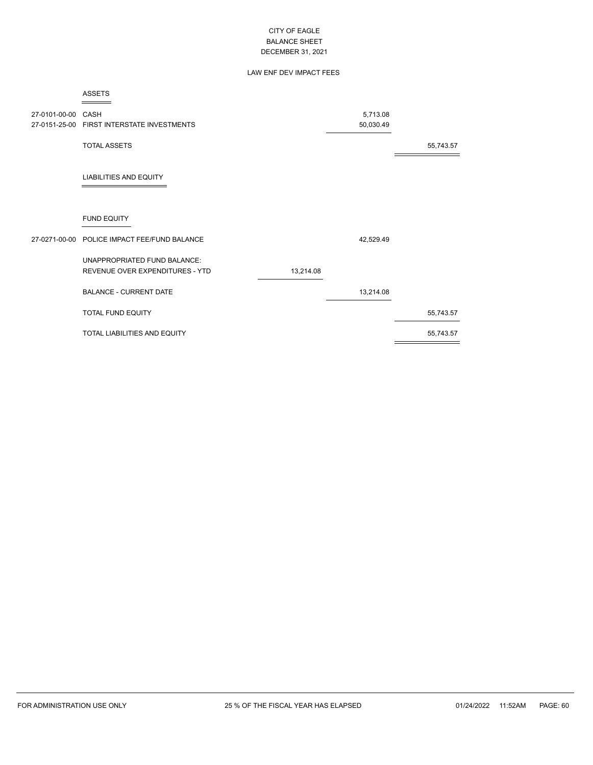# LAW ENF DEV IMPACT FEES

|                    | <b>ASSETS</b>                                |           |           |           |
|--------------------|----------------------------------------------|-----------|-----------|-----------|
| 27-0101-00-00 CASH |                                              |           | 5,713.08  |           |
|                    | 27-0151-25-00 FIRST INTERSTATE INVESTMENTS   |           | 50,030.49 |           |
|                    | <b>TOTAL ASSETS</b>                          |           |           | 55,743.57 |
|                    | <b>LIABILITIES AND EQUITY</b>                |           |           |           |
|                    | <b>FUND EQUITY</b>                           |           |           |           |
|                    | 27-0271-00-00 POLICE IMPACT FEE/FUND BALANCE |           | 42,529.49 |           |
|                    | <b>UNAPPROPRIATED FUND BALANCE:</b>          |           |           |           |
|                    | REVENUE OVER EXPENDITURES - YTD              | 13,214.08 |           |           |
|                    | <b>BALANCE - CURRENT DATE</b>                |           | 13,214.08 |           |
|                    | <b>TOTAL FUND EQUITY</b>                     |           |           | 55,743.57 |
|                    | <b>TOTAL LIABILITIES AND EQUITY</b>          |           |           | 55,743.57 |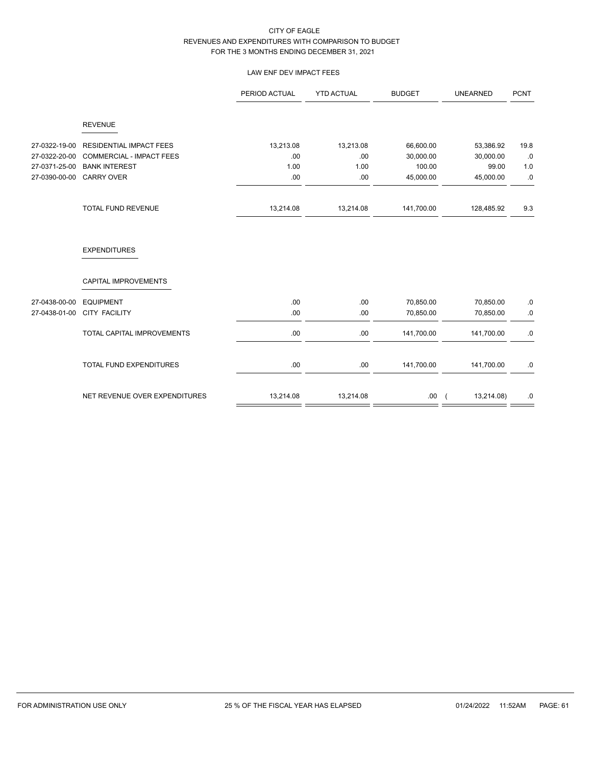# LAW ENF DEV IMPACT FEES

|               |                                 | PERIOD ACTUAL | <b>YTD ACTUAL</b> | <b>BUDGET</b> | <b>UNEARNED</b> | <b>PCNT</b> |
|---------------|---------------------------------|---------------|-------------------|---------------|-----------------|-------------|
|               | <b>REVENUE</b>                  |               |                   |               |                 |             |
| 27-0322-19-00 | <b>RESIDENTIAL IMPACT FEES</b>  | 13,213.08     | 13,213.08         | 66,600.00     | 53,386.92       | 19.8        |
| 27-0322-20-00 | <b>COMMERCIAL - IMPACT FEES</b> | .00           | .00               | 30,000.00     | 30,000.00       | .0          |
| 27-0371-25-00 | <b>BANK INTEREST</b>            | 1.00          | 1.00              | 100.00        | 99.00           | 1.0         |
| 27-0390-00-00 | <b>CARRY OVER</b>               | .00           | .00               | 45,000.00     | 45,000.00       | .0          |
|               | TOTAL FUND REVENUE              | 13,214.08     | 13,214.08         | 141,700.00    | 128,485.92      | 9.3         |
|               | <b>EXPENDITURES</b>             |               |                   |               |                 |             |
|               | CAPITAL IMPROVEMENTS            |               |                   |               |                 |             |
| 27-0438-00-00 | <b>EQUIPMENT</b>                | .00           | .00               | 70,850.00     | 70,850.00       | .0          |
| 27-0438-01-00 | <b>CITY FACILITY</b>            | .00           | .00               | 70,850.00     | 70,850.00       | .0          |
|               | TOTAL CAPITAL IMPROVEMENTS      | .00           | .00.              | 141,700.00    | 141,700.00      | $.0\,$      |
|               | TOTAL FUND EXPENDITURES         | .00           | .00               | 141,700.00    | 141,700.00      | .0          |
|               | NET REVENUE OVER EXPENDITURES   | 13,214.08     | 13,214.08         | .00.          | 13,214.08)      | .0          |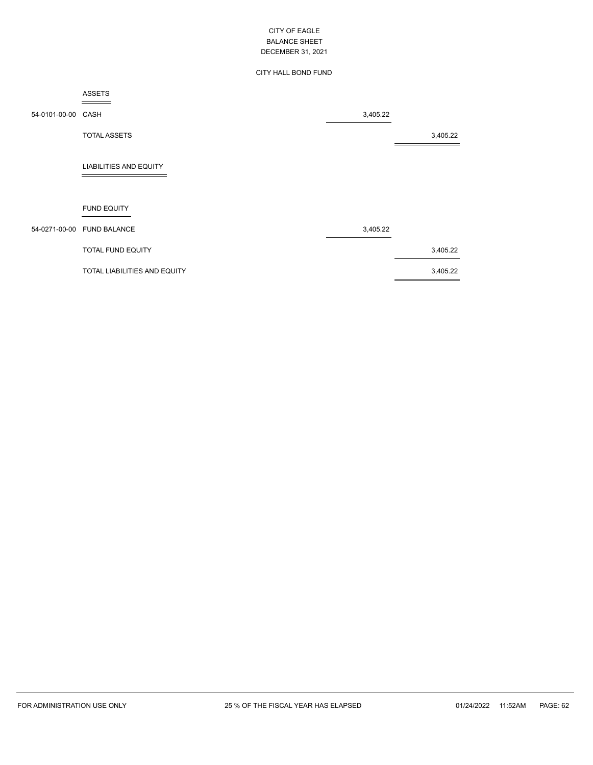### CITY HALL BOND FUND

### ASSETS

54-0101-00-00 CASH 3,405.22 TOTAL ASSETS 3,405.22 LIABILITIES AND EQUITY FUND EQUITY 54-0271-00-00 FUND BALANCE 3,405.22 TOTAL FUND EQUITY 3,405.22 TOTAL LIABILITIES AND EQUITY 3,405.22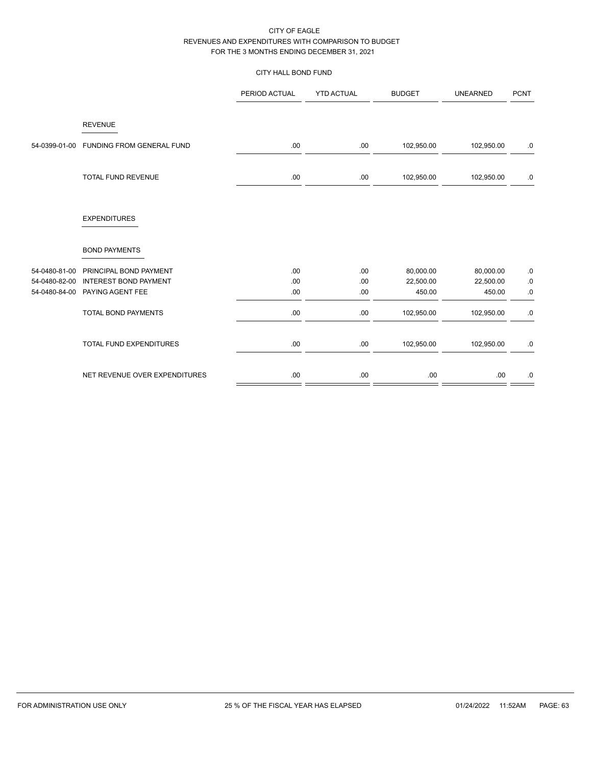# CITY HALL BOND FUND

|               |                                  | PERIOD ACTUAL | <b>YTD ACTUAL</b> | <b>BUDGET</b> | <b>UNEARNED</b> | <b>PCNT</b> |
|---------------|----------------------------------|---------------|-------------------|---------------|-----------------|-------------|
|               | <b>REVENUE</b>                   |               |                   |               |                 |             |
| 54-0399-01-00 | <b>FUNDING FROM GENERAL FUND</b> | .00.          | .00.              | 102,950.00    | 102,950.00      | $.0\,$      |
|               | TOTAL FUND REVENUE               | .00.          | .00.              | 102,950.00    | 102,950.00      | $.0\,$      |
|               | <b>EXPENDITURES</b>              |               |                   |               |                 |             |
|               | <b>BOND PAYMENTS</b>             |               |                   |               |                 |             |
| 54-0480-81-00 | PRINCIPAL BOND PAYMENT           | .00           | .00               | 80,000.00     | 80,000.00       | ${\bf .0}$  |
| 54-0480-82-00 | <b>INTEREST BOND PAYMENT</b>     | .00           | .00               | 22,500.00     | 22,500.00       | ${\bf .0}$  |
| 54-0480-84-00 | PAYING AGENT FEE                 | .00           | .00               | 450.00        | 450.00          | $.0\,$      |
|               | <b>TOTAL BOND PAYMENTS</b>       | .00           | .00               | 102,950.00    | 102,950.00      | $.0\,$      |
|               | TOTAL FUND EXPENDITURES          | .00           | .00               | 102,950.00    | 102,950.00      | $.0\,$      |
|               | NET REVENUE OVER EXPENDITURES    | .00           | .00               | .00           | .00.            | $.0\,$      |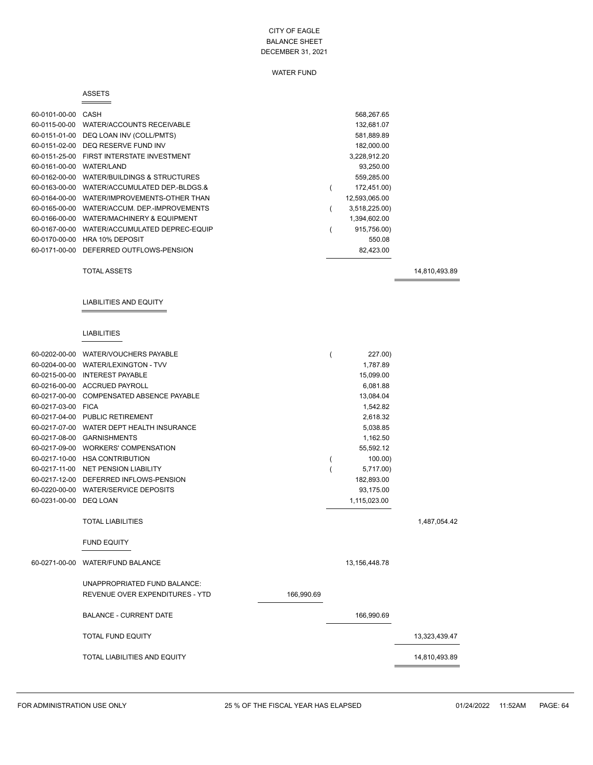# WATER FUND

### ASSETS

 $=$ 

| 60-0101-00-00 | CASH                             | 568.267.65    |
|---------------|----------------------------------|---------------|
| 60-0115-00-00 | <b>WATER/ACCOUNTS RECEIVABLE</b> | 132,681.07    |
| 60-0151-01-00 | DEQ LOAN INV (COLL/PMTS)         | 581,889.89    |
| 60-0151-02-00 | DEQ RESERVE FUND INV             | 182.000.00    |
| 60-0151-25-00 | FIRST INTERSTATE INVESTMENT      | 3,228,912.20  |
| 60-0161-00-00 | WATER/LAND                       | 93,250.00     |
| 60-0162-00-00 | WATER/BUILDINGS & STRUCTURES     | 559,285.00    |
| 60-0163-00-00 | WATER/ACCUMULATED DEP-BLDGS.&    | 172,451.00)   |
| 60-0164-00-00 | WATER/IMPROVEMENTS-OTHER THAN    | 12,593,065.00 |
| 60-0165-00-00 | WATER/ACCUM, DEP-IMPROVEMENTS    | 3,518,225.00) |
| 60-0166-00-00 | WATER/MACHINERY & EQUIPMENT      | 1,394,602.00  |
| 60-0167-00-00 | WATER/ACCUMULATED DEPREC-EQUIP   | 915,756.00)   |
| 60-0170-00-00 | <b>HRA 10% DEPOSIT</b>           | 550.08        |
| 60-0171-00-00 | DEFERRED OUTFLOWS-PENSION        | 82,423.00     |

TOTAL ASSETS 14,810,493.89

# LIABILITIES AND EQUITY

# LIABILITIES

|                    | 60-0202-00-00 WATER/VOUCHERS PAYABLE      |            | 227.00)       |               |
|--------------------|-------------------------------------------|------------|---------------|---------------|
|                    | 60-0204-00-00 WATER/LEXINGTON - TVV       |            | 1.787.89      |               |
|                    | 60-0215-00-00 INTEREST PAYABLE            |            | 15,099.00     |               |
|                    | 60-0216-00-00 ACCRUED PAYROLL             |            | 6,081.88      |               |
|                    | 60-0217-00-00 COMPENSATED ABSENCE PAYABLE |            | 13,084.04     |               |
| 60-0217-03-00 FICA |                                           |            | 1,542.82      |               |
|                    | 60-0217-04-00 PUBLIC RETIREMENT           |            | 2,618.32      |               |
|                    | 60-0217-07-00 WATER DEPT HEALTH INSURANCE |            | 5,038.85      |               |
|                    | 60-0217-08-00 GARNISHMENTS                |            | 1,162.50      |               |
|                    | 60-0217-09-00 WORKERS' COMPENSATION       |            | 55,592.12     |               |
|                    | 60-0217-10-00 HSA CONTRIBUTION            |            | 100.00        |               |
|                    | 60-0217-11-00 NET PENSION LIABILITY       |            | 5,717.00)     |               |
|                    | 60-0217-12-00 DEFERRED INFLOWS-PENSION    |            | 182,893.00    |               |
|                    | 60-0220-00-00 WATER/SERVICE DEPOSITS      |            | 93,175.00     |               |
| 60-0231-00-00      | DEQ LOAN                                  |            | 1,115,023.00  |               |
|                    |                                           |            |               |               |
|                    | <b>TOTAL LIABILITIES</b>                  |            |               | 1,487,054.42  |
|                    | <b>FUND EQUITY</b>                        |            |               |               |
| 60-0271-00-00      | <b>WATER/FUND BALANCE</b>                 |            | 13,156,448.78 |               |
|                    | UNAPPROPRIATED FUND BALANCE:              |            |               |               |
|                    | REVENUE OVER EXPENDITURES - YTD           | 166,990.69 |               |               |
|                    | <b>BALANCE - CURRENT DATE</b>             |            | 166,990.69    |               |
|                    | <b>TOTAL FUND EQUITY</b>                  |            |               | 13,323,439.47 |
|                    | <b>TOTAL LIABILITIES AND EQUITY</b>       |            |               | 14,810,493.89 |
|                    |                                           |            |               |               |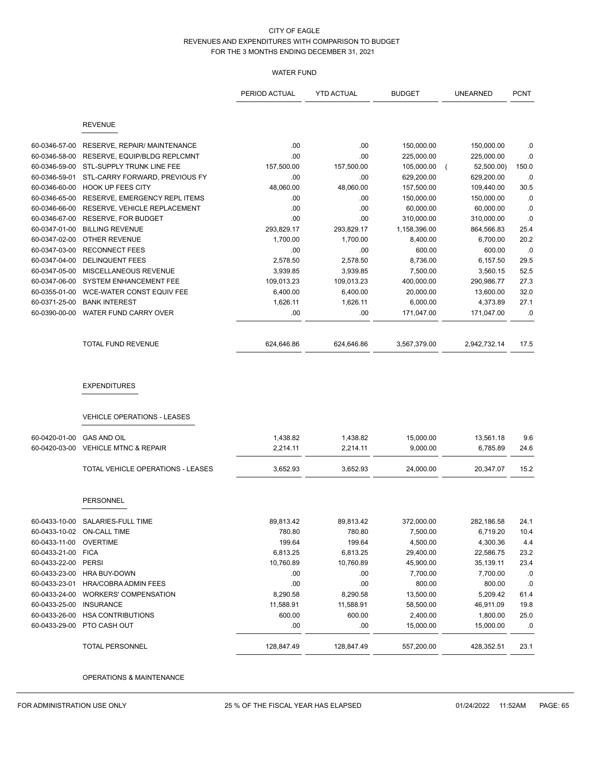## WATER FUND

|               |                                                           | PERIOD ACTUAL | <b>YTD ACTUAL</b> | <b>BUDGET</b> | UNEARNED     | <b>PCNT</b> |
|---------------|-----------------------------------------------------------|---------------|-------------------|---------------|--------------|-------------|
|               | <b>REVENUE</b>                                            |               |                   |               |              |             |
| 60-0346-57-00 | RESERVE, REPAIR/ MAINTENANCE                              | .00           | .00               | 150,000.00    | 150,000.00   | .0          |
| 60-0346-58-00 | RESERVE, EQUIP/BLDG REPLCMNT                              | .00           | .00               | 225,000.00    | 225,000.00   | .0          |
| 60-0346-59-00 | STL-SUPPLY TRUNK LINE FEE                                 | 157,500.00    | 157,500.00        | 105,000.00    | 52,500.00)   | 150.0       |
| 60-0346-59-01 | STL-CARRY FORWARD, PREVIOUS FY                            | .00           | .00               | 629,200.00    | 629,200.00   | .0          |
| 60-0346-60-00 | <b>HOOK UP FEES CITY</b>                                  | 48,060.00     | 48,060.00         | 157,500.00    | 109,440.00   | 30.5        |
| 60-0346-65-00 | RESERVE, EMERGENCY REPL ITEMS                             | .00           | .00               | 150,000.00    | 150,000.00   | .0          |
| 60-0346-66-00 | RESERVE, VEHICLE REPLACEMENT                              | .00           | .00               | 60,000.00     | 60,000.00    | .0          |
| 60-0346-67-00 | <b>RESERVE, FOR BUDGET</b>                                | .00           | .00               | 310,000.00    | 310,000.00   | $.0\,$      |
| 60-0347-01-00 | <b>BILLING REVENUE</b>                                    | 293,829.17    | 293,829.17        | 1,158,396.00  | 864,566.83   | 25.4        |
| 60-0347-02-00 | <b>OTHER REVENUE</b>                                      | 1,700.00      | 1,700.00          | 8,400.00      | 6,700.00     | 20.2        |
| 60-0347-03-00 | <b>RECONNECT FEES</b>                                     | .00           | .00               | 600.00        | 600.00       | .0          |
| 60-0347-04-00 | <b>DELINQUENT FEES</b>                                    | 2,578.50      | 2,578.50          | 8,736.00      | 6,157.50     | 29.5        |
| 60-0347-05-00 | MISCELLANEOUS REVENUE                                     | 3,939.85      | 3,939.85          | 7,500.00      | 3,560.15     | 52.5        |
| 60-0347-06-00 | SYSTEM ENHANCEMENT FEE                                    | 109,013.23    | 109.013.23        | 400,000.00    | 290,986.77   | 27.3        |
| 60-0355-01-00 | WCE-WATER CONST EQUIV FEE                                 | 6,400.00      | 6,400.00          | 20,000.00     | 13,600.00    | 32.0        |
| 60-0371-25-00 | <b>BANK INTEREST</b>                                      | 1,626.11      | 1,626.11          | 6,000.00      | 4,373.89     | 27.1        |
| 60-0390-00-00 | WATER FUND CARRY OVER                                     | .00           | .00               | 171,047.00    | 171,047.00   | .0          |
|               |                                                           |               |                   |               |              |             |
|               | TOTAL FUND REVENUE                                        | 624,646.86    | 624,646.86        | 3,567,379.00  | 2,942,732.14 | 17.5        |
|               | <b>EXPENDITURES</b><br><b>VEHICLE OPERATIONS - LEASES</b> |               |                   |               |              |             |
|               |                                                           |               |                   |               |              |             |
| 60-0420-01-00 | <b>GAS AND OIL</b>                                        | 1,438.82      | 1,438.82          | 15,000.00     | 13,561.18    | 9.6         |
| 60-0420-03-00 | <b>VEHICLE MTNC &amp; REPAIR</b>                          | 2,214.11      | 2,214.11          | 9,000.00      | 6,785.89     | 24.6        |
|               | TOTAL VEHICLE OPERATIONS - LEASES                         | 3,652.93      | 3,652.93          | 24,000.00     | 20,347.07    | 15.2        |
|               |                                                           |               |                   |               |              |             |
|               | <b>PERSONNEL</b>                                          |               |                   |               |              |             |
| 60-0433-10-00 | SALARIES-FULL TIME                                        | 89,813.42     | 89,813.42         | 372,000.00    | 282,186.58   | 24.1        |
|               | 60-0433-10-02 ON-CALL TIME                                | 780.80        | 780.80            | 7,500.00      | 6,719.20     | 10.4        |
| 60-0433-11-00 | <b>OVERTIME</b>                                           | 199.64        | 199.64            | 4,500.00      | 4,300.36     | 4.4         |
| 60-0433-21-00 | <b>FICA</b>                                               | 6,813.25      | 6,813.25          | 29,400.00     | 22,586.75    | 23.2        |
| 60-0433-22-00 | <b>PERSI</b>                                              | 10,760.89     | 10,760.89         | 45,900.00     | 35,139.11    | 23.4        |
| 60-0433-23-00 | HRA BUY-DOWN                                              | .00           | .00               | 7,700.00      | 7,700.00     | .0          |
| 60-0433-23-01 | HRA/COBRA ADMIN FEES                                      | .00           | .00               | 800.00        | 800.00       | $.0\,$      |
| 60-0433-24-00 | <b>WORKERS' COMPENSATION</b>                              | 8,290.58      | 8,290.58          | 13,500.00     | 5,209.42     | 61.4        |
| 60-0433-25-00 | <b>INSURANCE</b>                                          | 11,588.91     | 11,588.91         | 58,500.00     | 46,911.09    | 19.8        |
| 60-0433-26-00 | <b>HSA CONTRIBUTIONS</b>                                  | 600.00        | 600.00            | 2,400.00      | 1,800.00     | 25.0        |
| 60-0433-29-00 | PTO CASH OUT                                              | .00           | .00               | 15,000.00     | 15,000.00    | .0          |
|               | <b>TOTAL PERSONNEL</b>                                    | 128,847.49    | 128,847.49        | 557,200.00    | 428,352.51   | 23.1        |

OPERATIONS & MAINTENANCE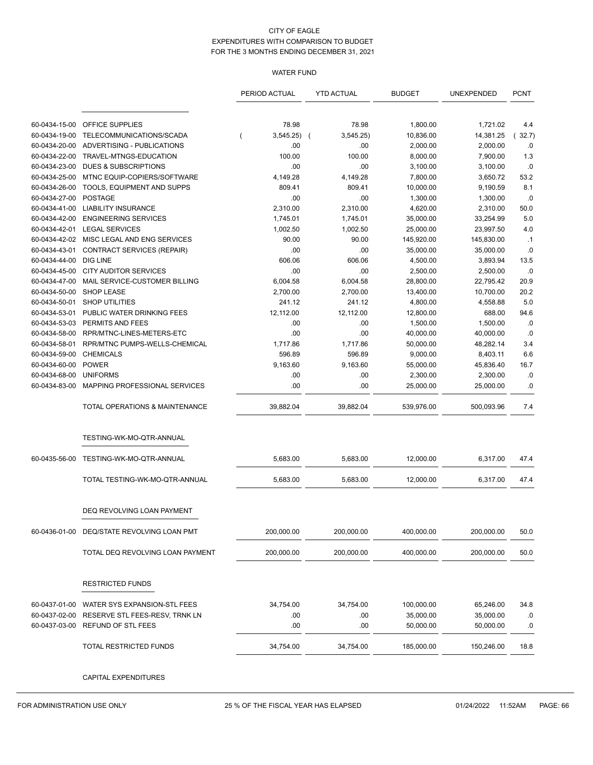# WATER FUND

|               |                                           | PERIOD ACTUAL | <b>YTD ACTUAL</b> | <b>BUDGET</b> | UNEXPENDED | <b>PCNT</b>  |
|---------------|-------------------------------------------|---------------|-------------------|---------------|------------|--------------|
|               |                                           |               |                   |               |            |              |
| 60-0434-15-00 | OFFICE SUPPLIES                           | 78.98         | 78.98             | 1,800.00      | 1,721.02   | 4.4          |
| 60-0434-19-00 | TELECOMMUNICATIONS/SCADA                  | 3,545.25)     | 3,545.25)         | 10,836.00     | 14,381.25  | 32.7)<br>- 1 |
| 60-0434-20-00 | ADVERTISING - PUBLICATIONS                | .00           | .00.              | 2,000.00      | 2,000.00   | .0           |
| 60-0434-22-00 | TRAVEL-MTNGS-EDUCATION                    | 100.00        | 100.00            | 8,000.00      | 7,900.00   | 1.3          |
| 60-0434-23-00 | <b>DUES &amp; SUBSCRIPTIONS</b>           | .00           | .00               | 3,100.00      | 3,100.00   | .0           |
| 60-0434-25-00 | MTNC EQUIP-COPIERS/SOFTWARE               | 4,149.28      | 4,149.28          | 7,800.00      | 3,650.72   | 53.2         |
| 60-0434-26-00 | TOOLS, EQUIPMENT AND SUPPS                | 809.41        | 809.41            | 10,000.00     | 9,190.59   | 8.1          |
| 60-0434-27-00 | <b>POSTAGE</b>                            | .00           | .00               | 1,300.00      | 1,300.00   | .0           |
| 60-0434-41-00 | <b>LIABILITY INSURANCE</b>                | 2,310.00      | 2,310.00          | 4,620.00      | 2,310.00   | 50.0         |
| 60-0434-42-00 | <b>ENGINEERING SERVICES</b>               | 1,745.01      | 1,745.01          | 35,000.00     | 33,254.99  | 5.0          |
| 60-0434-42-01 | <b>LEGAL SERVICES</b>                     | 1,002.50      | 1,002.50          | 25,000.00     | 23,997.50  | 4.0          |
| 60-0434-42-02 | MISC LEGAL AND ENG SERVICES               | 90.00         | 90.00             | 145,920.00    | 145,830.00 | $\cdot$ 1    |
| 60-0434-43-01 | CONTRACT SERVICES (REPAIR)                | .00           | .00               | 35,000.00     | 35,000.00  | .0           |
| 60-0434-44-00 | DIG LINE                                  | 606.06        | 606.06            | 4,500.00      | 3,893.94   | 13.5         |
| 60-0434-45-00 | <b>CITY AUDITOR SERVICES</b>              | .00           | .00               | 2,500.00      | 2,500.00   | .0           |
| 60-0434-47-00 | MAIL SERVICE-CUSTOMER BILLING             | 6,004.58      | 6,004.58          | 28,800.00     | 22,795.42  | 20.9         |
| 60-0434-50-00 | <b>SHOP LEASE</b>                         | 2,700.00      | 2,700.00          | 13,400.00     | 10,700.00  | 20.2         |
| 60-0434-50-01 | <b>SHOP UTILITIES</b>                     | 241.12        | 241.12            | 4,800.00      | 4,558.88   | 5.0          |
| 60-0434-53-01 | PUBLIC WATER DRINKING FEES                | 12,112.00     | 12,112.00         | 12,800.00     | 688.00     | 94.6         |
| 60-0434-53-03 | PERMITS AND FEES                          | .00           | .00               | 1,500.00      | 1,500.00   | .0           |
| 60-0434-58-00 | RPR/MTNC-LINES-METERS-ETC                 | .00           | .00               | 40,000.00     | 40,000.00  | .0           |
| 60-0434-58-01 | RPR/MTNC PUMPS-WELLS-CHEMICAL             | 1,717.86      | 1,717.86          | 50,000.00     | 48,282.14  | 3.4          |
| 60-0434-59-00 | <b>CHEMICALS</b>                          | 596.89        | 596.89            | 9,000.00      | 8,403.11   | 6.6          |
| 60-0434-60-00 | <b>POWER</b>                              | 9,163.60      | 9,163.60          | 55,000.00     | 45,836.40  | 16.7         |
| 60-0434-68-00 | <b>UNIFORMS</b>                           | .00           | .00               | 2,300.00      | 2,300.00   | .0           |
| 60-0434-83-00 | MAPPING PROFESSIONAL SERVICES             | .00           | .00               | 25,000.00     | 25,000.00  | .0           |
|               | <b>TOTAL OPERATIONS &amp; MAINTENANCE</b> | 39,882.04     | 39,882.04         | 539,976.00    | 500,093.96 | 7.4          |
|               | TESTING-WK-MO-QTR-ANNUAL                  |               |                   |               |            |              |
| 60-0435-56-00 | TESTING-WK-MO-QTR-ANNUAL                  | 5,683.00      | 5,683.00          | 12,000.00     | 6,317.00   | 47.4         |
|               |                                           |               |                   |               |            |              |
|               | TOTAL TESTING-WK-MO-QTR-ANNUAL            | 5,683.00      | 5,683.00          | 12,000.00     | 6,317.00   | 47.4         |
|               | DEQ REVOLVING LOAN PAYMENT                |               |                   |               |            |              |
| 60-0436-01-00 | DEQ/STATE REVOLVING LOAN PMT              | 200,000.00    | 200,000.00        | 400,000.00    | 200,000.00 | 50.0         |
|               | TOTAL DEQ REVOLVING LOAN PAYMENT          | 200,000.00    | 200,000.00        | 400,000.00    | 200,000.00 | 50.0         |
|               |                                           |               |                   |               |            |              |
|               | <b>RESTRICTED FUNDS</b>                   |               |                   |               |            |              |
| 60-0437-01-00 | WATER SYS EXPANSION-STL FEES              | 34,754.00     | 34,754.00         | 100,000.00    | 65,246.00  | 34.8         |
| 60-0437-02-00 | RESERVE STL FEES-RESV, TRNK LN            | .00           | .00               | 35,000.00     | 35,000.00  | .0           |
| 60-0437-03-00 | REFUND OF STL FEES                        | .00           | .00               | 50,000.00     | 50,000.00  | .0           |
|               | TOTAL RESTRICTED FUNDS                    | 34,754.00     | 34,754.00         | 185,000.00    | 150,246.00 | 18.8         |
|               | CAPITAL EXPENDITURES                      |               |                   |               |            |              |